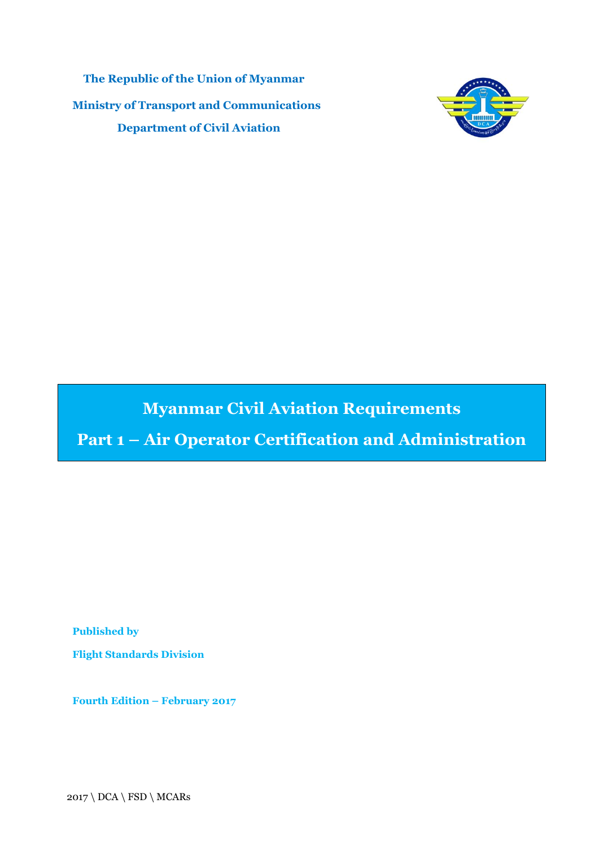**The Republic of the Union of Myanmar Ministry of Transport and Communications Department of Civil Aviation**



**Myanmar Civil Aviation Requirements**

**Part 1 – Air Operator Certification and Administration**

**Published by** 

**Flight Standards Division**

**Fourth Edition – February 2017**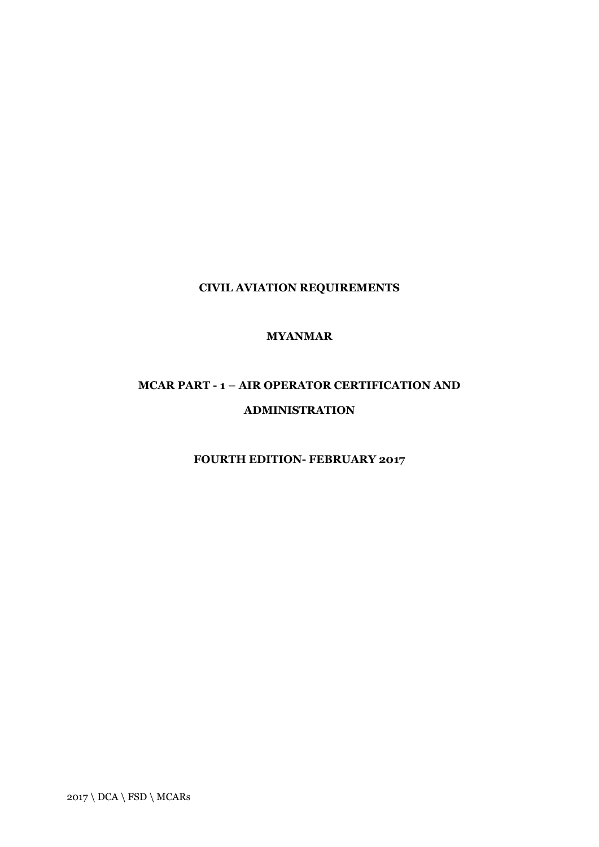# **CIVIL AVIATION REQUIREMENTS**

# **MYANMAR**

# **MCAR PART - 1 – AIR OPERATOR CERTIFICATION AND ADMINISTRATION**

# **FOURTH EDITION- FEBRUARY 2017**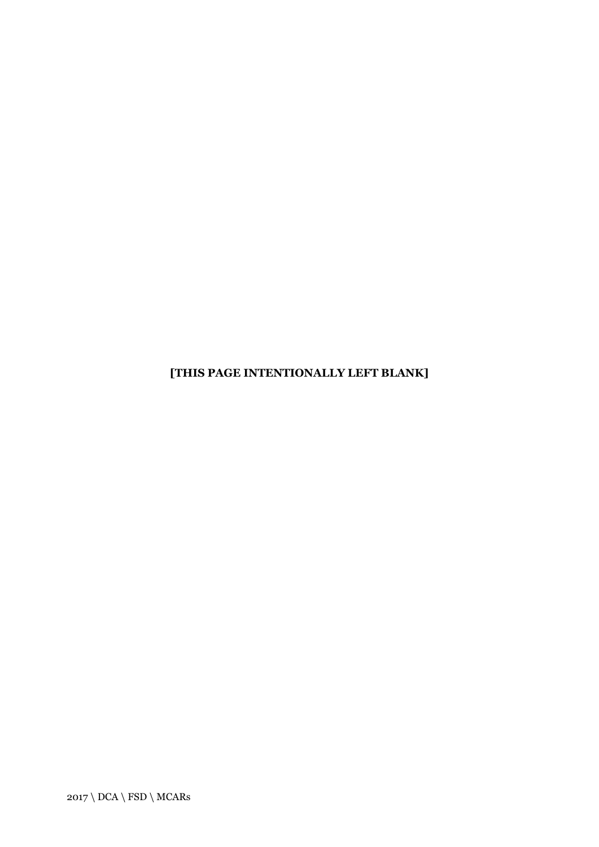**[THIS PAGE INTENTIONALLY LEFT BLANK]**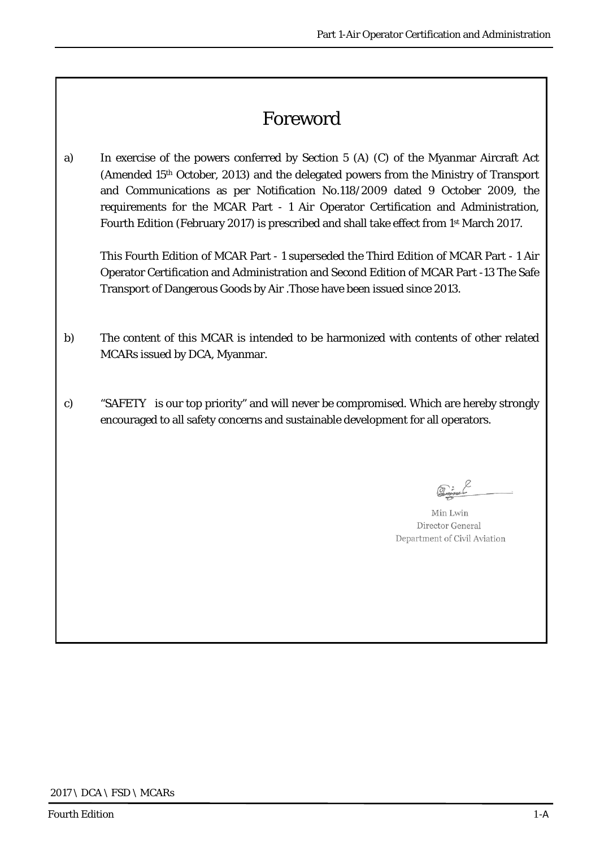# Foreword

a) In exercise of the powers conferred by Section 5 (A) (C) of the Myanmar Aircraft Act (Amended 15th October, 2013) and the delegated powers from the Ministry of Transport and Communications as per Notification No.118/2009 dated 9 October 2009, the requirements for the MCAR Part - 1 Air Operator Certification and Administration, Fourth Edition (February 2017) is prescribed and shall take effect from 1st March 2017.

This Fourth Edition of MCAR Part - 1 superseded the Third Edition of MCAR Part - 1 Air Operator Certification and Administration and Second Edition of MCAR Part -13 The Safe Transport of Dangerous Goods by Air .Those have been issued since 2013.

- b) The content of this MCAR is intended to be harmonized with contents of other related MCARs issued by DCA, Myanmar.
- c) "SAFETY is our top priority" and will never be compromised. Which are hereby strongly encouraged to all safety concerns and sustainable development for all operators.

Min Lwin Director General Department of Civil Aviation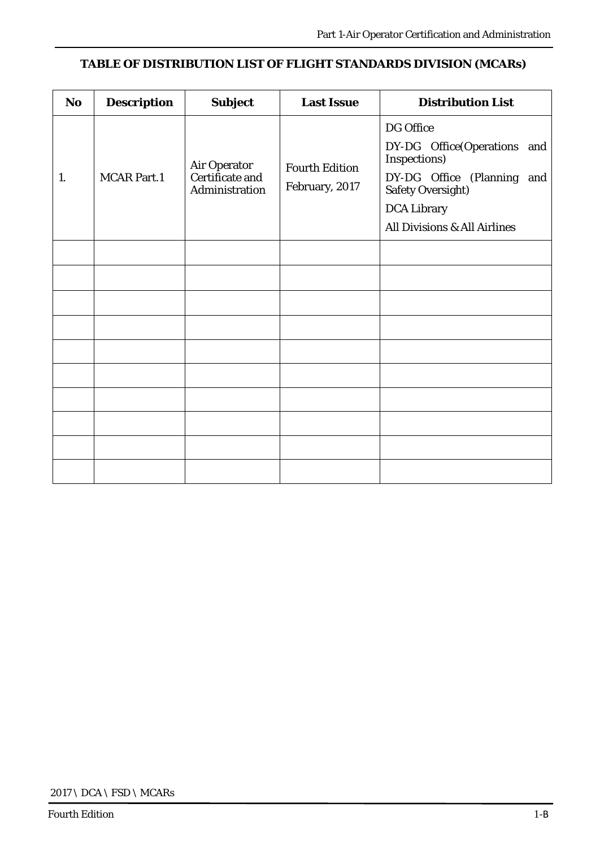# **TABLE OF DISTRIBUTION LIST OF FLIGHT STANDARDS DIVISION (MCARs)**

| <b>No</b> | <b>Description</b> | <b>Subject</b>                                           | <b>Last Issue</b>                       | <b>Distribution List</b>                                                                                                                                                    |
|-----------|--------------------|----------------------------------------------------------|-----------------------------------------|-----------------------------------------------------------------------------------------------------------------------------------------------------------------------------|
| 1.        | <b>MCAR Part.1</b> | <b>Air Operator</b><br>Certificate and<br>Administration | <b>Fourth Edition</b><br>February, 2017 | DG Office<br>DY-DG Office(Operations and<br>Inspections)<br>DY-DG Office (Planning<br>and<br><b>Safety Oversight)</b><br><b>DCA Library</b><br>All Divisions & All Airlines |
|           |                    |                                                          |                                         |                                                                                                                                                                             |
|           |                    |                                                          |                                         |                                                                                                                                                                             |
|           |                    |                                                          |                                         |                                                                                                                                                                             |
|           |                    |                                                          |                                         |                                                                                                                                                                             |
|           |                    |                                                          |                                         |                                                                                                                                                                             |
|           |                    |                                                          |                                         |                                                                                                                                                                             |
|           |                    |                                                          |                                         |                                                                                                                                                                             |
|           |                    |                                                          |                                         |                                                                                                                                                                             |
|           |                    |                                                          |                                         |                                                                                                                                                                             |
|           |                    |                                                          |                                         |                                                                                                                                                                             |

 $2017 \setminus DCA \setminus FSD \setminus MCARS$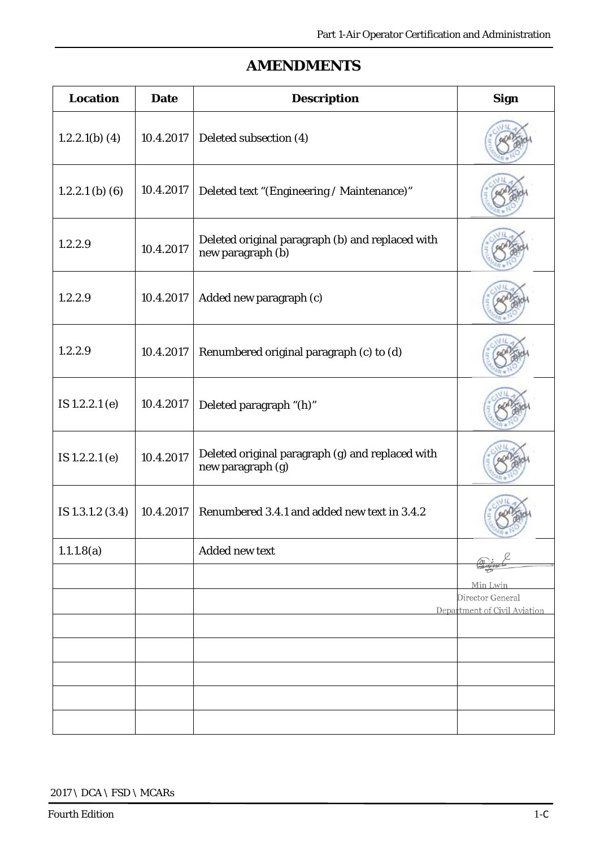| <b>Location</b>   | <b>Date</b> | <b>Description</b>                                                    | <b>Sign</b>                                      |
|-------------------|-------------|-----------------------------------------------------------------------|--------------------------------------------------|
| $1.2.2.1(b)$ (4)  | 10.4.2017   | Deleted subsection (4)                                                |                                                  |
| $1.2.2.1$ (b) (6) | 10.4.2017   | Deleted text "(Engineering / Maintenance)"                            |                                                  |
| 1.2.2.9           | 10.4.2017   | Deleted original paragraph (b) and replaced with<br>new paragraph (b) |                                                  |
| 1.2.2.9           | 10.4.2017   | Added new paragraph (c)                                               |                                                  |
| 1.2.2.9           | 10.4.2017   | Renumbered original paragraph (c) to (d)                              |                                                  |
| IS 1.2.2.1 (e)    | 10.4.2017   | Deleted paragraph "(h)"                                               |                                                  |
| IS 1.2.2.1 (e)    | 10.4.2017   | Deleted original paragraph (g) and replaced with<br>new paragraph (g) |                                                  |
| IS 1.3.1.2 (3.4)  | 10.4.2017   | Renumbered 3.4.1 and added new text in 3.4.2                          |                                                  |
| 1.1.1.8(a)        |             | Added new text                                                        |                                                  |
|                   |             |                                                                       | Min Lwin                                         |
|                   |             |                                                                       | Director General<br>Department of Civil Aviation |
|                   |             |                                                                       |                                                  |
|                   |             |                                                                       |                                                  |
|                   |             |                                                                       |                                                  |
|                   |             |                                                                       |                                                  |
|                   |             |                                                                       |                                                  |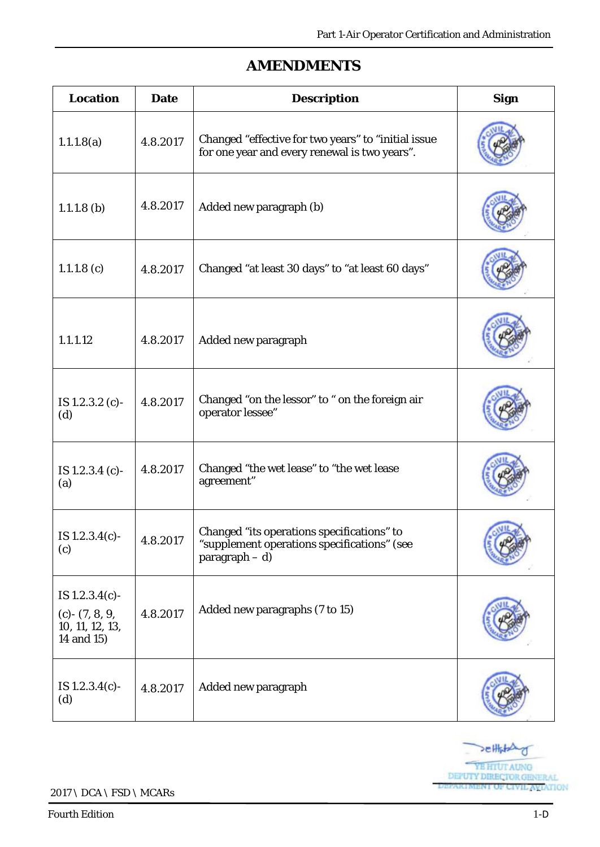| <b>Location</b>                                                         | <b>Date</b> | <b>Description</b>                                                                                            | <b>Sign</b> |
|-------------------------------------------------------------------------|-------------|---------------------------------------------------------------------------------------------------------------|-------------|
| 1.1.1.8(a)                                                              | 4.8.2017    | Changed "effective for two years" to "initial issue<br>for one year and every renewal is two years".          |             |
| $1.1.1.8$ (b)                                                           | 4.8.2017    | Added new paragraph (b)                                                                                       |             |
| $1.1.1.8$ (c)                                                           | 4.8.2017    | Changed "at least 30 days" to "at least 60 days"                                                              |             |
| 1.1.1.12                                                                | 4.8.2017    | Added new paragraph                                                                                           |             |
| IS 1.2.3.2 (c)-<br>(d)                                                  | 4.8.2017    | Changed "on the lessor" to " on the foreign air<br>operator lessee"                                           |             |
| IS 1.2.3.4 (c)-<br>(a)                                                  | 4.8.2017    | Changed "the wet lease" to "the wet lease<br>agreement"                                                       |             |
| IS $1.2.3.4(c)$<br>(c)                                                  | 4.8.2017    | Changed "its operations specifications" to<br>"supplement operations specifications" (see<br>$paragraph - d)$ |             |
| IS $1.2.3.4(c)$ -<br>$(c)$ - (7, 8, 9,<br>10, 11, 12, 13,<br>14 and 15) | 4.8.2017    | Added new paragraphs (7 to 15)                                                                                |             |
| IS $1.2.3.4(c)$ -<br>(d)                                                | 4.8.2017    | Added new paragraph                                                                                           |             |

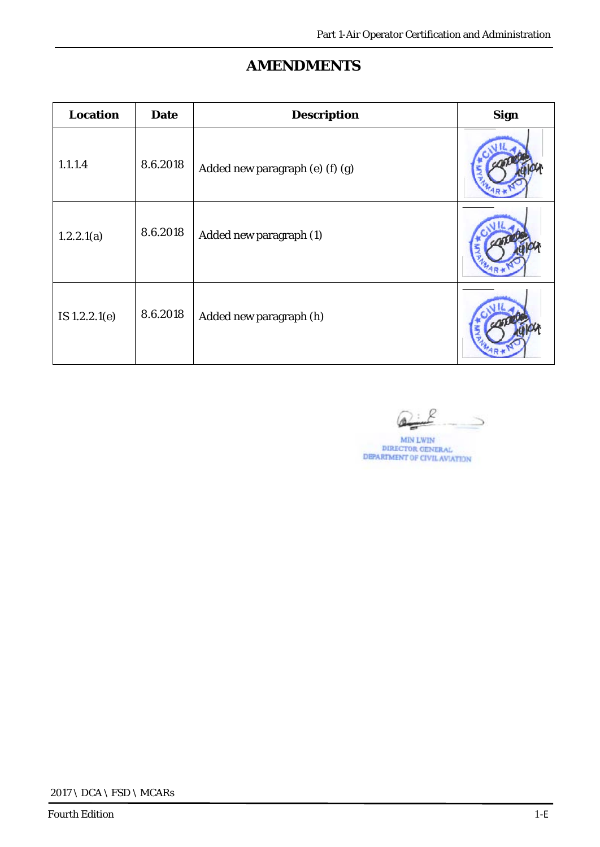| <b>Location</b> | <b>Date</b> | <b>Description</b>              | <b>Sign</b> |
|-----------------|-------------|---------------------------------|-------------|
| 1.1.1.4         | 8.6.2018    | Added new paragraph (e) (f) (g) |             |
| 1.2.2.1(a)      | 8.6.2018    | Added new paragraph (1)         |             |
| IS 1.2.2.1(e)   | 8.6.2018    | Added new paragraph (h)         |             |

ę  $\supset$ 

**MIN LWIN**  $\begin{array}{c} \text{MIN LWIN} \\ \text{DIRECTOR GENERAL} \\ \text{DEPARTMENT OF CIVIL AVIATION} \end{array}$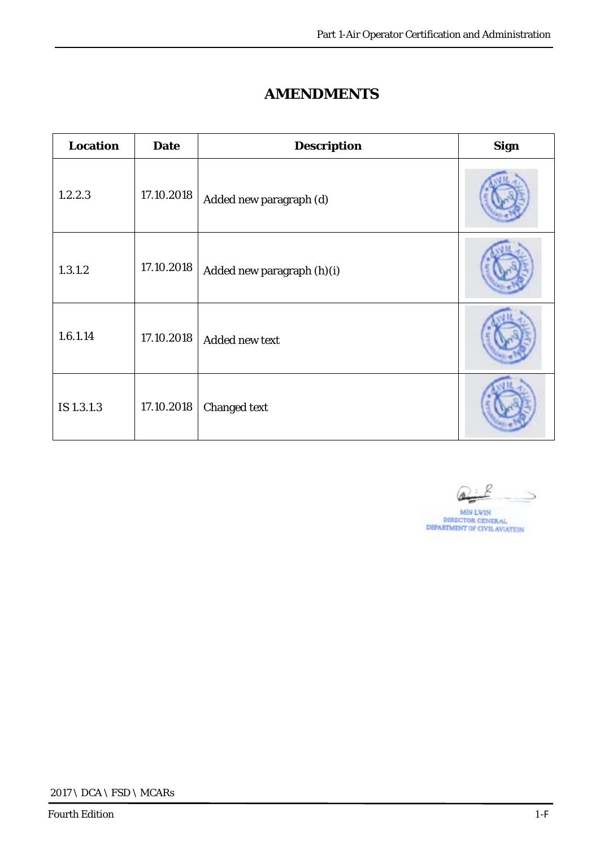| <b>Location</b> | <b>Date</b> | <b>Description</b>         | <b>Sign</b> |
|-----------------|-------------|----------------------------|-------------|
| 1.2.2.3         | 17.10.2018  | Added new paragraph (d)    |             |
| 1.3.1.2         | 17.10.2018  | Added new paragraph (h)(i) |             |
| 1.6.1.14        | 17.10.2018  | <b>Added new text</b>      |             |
| IS 1.3.1.3      | 17.10.2018  | <b>Changed text</b>        |             |

ę  $\tilde{C}$ 

 $\begin{minipage}{0.03\linewidth} \begin{tabular}{c} \multicolumn{2}{c}{MIN LWIN} \\ \multicolumn{2}{c}{DIRECTOR GENERAL} \\ \multicolumn{2}{c}{DEPARTMENT OF CIVIL AVIATION} \end{tabular} \end{minipage}$ 

 $2017 \setminus DCA \setminus FSD \setminus MCARS$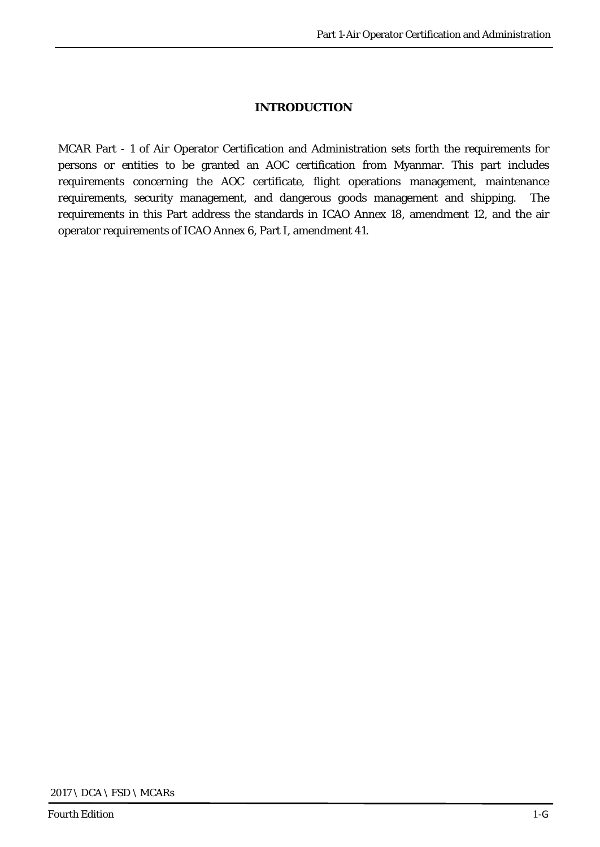# **INTRODUCTION**

MCAR Part - 1 of Air Operator Certification and Administration sets forth the requirements for persons or entities to be granted an AOC certification from Myanmar. This part includes requirements concerning the AOC certificate, flight operations management, maintenance requirements, security management, and dangerous goods management and shipping. The requirements in this Part address the standards in ICAO Annex 18, amendment 12, and the air operator requirements of ICAO Annex 6, Part I, amendment 41.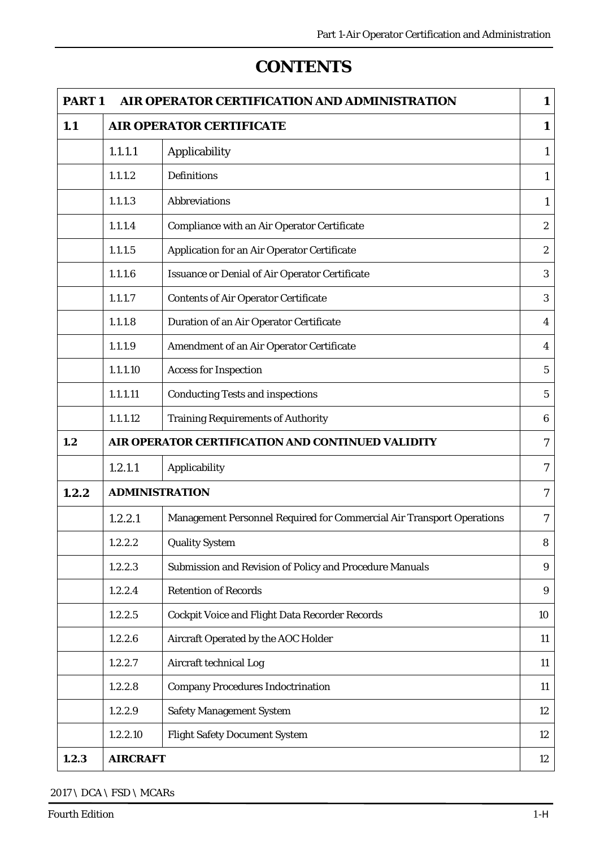# **CONTENTS**

| PART <sub>1</sub><br>AIR OPERATOR CERTIFICATION AND ADMINISTRATION |                       |                                                                       | $\mathbf{1}$     |
|--------------------------------------------------------------------|-----------------------|-----------------------------------------------------------------------|------------------|
| 1.1                                                                |                       | <b>AIR OPERATOR CERTIFICATE</b>                                       | 1                |
|                                                                    | 1.1.1.1               | <b>Applicability</b>                                                  | $\mathbf{1}$     |
|                                                                    | 1.1.1.2               | <b>Definitions</b>                                                    | $\mathbf{1}$     |
|                                                                    | 1.1.1.3               | <b>Abbreviations</b>                                                  | $\mathbf{1}$     |
|                                                                    | 1.1.1.4               | <b>Compliance with an Air Operator Certificate</b>                    | $\boldsymbol{2}$ |
|                                                                    | 1.1.1.5               | <b>Application for an Air Operator Certificate</b>                    | $\boldsymbol{2}$ |
|                                                                    | 1.1.1.6               | <b>Issuance or Denial of Air Operator Certificate</b>                 | 3                |
|                                                                    | 1.1.1.7               | <b>Contents of Air Operator Certificate</b>                           | 3                |
|                                                                    | 1.1.1.8               | <b>Duration of an Air Operator Certificate</b>                        | 4                |
|                                                                    | 1.1.1.9               | Amendment of an Air Operator Certificate                              | 4                |
|                                                                    | 1.1.1.10              | <b>Access for Inspection</b>                                          | $5^{\circ}$      |
|                                                                    | 1.1.1.11              | <b>Conducting Tests and inspections</b>                               | $5\phantom{.0}$  |
|                                                                    | 1.1.1.12              | <b>Training Requirements of Authority</b>                             | 6                |
| 1.2                                                                |                       | AIR OPERATOR CERTIFICATION AND CONTINUED VALIDITY                     | 7                |
|                                                                    | 1.2.1.1               | Applicability                                                         | 7                |
| 1.2.2                                                              | <b>ADMINISTRATION</b> |                                                                       | 7                |
|                                                                    | 1.2.2.1               | Management Personnel Required for Commercial Air Transport Operations | 7                |
|                                                                    | 1.2.2.2               | <b>Quality System</b>                                                 | 8                |
|                                                                    | 1.2.2.3               | Submission and Revision of Policy and Procedure Manuals               | 9                |
|                                                                    | 1.2.2.4               | <b>Retention of Records</b>                                           | 9                |
|                                                                    | 1.2.2.5               | <b>Cockpit Voice and Flight Data Recorder Records</b>                 | 10               |
|                                                                    | 1.2.2.6               | Aircraft Operated by the AOC Holder                                   | 11               |
|                                                                    | 1.2.2.7               | Aircraft technical Log                                                | 11               |
|                                                                    | 1.2.2.8               | <b>Company Procedures Indoctrination</b>                              | 11               |
|                                                                    | 1.2.2.9               | <b>Safety Management System</b>                                       | 12               |
|                                                                    | 1.2.2.10              | <b>Flight Safety Document System</b>                                  | 12               |
| 1.2.3                                                              | <b>AIRCRAFT</b>       |                                                                       | 12               |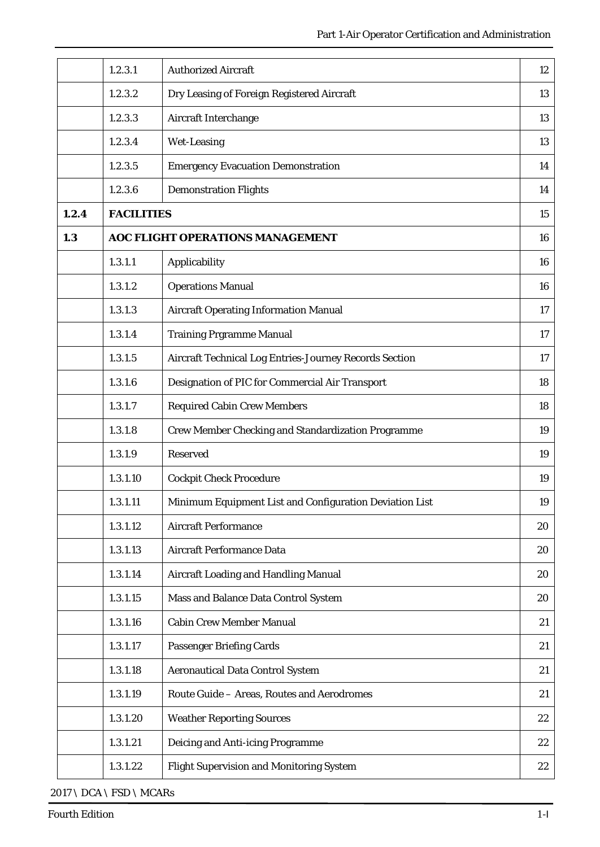|       | 1.2.3.1           | <b>Authorized Aircraft</b>                                    | 12 |
|-------|-------------------|---------------------------------------------------------------|----|
|       | 1.2.3.2           | Dry Leasing of Foreign Registered Aircraft                    | 13 |
|       | 1.2.3.3           | Aircraft Interchange                                          | 13 |
|       | 1.2.3.4           | <b>Wet-Leasing</b>                                            | 13 |
|       | 1.2.3.5           | <b>Emergency Evacuation Demonstration</b>                     | 14 |
|       | 1.2.3.6           | <b>Demonstration Flights</b>                                  | 14 |
| 1.2.4 | <b>FACILITIES</b> |                                                               | 15 |
| 1.3   |                   | AOC FLIGHT OPERATIONS MANAGEMENT                              | 16 |
|       | 1.3.1.1           | Applicability                                                 | 16 |
|       | 1.3.1.2           | <b>Operations Manual</b>                                      | 16 |
|       | 1.3.1.3           | <b>Aircraft Operating Information Manual</b>                  | 17 |
|       | 1.3.1.4           | <b>Training Prgramme Manual</b>                               | 17 |
|       | 1.3.1.5           | <b>Aircraft Technical Log Entries-Journey Records Section</b> | 17 |
|       | 1.3.1.6           | Designation of PIC for Commercial Air Transport               | 18 |
|       | 1.3.1.7           | <b>Required Cabin Crew Members</b>                            | 18 |
|       | 1.3.1.8           | <b>Crew Member Checking and Standardization Programme</b>     | 19 |
|       | 1.3.1.9           | Reserved                                                      | 19 |
|       | 1.3.1.10          | <b>Cockpit Check Procedure</b>                                | 19 |
|       | 1.3.1.11          | Minimum Equipment List and Configuration Deviation List       | 19 |
|       | 1.3.1.12          | <b>Aircraft Performance</b>                                   | 20 |
|       | 1.3.1.13          | <b>Aircraft Performance Data</b>                              | 20 |
|       | 1.3.1.14          | <b>Aircraft Loading and Handling Manual</b>                   | 20 |
|       | 1.3.1.15          | <b>Mass and Balance Data Control System</b>                   | 20 |
|       | 1.3.1.16          | <b>Cabin Crew Member Manual</b>                               | 21 |
|       | 1.3.1.17          | <b>Passenger Briefing Cards</b>                               | 21 |
|       | 1.3.1.18          | <b>Aeronautical Data Control System</b>                       | 21 |
|       | 1.3.1.19          | Route Guide - Areas, Routes and Aerodromes                    | 21 |
|       | 1.3.1.20          | <b>Weather Reporting Sources</b>                              | 22 |
|       | 1.3.1.21          | Deicing and Anti-icing Programme                              | 22 |
|       | 1.3.1.22          | <b>Flight Supervision and Monitoring System</b>               | 22 |
|       |                   |                                                               |    |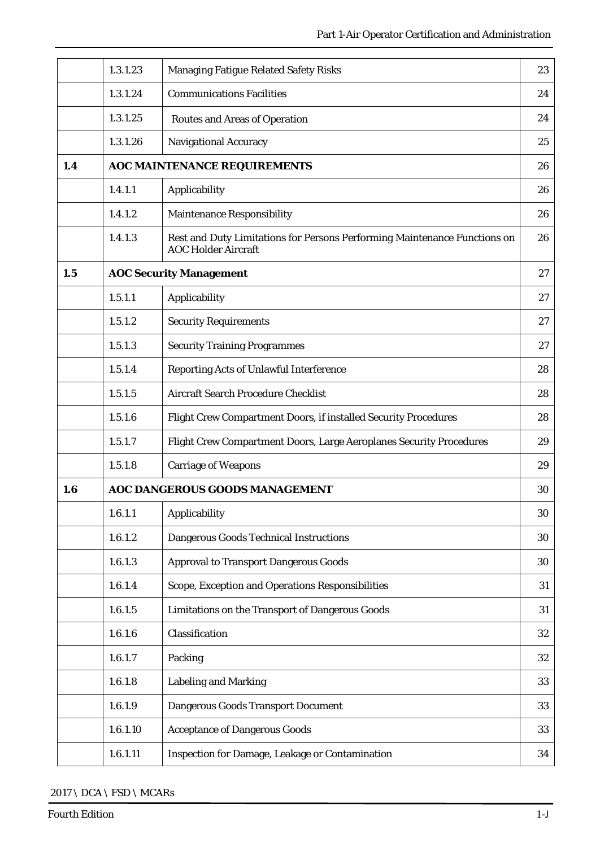|     | 1.3.1.23 | <b>Managing Fatigue Related Safety Risks</b>                                                            | 23 |
|-----|----------|---------------------------------------------------------------------------------------------------------|----|
|     | 1.3.1.24 | <b>Communications Facilities</b>                                                                        | 24 |
|     | 1.3.1.25 | <b>Routes and Areas of Operation</b>                                                                    | 24 |
|     | 1.3.1.26 | <b>Navigational Accuracy</b>                                                                            | 25 |
| 1.4 |          | <b>AOC MAINTENANCE REQUIREMENTS</b>                                                                     | 26 |
|     | 1.4.1.1  | Applicability                                                                                           | 26 |
|     | 1.4.1.2  | <b>Maintenance Responsibility</b>                                                                       | 26 |
|     | 1.4.1.3  | Rest and Duty Limitations for Persons Performing Maintenance Functions on<br><b>AOC Holder Aircraft</b> | 26 |
| 1.5 |          | <b>AOC Security Management</b>                                                                          | 27 |
|     | 1.5.1.1  | Applicability                                                                                           | 27 |
|     | 1.5.1.2  | <b>Security Requirements</b>                                                                            | 27 |
|     | 1.5.1.3  | <b>Security Training Programmes</b>                                                                     | 27 |
|     | 1.5.1.4  | <b>Reporting Acts of Unlawful Interference</b>                                                          | 28 |
|     | 1.5.1.5  | <b>Aircraft Search Procedure Checklist</b>                                                              | 28 |
|     | 1.5.1.6  | Flight Crew Compartment Doors, if installed Security Procedures                                         | 28 |
|     | 1.5.1.7  | Flight Crew Compartment Doors, Large Aeroplanes Security Procedures                                     | 29 |
|     | 1.5.1.8  | <b>Carriage of Weapons</b>                                                                              | 29 |
| 1.6 |          | AOC DANGEROUS GOODS MANAGEMENT                                                                          | 30 |
|     | 1.6.1.1  | Applicability                                                                                           | 30 |
|     | 1.6.1.2  | <b>Dangerous Goods Technical Instructions</b>                                                           | 30 |
|     | 1.6.1.3  | <b>Approval to Transport Dangerous Goods</b>                                                            | 30 |
|     | 1.6.1.4  | Scope, Exception and Operations Responsibilities                                                        | 31 |
|     | 1.6.1.5  | <b>Limitations on the Transport of Dangerous Goods</b>                                                  | 31 |
|     | 1.6.1.6  | Classification                                                                                          | 32 |
|     | 1.6.1.7  | Packing                                                                                                 | 32 |
|     | 1.6.1.8  | <b>Labeling and Marking</b>                                                                             | 33 |
|     | 1.6.1.9  | <b>Dangerous Goods Transport Document</b>                                                               | 33 |
|     | 1.6.1.10 | <b>Acceptance of Dangerous Goods</b>                                                                    | 33 |
|     | 1.6.1.11 | Inspection for Damage, Leakage or Contamination                                                         | 34 |
|     |          |                                                                                                         |    |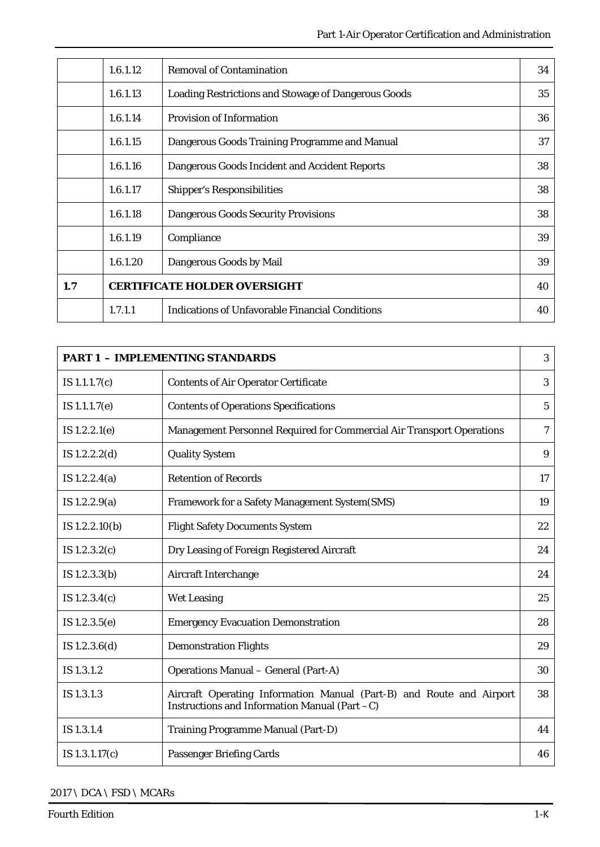|     | 1.6.1.12 | <b>Removal of Contamination</b>                            | 34 |
|-----|----------|------------------------------------------------------------|----|
|     | 1.6.1.13 | <b>Loading Restrictions and Stowage of Dangerous Goods</b> | 35 |
|     | 1.6.1.14 | <b>Provision of Information</b>                            | 36 |
|     | 1.6.1.15 | Dangerous Goods Training Programme and Manual              | 37 |
|     | 1.6.1.16 | Dangerous Goods Incident and Accident Reports              | 38 |
|     | 1.6.1.17 | <b>Shipper's Responsibilities</b>                          | 38 |
|     | 1.6.1.18 | <b>Dangerous Goods Security Provisions</b>                 | 38 |
|     | 1.6.1.19 | Compliance                                                 | 39 |
|     | 1.6.1.20 | Dangerous Goods by Mail                                    | 39 |
| 1.7 |          | <b>CERTIFICATE HOLDER OVERSIGHT</b>                        | 40 |
|     | 1.7.1.1  | <b>Indications of Unfavorable Financial Conditions</b>     | 40 |

| <b>PART 1 - IMPLEMENTING STANDARDS</b> |                                                                                                                       |                |
|----------------------------------------|-----------------------------------------------------------------------------------------------------------------------|----------------|
| IS $1.1.1.7(c)$                        | <b>Contents of Air Operator Certificate</b>                                                                           | 3              |
| IS $1.1.1.7(e)$                        | <b>Contents of Operations Specifications</b>                                                                          | $\overline{5}$ |
| IS $1.2.2.1(e)$                        | Management Personnel Required for Commercial Air Transport Operations                                                 | 7              |
| IS $1.2.2.2(d)$                        | <b>Quality System</b>                                                                                                 | 9              |
| IS $1.2.2.4(a)$                        | <b>Retention of Records</b>                                                                                           | 17             |
| IS $1.2.2.9(a)$                        | Framework for a Safety Management System(SMS)                                                                         | 19             |
| IS 1.2.2.10(b)                         | <b>Flight Safety Documents System</b>                                                                                 | 22             |
| IS $1.2.3.2(c)$                        | Dry Leasing of Foreign Registered Aircraft                                                                            | 24             |
| IS $1.2.3.3(b)$                        | Aircraft Interchange                                                                                                  | 24             |
| IS $1.2.3.4(c)$                        | <b>Wet Leasing</b>                                                                                                    | 25             |
| IS $1.2.3.5(e)$                        | <b>Emergency Evacuation Demonstration</b>                                                                             | 28             |
| IS $1.2.3.6(d)$                        | <b>Demonstration Flights</b>                                                                                          | 29             |
| IS 1.3.1.2                             | <b>Operations Manual - General (Part-A)</b>                                                                           | 30             |
| IS 1.3.1.3                             | Aircraft Operating Information Manual (Part-B) and Route and Airport<br>Instructions and Information Manual (Part -C) | 38             |
| IS 1.3.1.4                             | <b>Training Programme Manual (Part-D)</b>                                                                             | 44             |
| IS $1.3.1.17(c)$                       | <b>Passenger Briefing Cards</b>                                                                                       | 46             |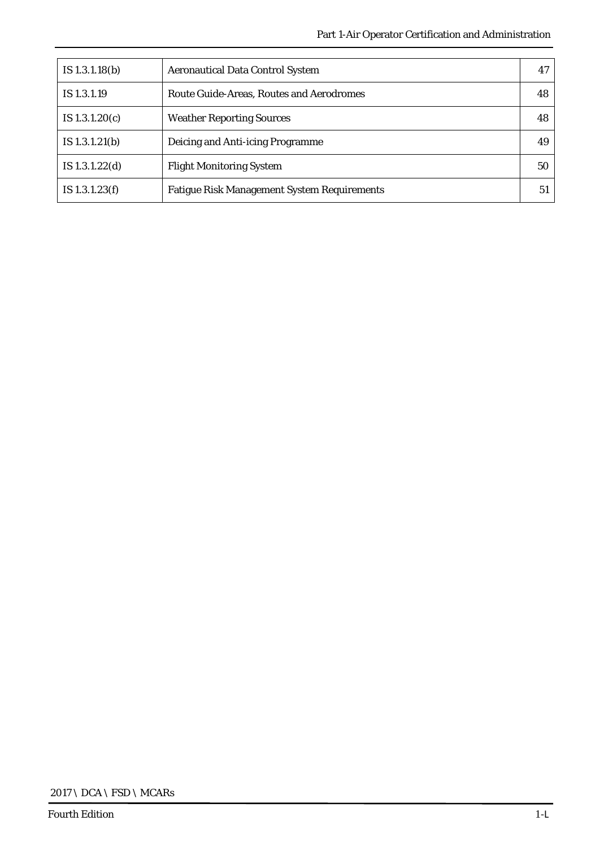| IS $1.3.1.18(b)$ | <b>Aeronautical Data Control System</b>            | 47  |
|------------------|----------------------------------------------------|-----|
| IS 1.3.1.19      | <b>Route Guide-Areas, Routes and Aerodromes</b>    | 48. |
| IS $1.3.1.20(c)$ | <b>Weather Reporting Sources</b>                   | 48  |
| IS $1.3.1.21(b)$ | Deicing and Anti-icing Programme                   | 49  |
| IS $1.3.1.22(d)$ | <b>Flight Monitoring System</b>                    | 50  |
| IS $1.3.1.23(f)$ | <b>Fatigue Risk Management System Requirements</b> | 51  |

 $2017 \smallsetminus DCA \smallsetminus FSD \smallsetminus MCARS$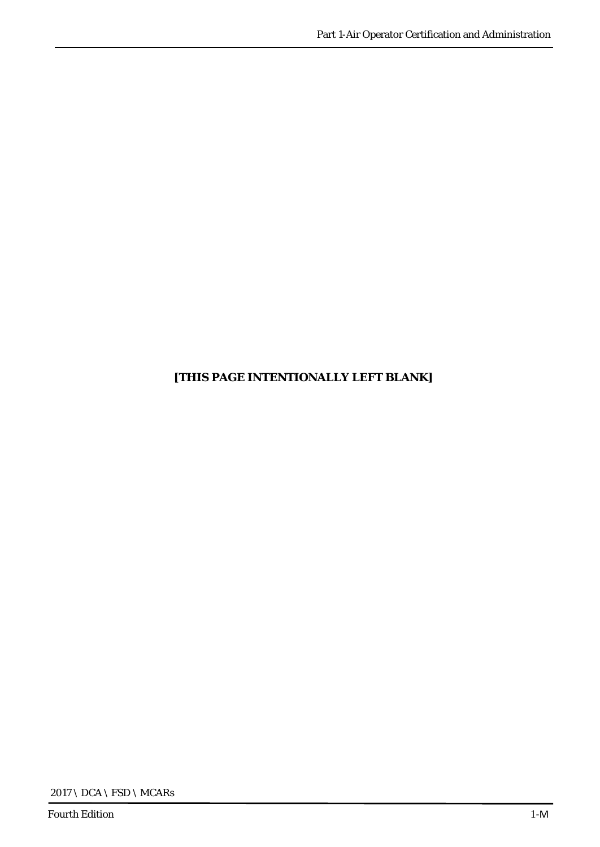# **[THIS PAGE INTENTIONALLY LEFT BLANK]**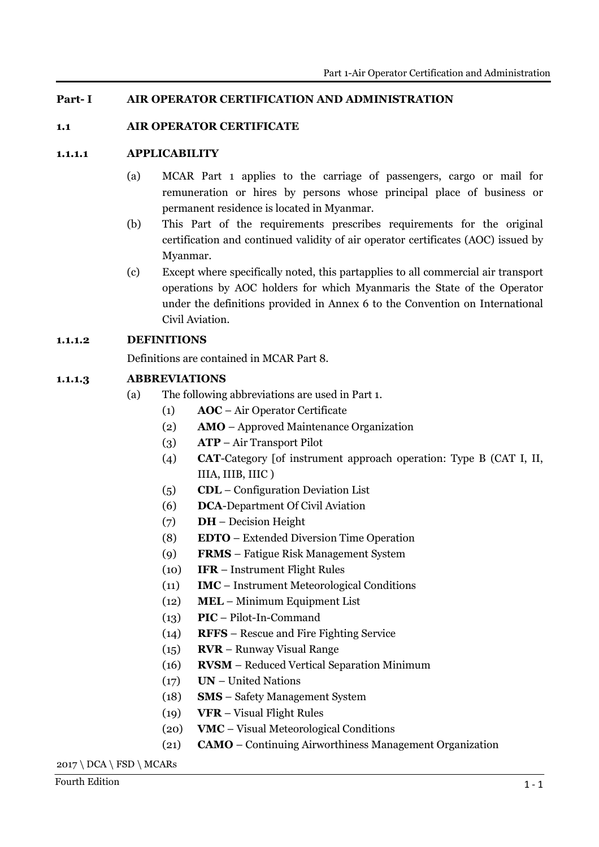# **Part- I AIR OPERATOR CERTIFICATION AND ADMINISTRATION**

#### **1.1 AIR OPERATOR CERTIFICATE**

#### **1.1.1.1 APPLICABILITY**

- (a) MCAR Part 1 applies to the carriage of passengers, cargo or mail for remuneration or hires by persons whose principal place of business or permanent residence is located in Myanmar.
- (b) This Part of the requirements prescribes requirements for the original certification and continued validity of air operator certificates (AOC) issued by Myanmar.
- (c) Except where specifically noted, this partapplies to all commercial air transport operations by AOC holders for which Myanmaris the State of the Operator under the definitions provided in Annex 6 to the Convention on International Civil Aviation.

#### **1.1.1.2 DEFINITIONS**

Definitions are contained in MCAR Part 8.

#### **1.1.1.3 ABBREVIATIONS**

- (a) The following abbreviations are used in Part 1.
	- (1) **AOC** Air Operator Certificate
	- (2) **AMO** Approved Maintenance Organization
	- (3) **ATP** Air Transport Pilot
	- (4) **CAT**-Category [of instrument approach operation: Type B (CAT I, II, IIIA, IIIB, IIIC )
	- (5) **CDL** Configuration Deviation List
	- (6) **DCA**-Department Of Civil Aviation
	- (7) **DH** Decision Height
	- (8) **EDTO** Extended Diversion Time Operation
	- (9) **FRMS** Fatigue Risk Management System
	- (10) **IFR** Instrument Flight Rules
	- (11) **IMC** Instrument Meteorological Conditions
	- (12) **MEL** Minimum Equipment List
	- (13) **PIC** Pilot-In-Command
	- (14) **RFFS** Rescue and Fire Fighting Service
	- (15) **RVR** Runway Visual Range
	- (16) **RVSM** Reduced Vertical Separation Minimum
	- (17) **UN** United Nations
	- (18) **SMS** Safety Management System
	- (19) **VFR** Visual Flight Rules
	- (20) **VMC** Visual Meteorological Conditions
	- (21) **CAMO** Continuing Airworthiness Management Organization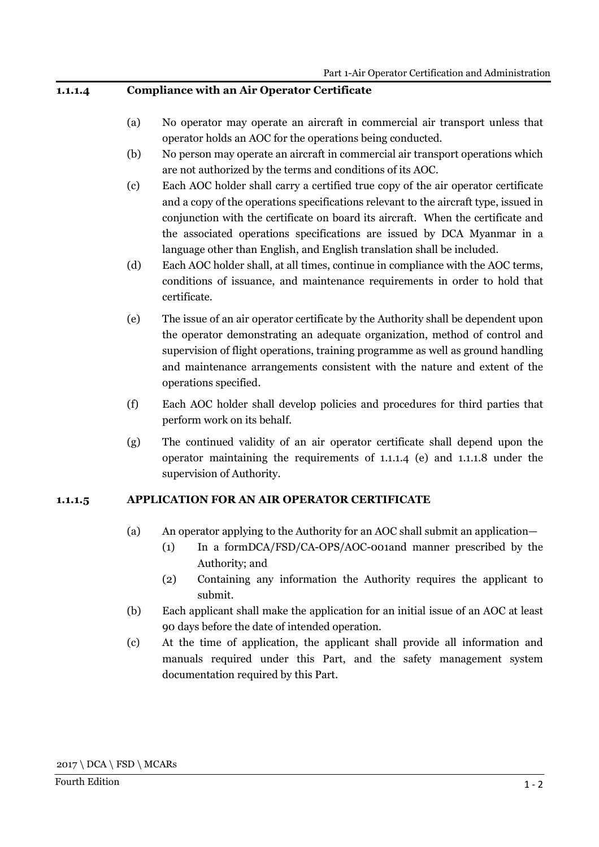|         |     | Part 1-Air Operator Certification and Administration                                                                                                                                                                                                                                                                                                                                                                |
|---------|-----|---------------------------------------------------------------------------------------------------------------------------------------------------------------------------------------------------------------------------------------------------------------------------------------------------------------------------------------------------------------------------------------------------------------------|
| 1.1.1.4 |     | <b>Compliance with an Air Operator Certificate</b>                                                                                                                                                                                                                                                                                                                                                                  |
|         | (a) | No operator may operate an aircraft in commercial air transport unless that<br>operator holds an AOC for the operations being conducted.                                                                                                                                                                                                                                                                            |
|         | (b) | No person may operate an aircraft in commercial air transport operations which<br>are not authorized by the terms and conditions of its AOC.                                                                                                                                                                                                                                                                        |
|         | (c) | Each AOC holder shall carry a certified true copy of the air operator certificate<br>and a copy of the operations specifications relevant to the aircraft type, issued in<br>conjunction with the certificate on board its aircraft. When the certificate and<br>the associated operations specifications are issued by DCA Myanmar in a<br>language other than English, and English translation shall be included. |
|         | (d) | Each AOC holder shall, at all times, continue in compliance with the AOC terms,<br>conditions of issuance, and maintenance requirements in order to hold that<br>certificate.                                                                                                                                                                                                                                       |
|         | (e) | The issue of an air operator certificate by the Authority shall be dependent upon<br>the operator demonstrating an adequate organization, method of control and<br>supervision of flight operations, training programme as well as ground handling<br>and maintenance arrangements consistent with the nature and extent of the<br>operations specified.                                                            |
|         | (f) | Each AOC holder shall develop policies and procedures for third parties that<br>perform work on its behalf.                                                                                                                                                                                                                                                                                                         |
|         | (g) | The continued validity of an air operator certificate shall depend upon the<br>operator maintaining the requirements of 1.1.1.4 (e) and 1.1.1.8 under the<br>supervision of Authority.                                                                                                                                                                                                                              |
| 1.1.1.5 |     | <b>APPLICATION FOR AN AIR OPERATOR CERTIFICATE</b>                                                                                                                                                                                                                                                                                                                                                                  |
|         | (a) | An operator applying to the Authority for an AOC shall submit an application—<br>In a formDCA/FSD/CA-OPS/AOC-oo1and manner prescribed by the<br>(1)<br>Authority; and<br>Containing any information the Authority requires the applicant to<br>(2)                                                                                                                                                                  |
|         | (b) | submit.<br>Each applicant shall make the application for an initial issue of an AOC at least<br>90 days before the date of intended operation.                                                                                                                                                                                                                                                                      |
|         | (c) | At the time of application, the applicant shall provide all information and<br>manuals required under this Part, and the safety management system<br>documentation required by this Part.                                                                                                                                                                                                                           |
|         |     |                                                                                                                                                                                                                                                                                                                                                                                                                     |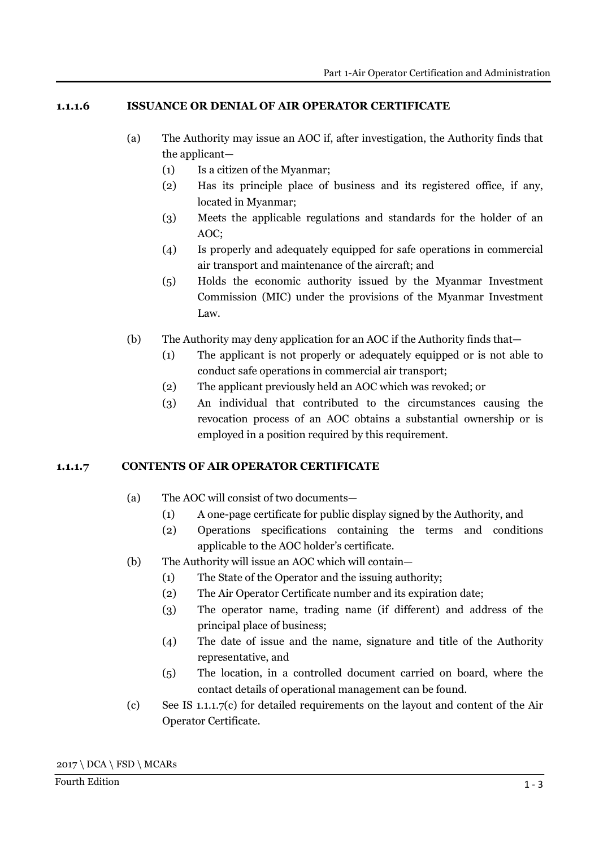# **1.1.1.6 ISSUANCE OR DENIAL OF AIR OPERATOR CERTIFICATE**

- (a) The Authority may issue an AOC if, after investigation, the Authority finds that the applicant—
	- (1) Is a citizen of the Myanmar;
	- (2) Has its principle place of business and its registered office, if any, located in Myanmar;
	- (3) Meets the applicable regulations and standards for the holder of an AOC;
	- (4) Is properly and adequately equipped for safe operations in commercial air transport and maintenance of the aircraft; and
	- (5) Holds the economic authority issued by the Myanmar Investment Commission (MIC) under the provisions of the Myanmar Investment Law.
- (b) The Authority may deny application for an AOC if the Authority finds that—
	- (1) The applicant is not properly or adequately equipped or is not able to conduct safe operations in commercial air transport;
	- (2) The applicant previously held an AOC which was revoked; or
	- (3) An individual that contributed to the circumstances causing the revocation process of an AOC obtains a substantial ownership or is employed in a position required by this requirement.

#### **1.1.1.7 CONTENTS OF AIR OPERATOR CERTIFICATE**

- (a) The AOC will consist of two documents—
	- (1) A one-page certificate for public display signed by the Authority, and
	- (2) Operations specifications containing the terms and conditions applicable to the AOC holder's certificate.
- (b) The Authority will issue an AOC which will contain—
	- (1) The State of the Operator and the issuing authority;
	- (2) The Air Operator Certificate number and its expiration date;
	- (3) The operator name, trading name (if different) and address of the principal place of business;
	- (4) The date of issue and the name, signature and title of the Authority representative, and
	- (5) The location, in a controlled document carried on board, where the contact details of operational management can be found.
- (c) See IS 1.1.1.7(c) for detailed requirements on the layout and content of the Air Operator Certificate.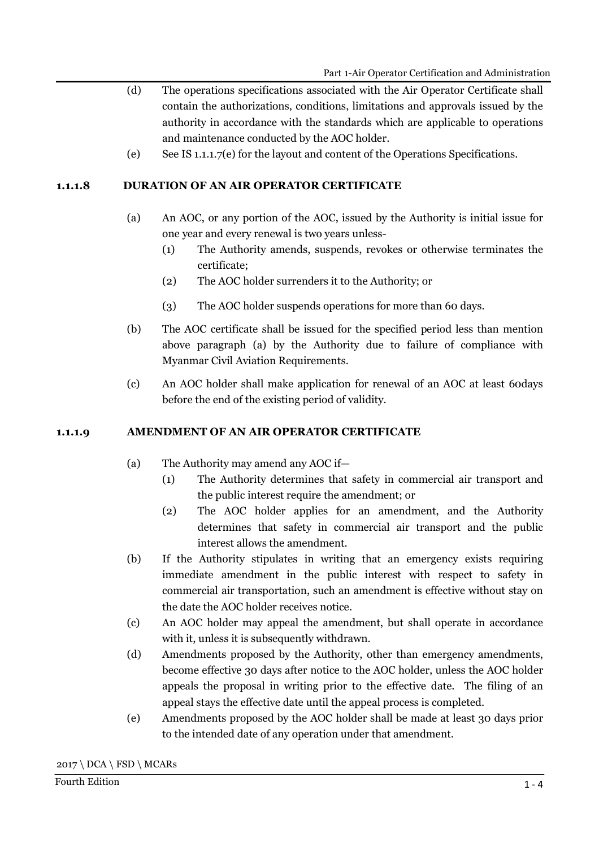- (d) The operations specifications associated with the Air Operator Certificate shall contain the authorizations, conditions, limitations and approvals issued by the authority in accordance with the standards which are applicable to operations and maintenance conducted by the AOC holder.
- (e) See IS 1.1.1.7(e) for the layout and content of the Operations Specifications.

# **1.1.1.8 DURATION OF AN AIR OPERATOR CERTIFICATE**

- (a) An AOC, or any portion of the AOC, issued by the Authority is initial issue for one year and every renewal is two years unless-
	- (1) The Authority amends, suspends, revokes or otherwise terminates the certificate;
	- (2) The AOC holder surrenders it to the Authority; or
	- (3) The AOC holder suspends operations for more than 60 days.
- (b) The AOC certificate shall be issued for the specified period less than mention above paragraph (a) by the Authority due to failure of compliance with Myanmar Civil Aviation Requirements.
- (c) An AOC holder shall make application for renewal of an AOC at least 60days before the end of the existing period of validity.

# **1.1.1.9 AMENDMENT OF AN AIR OPERATOR CERTIFICATE**

- (a) The Authority may amend any AOC if—
	- (1) The Authority determines that safety in commercial air transport and the public interest require the amendment; or
	- (2) The AOC holder applies for an amendment, and the Authority determines that safety in commercial air transport and the public interest allows the amendment.
- (b) If the Authority stipulates in writing that an emergency exists requiring immediate amendment in the public interest with respect to safety in commercial air transportation, such an amendment is effective without stay on the date the AOC holder receives notice.
- (c) An AOC holder may appeal the amendment, but shall operate in accordance with it, unless it is subsequently withdrawn.
- (d) Amendments proposed by the Authority, other than emergency amendments, become effective 30 days after notice to the AOC holder, unless the AOC holder appeals the proposal in writing prior to the effective date. The filing of an appeal stays the effective date until the appeal process is completed.
- (e) Amendments proposed by the AOC holder shall be made at least 30 days prior to the intended date of any operation under that amendment.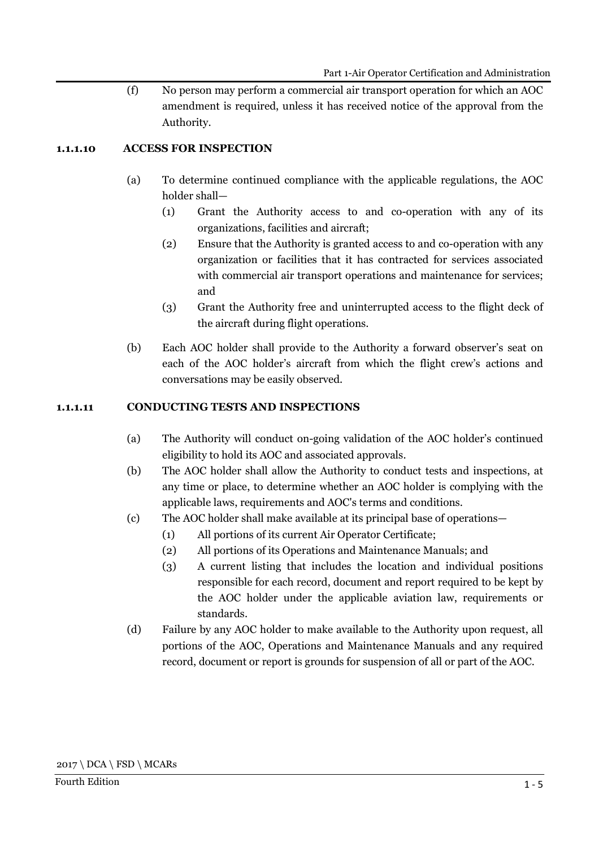(f) No person may perform a commercial air transport operation for which an AOC amendment is required, unless it has received notice of the approval from the Authority.

# **1.1.1.10 ACCESS FOR INSPECTION**

- (a) To determine continued compliance with the applicable regulations, the AOC holder shall—
	- (1) Grant the Authority access to and co-operation with any of its organizations, facilities and aircraft;
	- (2) Ensure that the Authority is granted access to and co-operation with any organization or facilities that it has contracted for services associated with commercial air transport operations and maintenance for services; and
	- (3) Grant the Authority free and uninterrupted access to the flight deck of the aircraft during flight operations.
- (b) Each AOC holder shall provide to the Authority a forward observer's seat on each of the AOC holder's aircraft from which the flight crew's actions and conversations may be easily observed.

# **1.1.1.11 CONDUCTING TESTS AND INSPECTIONS**

- (a) The Authority will conduct on-going validation of the AOC holder's continued eligibility to hold its AOC and associated approvals.
- (b) The AOC holder shall allow the Authority to conduct tests and inspections, at any time or place, to determine whether an AOC holder is complying with the applicable laws, requirements and AOC's terms and conditions.
- (c) The AOC holder shall make available at its principal base of operations—
	- (1) All portions of its current Air Operator Certificate;
	- (2) All portions of its Operations and Maintenance Manuals; and
	- (3) A current listing that includes the location and individual positions responsible for each record, document and report required to be kept by the AOC holder under the applicable aviation law, requirements or standards.
- (d) Failure by any AOC holder to make available to the Authority upon request, all portions of the AOC, Operations and Maintenance Manuals and any required record, document or report is grounds for suspension of all or part of the AOC.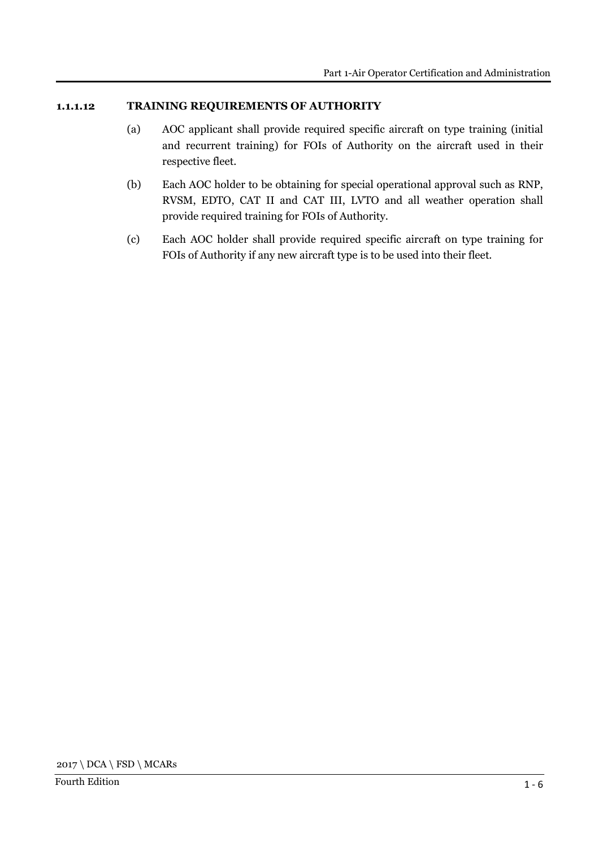# **1.1.1.12 TRAINING REQUIREMENTS OF AUTHORITY**

- (a) AOC applicant shall provide required specific aircraft on type training (initial and recurrent training) for FOIs of Authority on the aircraft used in their respective fleet.
- (b) Each AOC holder to be obtaining for special operational approval such as RNP, RVSM, EDTO, CAT II and CAT III, LVTO and all weather operation shall provide required training for FOIs of Authority.
- (c) Each AOC holder shall provide required specific aircraft on type training for FOIs of Authority if any new aircraft type is to be used into their fleet.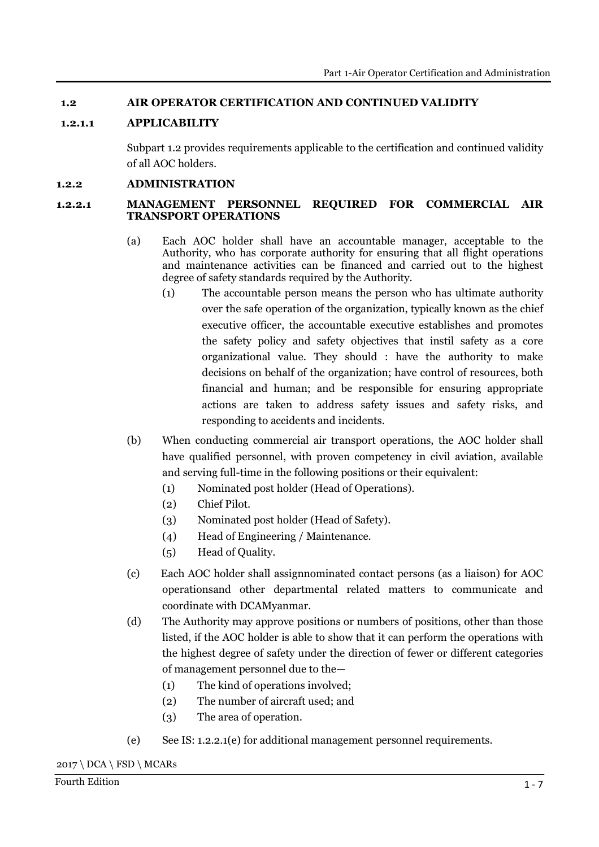#### **1.2 AIR OPERATOR CERTIFICATION AND CONTINUED VALIDITY**

# **1.2.1.1 APPLICABILITY**

Subpart 1.2 provides requirements applicable to the certification and continued validity of all AOC holders.

#### **1.2.2 ADMINISTRATION**

#### **1.2.2.1 MANAGEMENT PERSONNEL REQUIRED FOR COMMERCIAL AIR TRANSPORT OPERATIONS**

- (a) Each AOC holder shall have an accountable manager, acceptable to the Authority, who has corporate authority for ensuring that all flight operations and maintenance activities can be financed and carried out to the highest degree of safety standards required by the Authority.
	- (1) The accountable person means the person who has ultimate authority over the safe operation of the organization, typically known as the chief executive officer, the accountable executive establishes and promotes the safety policy and safety objectives that instil safety as a core organizational value. They should : have the authority to make decisions on behalf of the organization; have control of resources, both financial and human; and be responsible for ensuring appropriate actions are taken to address safety issues and safety risks, and responding to accidents and incidents.
- (b) When conducting commercial air transport operations, the AOC holder shall have qualified personnel, with proven competency in civil aviation, available and serving full-time in the following positions or their equivalent:
	- (1) Nominated post holder (Head of Operations).
	- (2) Chief Pilot.
	- (3) Nominated post holder (Head of Safety).
	- (4) Head of Engineering / Maintenance.
	- (5) Head of Quality.
- (c) Each AOC holder shall assignnominated contact persons (as a liaison) for AOC operationsand other departmental related matters to communicate and coordinate with DCAMyanmar.
- (d) The Authority may approve positions or numbers of positions, other than those listed, if the AOC holder is able to show that it can perform the operations with the highest degree of safety under the direction of fewer or different categories of management personnel due to the—
	- (1) The kind of operations involved;
	- (2) The number of aircraft used; and
	- (3) The area of operation.
- (e) See IS: 1.2.2.1(e) for additional management personnel requirements.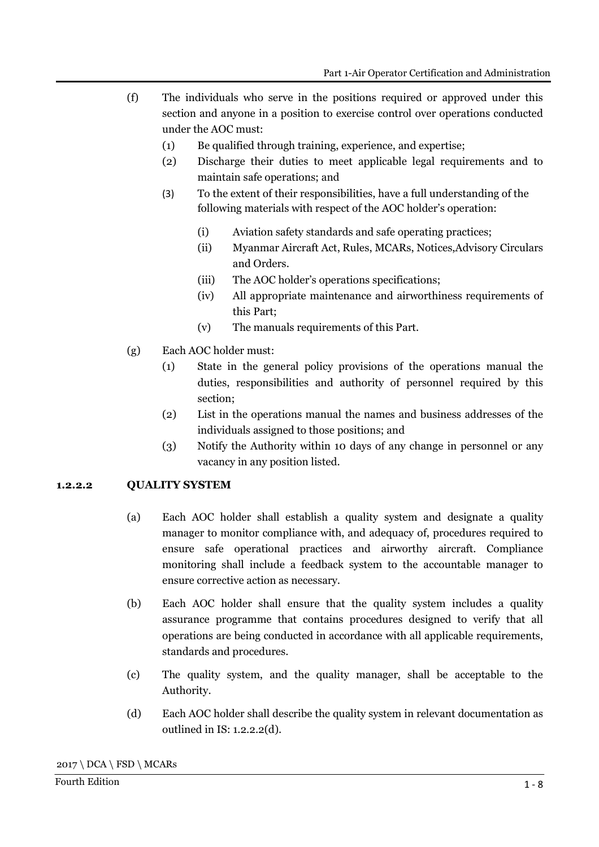- (f) The individuals who serve in the positions required or approved under this section and anyone in a position to exercise control over operations conducted under the AOC must:
	- (1) Be qualified through training, experience, and expertise;
	- (2) Discharge their duties to meet applicable legal requirements and to maintain safe operations; and
	- (3) To the extent of their responsibilities, have a full understanding of the following materials with respect of the AOC holder's operation:
		- (i) Aviation safety standards and safe operating practices;
		- (ii) Myanmar Aircraft Act, Rules, MCARs, Notices,Advisory Circulars and Orders.
		- (iii) The AOC holder's operations specifications;
		- (iv) All appropriate maintenance and airworthiness requirements of this Part;
		- (v) The manuals requirements of this Part.
- (g) Each AOC holder must:
	- (1) State in the general policy provisions of the operations manual the duties, responsibilities and authority of personnel required by this section;
	- (2) List in the operations manual the names and business addresses of the individuals assigned to those positions; and
	- (3) Notify the Authority within 10 days of any change in personnel or any vacancy in any position listed.

#### **1.2.2.2 QUALITY SYSTEM**

- (a) Each AOC holder shall establish a quality system and designate a quality manager to monitor compliance with, and adequacy of, procedures required to ensure safe operational practices and airworthy aircraft. Compliance monitoring shall include a feedback system to the accountable manager to ensure corrective action as necessary.
- (b) Each AOC holder shall ensure that the quality system includes a quality assurance programme that contains procedures designed to verify that all operations are being conducted in accordance with all applicable requirements, standards and procedures.
- (c) The quality system, and the quality manager, shall be acceptable to the Authority.
- (d) Each AOC holder shall describe the quality system in relevant documentation as outlined in IS: 1.2.2.2(d).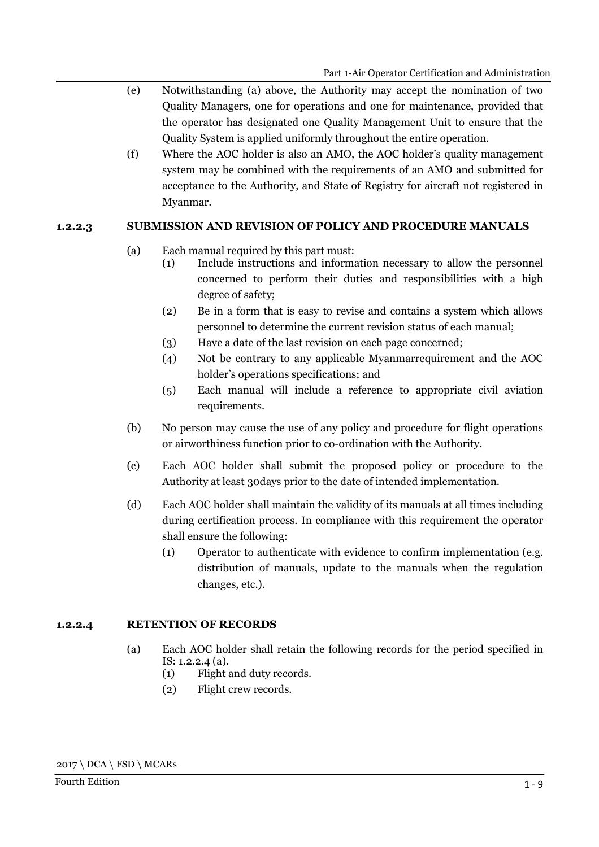- (e) Notwithstanding (a) above, the Authority may accept the nomination of two Quality Managers, one for operations and one for maintenance, provided that the operator has designated one Quality Management Unit to ensure that the Quality System is applied uniformly throughout the entire operation.
- (f) Where the AOC holder is also an AMO, the AOC holder's quality management system may be combined with the requirements of an AMO and submitted for acceptance to the Authority, and State of Registry for aircraft not registered in Myanmar.

# **1.2.2.3 SUBMISSION AND REVISION OF POLICY AND PROCEDURE MANUALS**

- (a) Each manual required by this part must:
	- (1) Include instructions and information necessary to allow the personnel concerned to perform their duties and responsibilities with a high degree of safety;
	- (2) Be in a form that is easy to revise and contains a system which allows personnel to determine the current revision status of each manual;
	- (3) Have a date of the last revision on each page concerned;
	- (4) Not be contrary to any applicable Myanmarrequirement and the AOC holder's operations specifications; and
	- (5) Each manual will include a reference to appropriate civil aviation requirements.
- (b) No person may cause the use of any policy and procedure for flight operations or airworthiness function prior to co-ordination with the Authority.
- (c) Each AOC holder shall submit the proposed policy or procedure to the Authority at least 30days prior to the date of intended implementation.
- (d) Each AOC holder shall maintain the validity of its manuals at all times including during certification process. In compliance with this requirement the operator shall ensure the following:
	- (1) Operator to authenticate with evidence to confirm implementation (e.g. distribution of manuals, update to the manuals when the regulation changes, etc.).

# **1.2.2.4 RETENTION OF RECORDS**

- (a) Each AOC holder shall retain the following records for the period specified in IS: 1.2.2.4 (a).
	- (1) Flight and duty records.
	- (2) Flight crew records.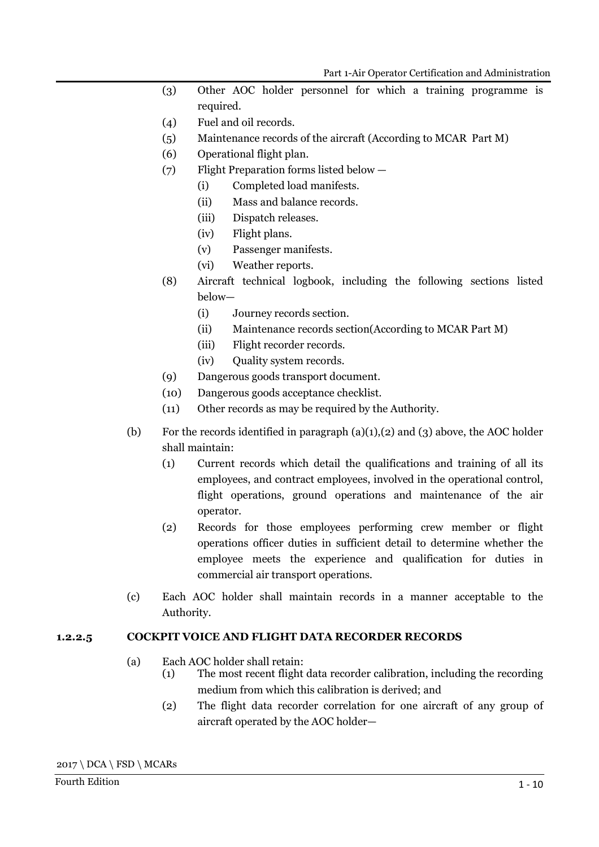- (3) Other AOC holder personnel for which a training programme is required.
- (4) Fuel and oil records.
- (5) Maintenance records of the aircraft (According to MCAR Part M)
- (6) Operational flight plan.
- (7) Flight Preparation forms listed below
	- (i) Completed load manifests.
	- (ii) Mass and balance records.
	- (iii) Dispatch releases.
	- (iv) Flight plans.
	- (v) Passenger manifests.
	- (vi) Weather reports.
- (8) Aircraft technical logbook, including the following sections listed below—
	- (i) Journey records section.
	- (ii) Maintenance records section(According to MCAR Part M)
	- (iii) Flight recorder records.
	- (iv) Ouality system records.
- (9) Dangerous goods transport document.
- (10) Dangerous goods acceptance checklist.
- (11) Other records as may be required by the Authority.
- (b) For the records identified in paragraph  $(a)(1)(2)$  and  $(3)$  above, the AOC holder shall maintain:
	- (1) Current records which detail the qualifications and training of all its employees, and contract employees, involved in the operational control, flight operations, ground operations and maintenance of the air operator.
	- (2) Records for those employees performing crew member or flight operations officer duties in sufficient detail to determine whether the employee meets the experience and qualification for duties in commercial air transport operations.
- (c) Each AOC holder shall maintain records in a manner acceptable to the Authority.

#### **1.2.2.5 COCKPIT VOICE AND FLIGHT DATA RECORDER RECORDS**

- (a) Each AOC holder shall retain:
	- (1) The most recent flight data recorder calibration, including the recording medium from which this calibration is derived; and
	- (2) The flight data recorder correlation for one aircraft of any group of aircraft operated by the AOC holder—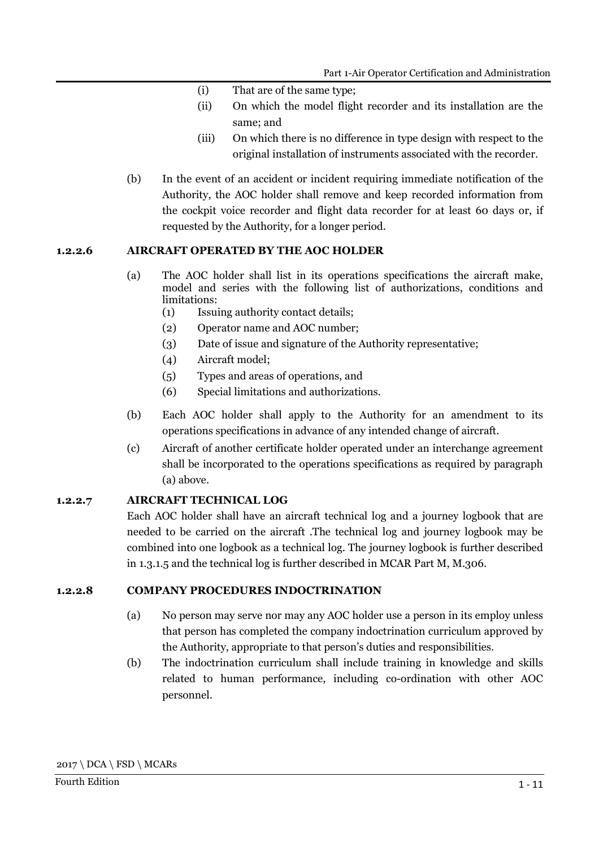- (i) That are of the same type;
- (ii) On which the model flight recorder and its installation are the same; and
- (iii) On which there is no difference in type design with respect to the original installation of instruments associated with the recorder.
- (b) In the event of an accident or incident requiring immediate notification of the Authority, the AOC holder shall remove and keep recorded information from the cockpit voice recorder and flight data recorder for at least 60 days or, if requested by the Authority, for a longer period.

#### **1.2.2.6 AIRCRAFT OPERATED BY THE AOC HOLDER**

- (a) The AOC holder shall list in its operations specifications the aircraft make, model and series with the following list of authorizations, conditions and limitations:
	- (1) Issuing authority contact details;
	- (2) Operator name and AOC number;
	- (3) Date of issue and signature of the Authority representative;
	- (4) Aircraft model;
	- (5) Types and areas of operations, and
	- (6) Special limitations and authorizations.
- (b) Each AOC holder shall apply to the Authority for an amendment to its operations specifications in advance of any intended change of aircraft.
- (c) Aircraft of another certificate holder operated under an interchange agreement shall be incorporated to the operations specifications as required by paragraph (a) above.

#### **1.2.2.7 AIRCRAFT TECHNICAL LOG**

Each AOC holder shall have an aircraft technical log and a journey logbook that are needed to be carried on the aircraft .The technical log and journey logbook may be combined into one logbook as a technical log. The journey logbook is further described in 1.3.1.5 and the technical log is further described in MCAR Part M, M.306.

#### **1.2.2.8 COMPANY PROCEDURES INDOCTRINATION**

- (a) No person may serve nor may any AOC holder use a person in its employ unless that person has completed the company indoctrination curriculum approved by the Authority, appropriate to that person's duties and responsibilities.
- (b) The indoctrination curriculum shall include training in knowledge and skills related to human performance, including co-ordination with other AOC personnel.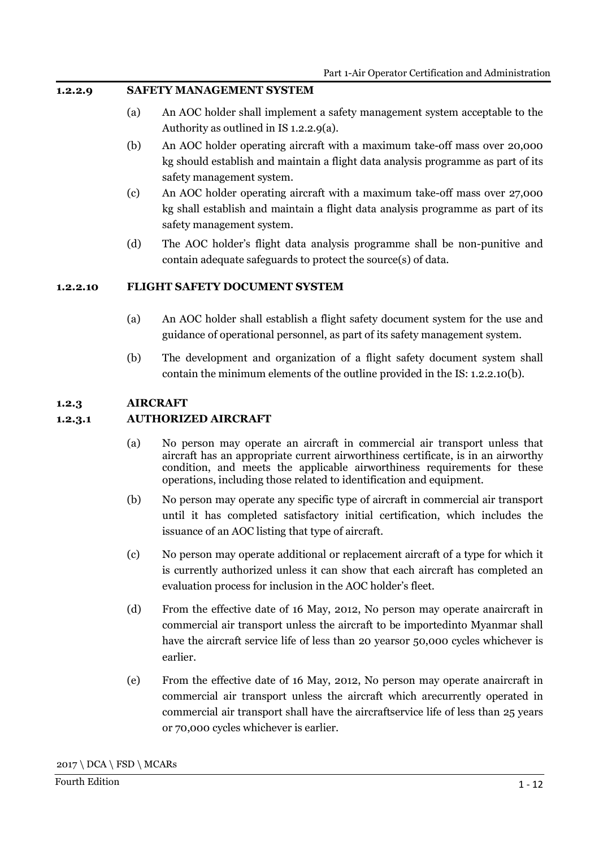# **1.2.2.9 SAFETY MANAGEMENT SYSTEM**

- (a) An AOC holder shall implement a safety management system acceptable to the Authority as outlined in IS 1.2.2.9(a).
- (b) An AOC holder operating aircraft with a maximum take-off mass over 20,000 kg should establish and maintain a flight data analysis programme as part of its safety management system.
- (c) An AOC holder operating aircraft with a maximum take-off mass over 27,000 kg shall establish and maintain a flight data analysis programme as part of its safety management system.
- (d) The AOC holder's flight data analysis programme shall be non-punitive and contain adequate safeguards to protect the source(s) of data.

#### **1.2.2.10 FLIGHT SAFETY DOCUMENT SYSTEM**

- (a) An AOC holder shall establish a flight safety document system for the use and guidance of operational personnel, as part of its safety management system.
- (b) The development and organization of a flight safety document system shall contain the minimum elements of the outline provided in the IS: 1.2.2.10(b).

# **1.2.3 AIRCRAFT**

#### **1.2.3.1 AUTHORIZED AIRCRAFT**

- (a) No person may operate an aircraft in commercial air transport unless that aircraft has an appropriate current airworthiness certificate, is in an airworthy condition, and meets the applicable airworthiness requirements for these operations, including those related to identification and equipment.
- (b) No person may operate any specific type of aircraft in commercial air transport until it has completed satisfactory initial certification, which includes the issuance of an AOC listing that type of aircraft.
- (c) No person may operate additional or replacement aircraft of a type for which it is currently authorized unless it can show that each aircraft has completed an evaluation process for inclusion in the AOC holder's fleet.
- (d) From the effective date of 16 May, 2012, No person may operate anaircraft in commercial air transport unless the aircraft to be importedinto Myanmar shall have the aircraft service life of less than 20 yearsor 50,000 cycles whichever is earlier.
- (e) From the effective date of 16 May, 2012, No person may operate anaircraft in commercial air transport unless the aircraft which arecurrently operated in commercial air transport shall have the aircraftservice life of less than 25 years or 70,000 cycles whichever is earlier.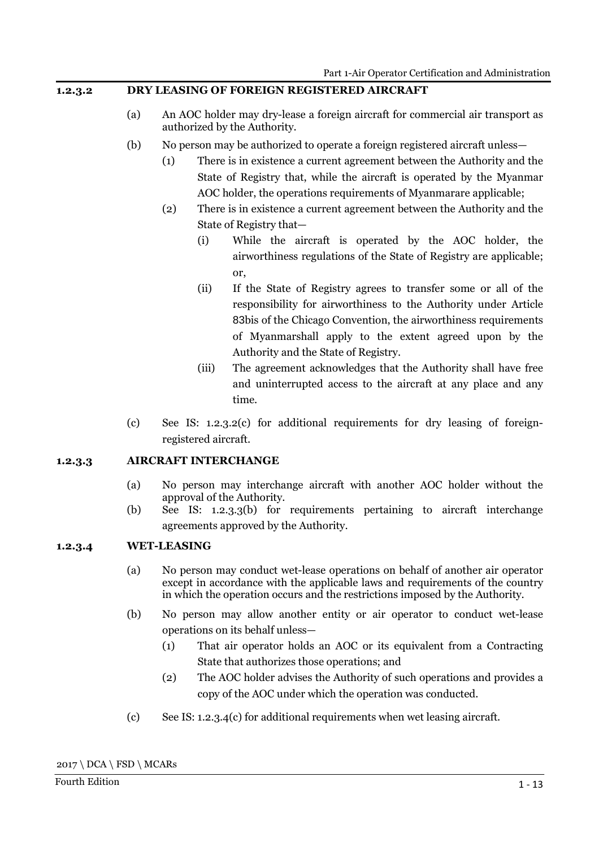# **1.2.3.2 DRY LEASING OF FOREIGN REGISTERED AIRCRAFT**

- (a) An AOC holder may dry-lease a foreign aircraft for commercial air transport as authorized by the Authority.
- (b) No person may be authorized to operate a foreign registered aircraft unless—
	- (1) There is in existence a current agreement between the Authority and the State of Registry that, while the aircraft is operated by the Myanmar AOC holder, the operations requirements of Myanmarare applicable;
	- (2) There is in existence a current agreement between the Authority and the State of Registry that—
		- (i) While the aircraft is operated by the AOC holder, the airworthiness regulations of the State of Registry are applicable; or,
		- (ii) If the State of Registry agrees to transfer some or all of the responsibility for airworthiness to the Authority under Article 83bis of the Chicago Convention, the airworthiness requirements of Myanmarshall apply to the extent agreed upon by the Authority and the State of Registry.
		- (iii) The agreement acknowledges that the Authority shall have free and uninterrupted access to the aircraft at any place and any time.
- (c) See IS: 1.2.3.2(c) for additional requirements for dry leasing of foreignregistered aircraft.

#### **1.2.3.3 AIRCRAFT INTERCHANGE**

- (a) No person may interchange aircraft with another AOC holder without the approval of the Authority.
- (b) See IS: 1.2.3.3(b) for requirements pertaining to aircraft interchange agreements approved by the Authority.

#### **1.2.3.4 WET-LEASING**

- (a) No person may conduct wet-lease operations on behalf of another air operator except in accordance with the applicable laws and requirements of the country in which the operation occurs and the restrictions imposed by the Authority.
- (b) No person may allow another entity or air operator to conduct wet-lease operations on its behalf unless—
	- (1) That air operator holds an AOC or its equivalent from a Contracting State that authorizes those operations; and
	- (2) The AOC holder advises the Authority of such operations and provides a copy of the AOC under which the operation was conducted.
- (c) See IS: 1.2.3.4(c) for additional requirements when wet leasing aircraft.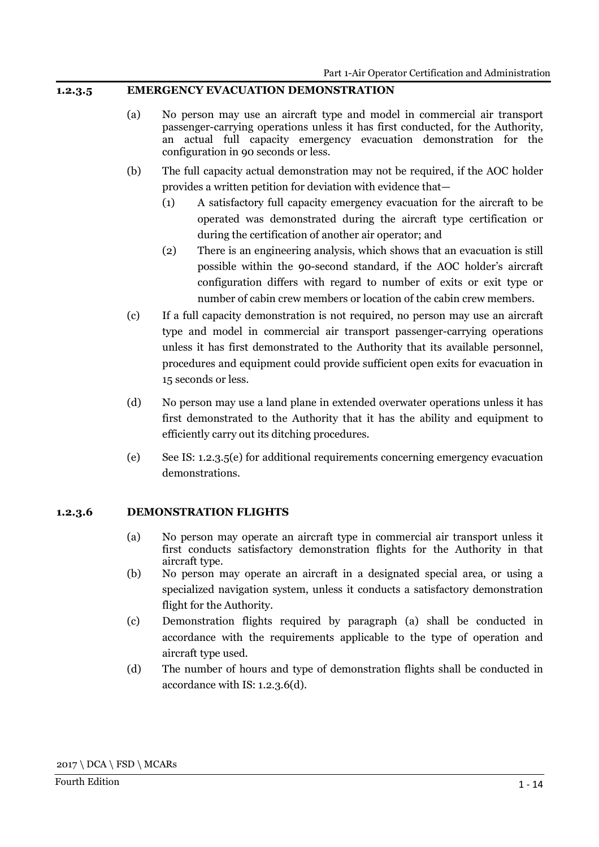# **1.2.3.5 EMERGENCY EVACUATION DEMONSTRATION**

- (a) No person may use an aircraft type and model in commercial air transport passenger-carrying operations unless it has first conducted, for the Authority, an actual full capacity emergency evacuation demonstration for the configuration in 90 seconds or less.
- (b) The full capacity actual demonstration may not be required, if the AOC holder provides a written petition for deviation with evidence that—
	- (1) A satisfactory full capacity emergency evacuation for the aircraft to be operated was demonstrated during the aircraft type certification or during the certification of another air operator; and
	- (2) There is an engineering analysis, which shows that an evacuation is still possible within the 90-second standard, if the AOC holder's aircraft configuration differs with regard to number of exits or exit type or number of cabin crew members or location of the cabin crew members.
- (c) If a full capacity demonstration is not required, no person may use an aircraft type and model in commercial air transport passenger-carrying operations unless it has first demonstrated to the Authority that its available personnel, procedures and equipment could provide sufficient open exits for evacuation in 15 seconds or less.
- (d) No person may use a land plane in extended overwater operations unless it has first demonstrated to the Authority that it has the ability and equipment to efficiently carry out its ditching procedures.
- (e) See IS: 1.2.3.5(e) for additional requirements concerning emergency evacuation demonstrations.

#### **1.2.3.6 DEMONSTRATION FLIGHTS**

- (a) No person may operate an aircraft type in commercial air transport unless it first conducts satisfactory demonstration flights for the Authority in that aircraft type.
- (b) No person may operate an aircraft in a designated special area, or using a specialized navigation system, unless it conducts a satisfactory demonstration flight for the Authority.
- (c) Demonstration flights required by paragraph (a) shall be conducted in accordance with the requirements applicable to the type of operation and aircraft type used.
- (d) The number of hours and type of demonstration flights shall be conducted in accordance with IS: 1.2.3.6(d).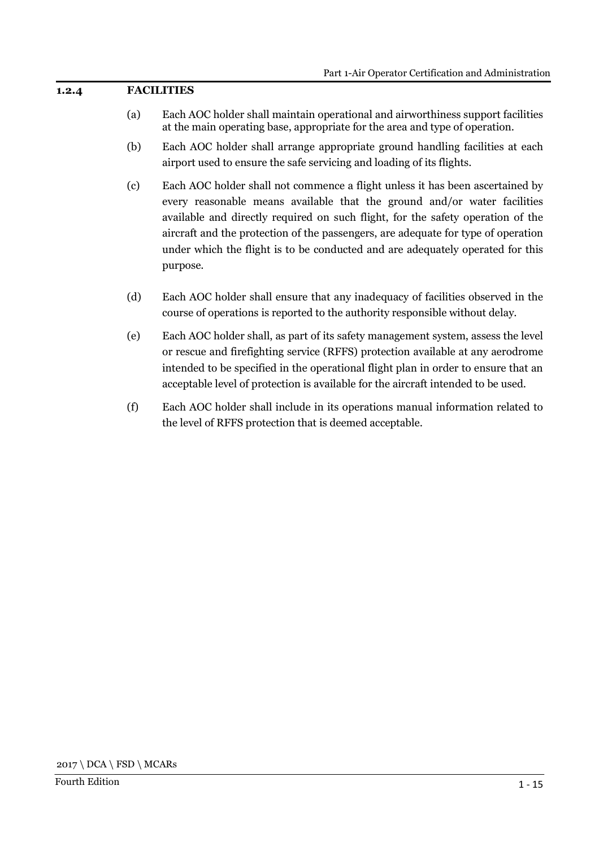# **1.2.4 FACILITIES**

- (a) Each AOC holder shall maintain operational and airworthiness support facilities at the main operating base, appropriate for the area and type of operation.
- (b) Each AOC holder shall arrange appropriate ground handling facilities at each airport used to ensure the safe servicing and loading of its flights.
- (c) Each AOC holder shall not commence a flight unless it has been ascertained by every reasonable means available that the ground and/or water facilities available and directly required on such flight, for the safety operation of the aircraft and the protection of the passengers, are adequate for type of operation under which the flight is to be conducted and are adequately operated for this purpose.
- (d) Each AOC holder shall ensure that any inadequacy of facilities observed in the course of operations is reported to the authority responsible without delay.
- (e) Each AOC holder shall, as part of its safety management system, assess the level or rescue and firefighting service (RFFS) protection available at any aerodrome intended to be specified in the operational flight plan in order to ensure that an acceptable level of protection is available for the aircraft intended to be used.
- (f) Each AOC holder shall include in its operations manual information related to the level of RFFS protection that is deemed acceptable.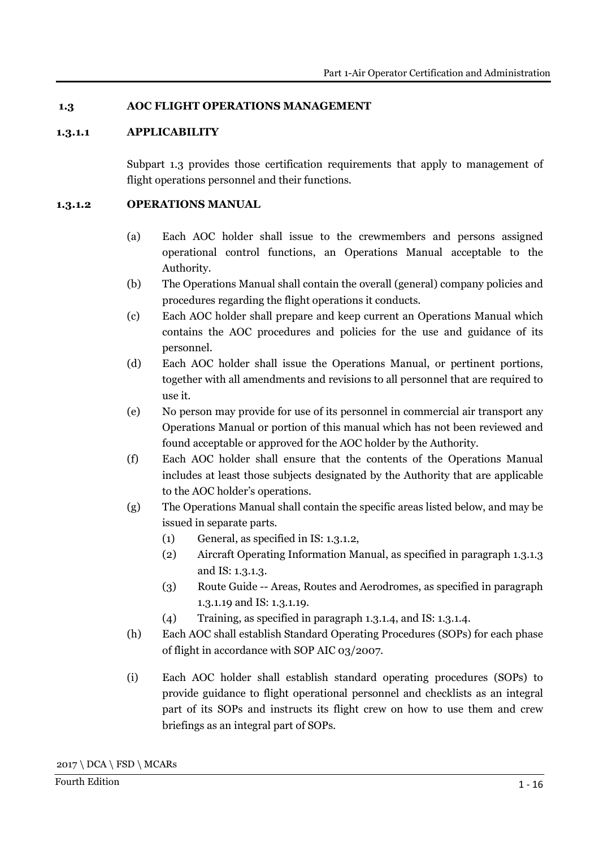#### **1.3 AOC FLIGHT OPERATIONS MANAGEMENT**

#### **1.3.1.1 APPLICABILITY**

Subpart 1.3 provides those certification requirements that apply to management of flight operations personnel and their functions.

#### **1.3.1.2 OPERATIONS MANUAL**

- (a) Each AOC holder shall issue to the crewmembers and persons assigned operational control functions, an Operations Manual acceptable to the Authority.
- (b) The Operations Manual shall contain the overall (general) company policies and procedures regarding the flight operations it conducts.
- (c) Each AOC holder shall prepare and keep current an Operations Manual which contains the AOC procedures and policies for the use and guidance of its personnel.
- (d) Each AOC holder shall issue the Operations Manual, or pertinent portions, together with all amendments and revisions to all personnel that are required to use it.
- (e) No person may provide for use of its personnel in commercial air transport any Operations Manual or portion of this manual which has not been reviewed and found acceptable or approved for the AOC holder by the Authority.
- (f) Each AOC holder shall ensure that the contents of the Operations Manual includes at least those subjects designated by the Authority that are applicable to the AOC holder's operations.
- (g) The Operations Manual shall contain the specific areas listed below, and may be issued in separate parts.
	- (1) General, as specified in IS: 1.3.1.2,
	- (2) Aircraft Operating Information Manual, as specified in paragraph 1.3.1.3 and IS: 1.3.1.3.
	- (3) Route Guide -- Areas, Routes and Aerodromes, as specified in paragraph 1.3.1.19 and IS: 1.3.1.19.
	- (4) Training, as specified in paragraph 1.3.1.4, and IS: 1.3.1.4.
- (h) Each AOC shall establish Standard Operating Procedures (SOPs) for each phase of flight in accordance with SOP AIC 03/2007.
- (i) Each AOC holder shall establish standard operating procedures (SOPs) to provide guidance to flight operational personnel and checklists as an integral part of its SOPs and instructs its flight crew on how to use them and crew briefings as an integral part of SOPs.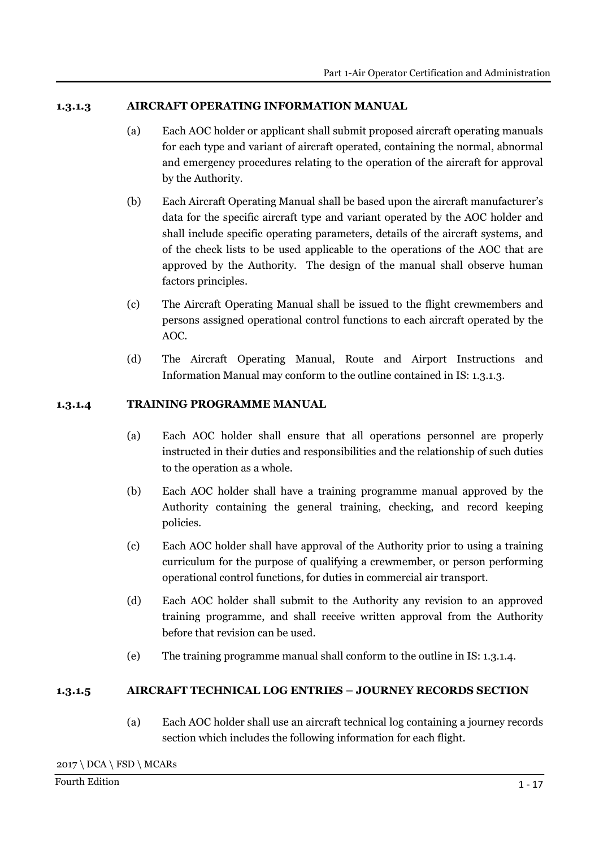# **1.3.1.3 AIRCRAFT OPERATING INFORMATION MANUAL**

- (a) Each AOC holder or applicant shall submit proposed aircraft operating manuals for each type and variant of aircraft operated, containing the normal, abnormal and emergency procedures relating to the operation of the aircraft for approval by the Authority.
- (b) Each Aircraft Operating Manual shall be based upon the aircraft manufacturer's data for the specific aircraft type and variant operated by the AOC holder and shall include specific operating parameters, details of the aircraft systems, and of the check lists to be used applicable to the operations of the AOC that are approved by the Authority. The design of the manual shall observe human factors principles.
- (c) The Aircraft Operating Manual shall be issued to the flight crewmembers and persons assigned operational control functions to each aircraft operated by the AOC.
- (d) The Aircraft Operating Manual, Route and Airport Instructions and Information Manual may conform to the outline contained in IS: 1.3.1.3.

#### **1.3.1.4 TRAINING PROGRAMME MANUAL**

- (a) Each AOC holder shall ensure that all operations personnel are properly instructed in their duties and responsibilities and the relationship of such duties to the operation as a whole.
- (b) Each AOC holder shall have a training programme manual approved by the Authority containing the general training, checking, and record keeping policies.
- (c) Each AOC holder shall have approval of the Authority prior to using a training curriculum for the purpose of qualifying a crewmember, or person performing operational control functions, for duties in commercial air transport.
- (d) Each AOC holder shall submit to the Authority any revision to an approved training programme, and shall receive written approval from the Authority before that revision can be used.
- (e) The training programme manual shall conform to the outline in IS: 1.3.1.4.

# **1.3.1.5 AIRCRAFT TECHNICAL LOG ENTRIES – JOURNEY RECORDS SECTION**

(a) Each AOC holder shall use an aircraft technical log containing a journey records section which includes the following information for each flight.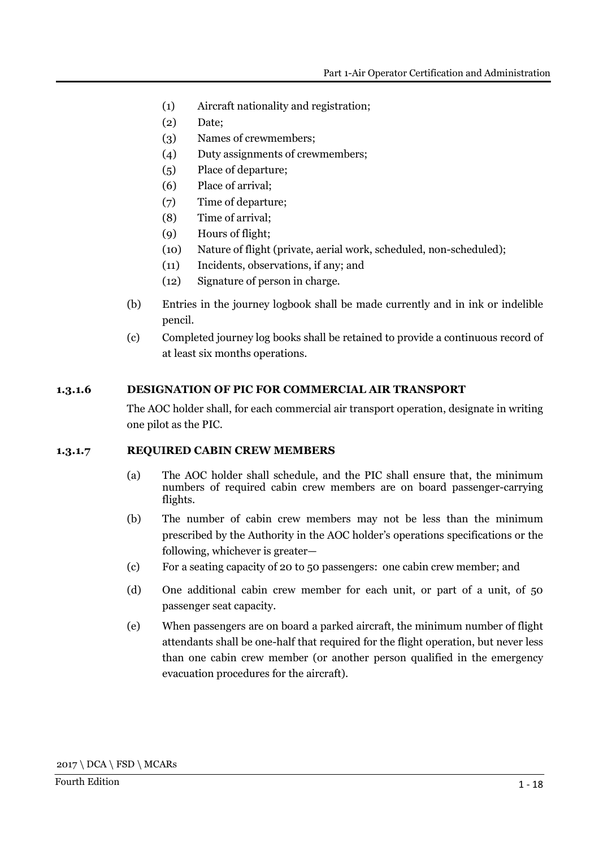- (1) Aircraft nationality and registration;
- (2) Date;
- (3) Names of crewmembers;
- (4) Duty assignments of crewmembers;
- (5) Place of departure;
- (6) Place of arrival;
- (7) Time of departure;
- (8) Time of arrival;
- (9) Hours of flight;
- (10) Nature of flight (private, aerial work, scheduled, non-scheduled);
- (11) Incidents, observations, if any; and
- (12) Signature of person in charge.
- (b) Entries in the journey logbook shall be made currently and in ink or indelible pencil.
- (c) Completed journey log books shall be retained to provide a continuous record of at least six months operations.

# **1.3.1.6 DESIGNATION OF PIC FOR COMMERCIAL AIR TRANSPORT**

The AOC holder shall, for each commercial air transport operation, designate in writing one pilot as the PIC.

#### **1.3.1.7 REQUIRED CABIN CREW MEMBERS**

- (a) The AOC holder shall schedule, and the PIC shall ensure that, the minimum numbers of required cabin crew members are on board passenger-carrying flights.
- (b) The number of cabin crew members may not be less than the minimum prescribed by the Authority in the AOC holder's operations specifications or the following, whichever is greater—
- (c) For a seating capacity of 20 to 50 passengers: one cabin crew member; and
- (d) One additional cabin crew member for each unit, or part of a unit, of 50 passenger seat capacity.
- (e) When passengers are on board a parked aircraft, the minimum number of flight attendants shall be one-half that required for the flight operation, but never less than one cabin crew member (or another person qualified in the emergency evacuation procedures for the aircraft).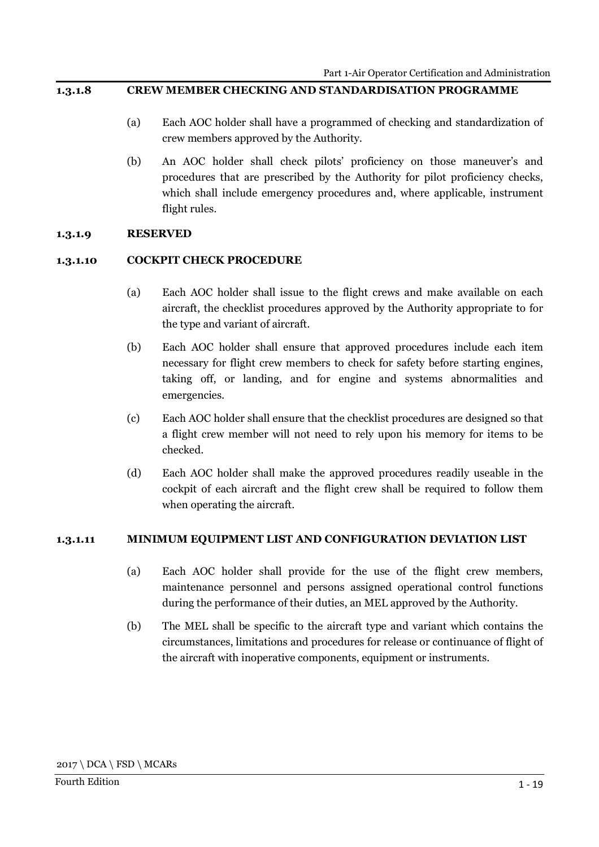# **1.3.1.8 CREW MEMBER CHECKING AND STANDARDISATION PROGRAMME**

- (a) Each AOC holder shall have a programmed of checking and standardization of crew members approved by the Authority.
- (b) An AOC holder shall check pilots' proficiency on those maneuver's and procedures that are prescribed by the Authority for pilot proficiency checks, which shall include emergency procedures and, where applicable, instrument flight rules.

#### **1.3.1.9 RESERVED**

# **1.3.1.10 COCKPIT CHECK PROCEDURE**

- (a) Each AOC holder shall issue to the flight crews and make available on each aircraft, the checklist procedures approved by the Authority appropriate to for the type and variant of aircraft.
- (b) Each AOC holder shall ensure that approved procedures include each item necessary for flight crew members to check for safety before starting engines, taking off, or landing, and for engine and systems abnormalities and emergencies.
- (c) Each AOC holder shall ensure that the checklist procedures are designed so that a flight crew member will not need to rely upon his memory for items to be checked.
- (d) Each AOC holder shall make the approved procedures readily useable in the cockpit of each aircraft and the flight crew shall be required to follow them when operating the aircraft.

#### **1.3.1.11 MINIMUM EQUIPMENT LIST AND CONFIGURATION DEVIATION LIST**

- (a) Each AOC holder shall provide for the use of the flight crew members, maintenance personnel and persons assigned operational control functions during the performance of their duties, an MEL approved by the Authority.
- (b) The MEL shall be specific to the aircraft type and variant which contains the circumstances, limitations and procedures for release or continuance of flight of the aircraft with inoperative components, equipment or instruments.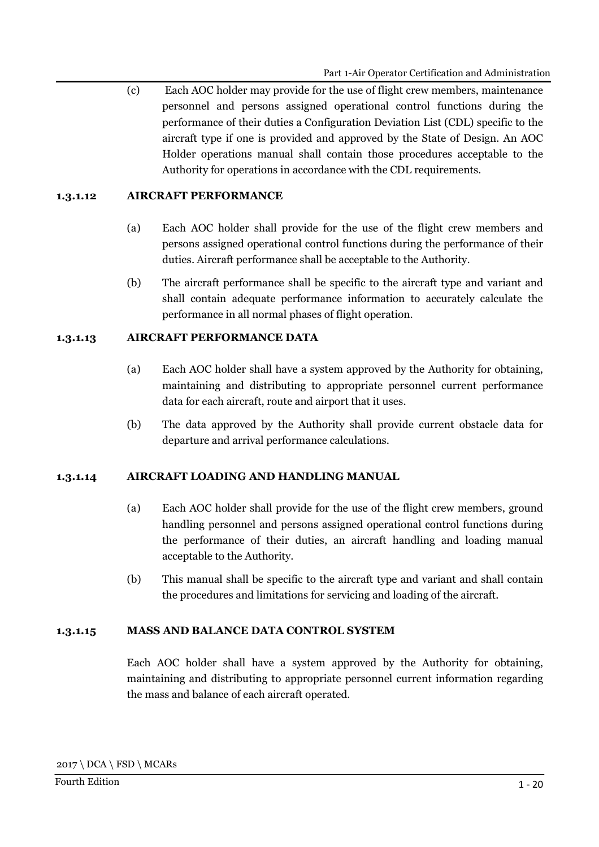(c) Each AOC holder may provide for the use of flight crew members, maintenance personnel and persons assigned operational control functions during the performance of their duties a Configuration Deviation List (CDL) specific to the aircraft type if one is provided and approved by the State of Design. An AOC Holder operations manual shall contain those procedures acceptable to the Authority for operations in accordance with the CDL requirements.

#### **1.3.1.12 AIRCRAFT PERFORMANCE**

- (a) Each AOC holder shall provide for the use of the flight crew members and persons assigned operational control functions during the performance of their duties. Aircraft performance shall be acceptable to the Authority.
- (b) The aircraft performance shall be specific to the aircraft type and variant and shall contain adequate performance information to accurately calculate the performance in all normal phases of flight operation.

# **1.3.1.13 AIRCRAFT PERFORMANCE DATA**

- (a) Each AOC holder shall have a system approved by the Authority for obtaining, maintaining and distributing to appropriate personnel current performance data for each aircraft, route and airport that it uses.
- (b) The data approved by the Authority shall provide current obstacle data for departure and arrival performance calculations.

#### **1.3.1.14 AIRCRAFT LOADING AND HANDLING MANUAL**

- (a) Each AOC holder shall provide for the use of the flight crew members, ground handling personnel and persons assigned operational control functions during the performance of their duties, an aircraft handling and loading manual acceptable to the Authority.
- (b) This manual shall be specific to the aircraft type and variant and shall contain the procedures and limitations for servicing and loading of the aircraft.

# **1.3.1.15 MASS AND BALANCE DATA CONTROL SYSTEM**

Each AOC holder shall have a system approved by the Authority for obtaining, maintaining and distributing to appropriate personnel current information regarding the mass and balance of each aircraft operated.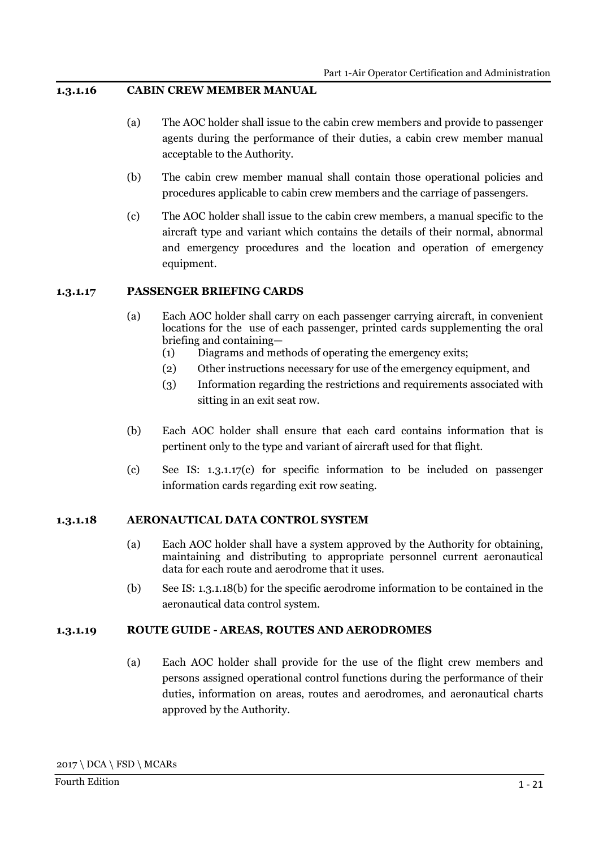## **1.3.1.16 CABIN CREW MEMBER MANUAL**

- (a) The AOC holder shall issue to the cabin crew members and provide to passenger agents during the performance of their duties, a cabin crew member manual acceptable to the Authority.
- (b) The cabin crew member manual shall contain those operational policies and procedures applicable to cabin crew members and the carriage of passengers.
- (c) The AOC holder shall issue to the cabin crew members, a manual specific to the aircraft type and variant which contains the details of their normal, abnormal and emergency procedures and the location and operation of emergency equipment.

## **1.3.1.17 PASSENGER BRIEFING CARDS**

- (a) Each AOC holder shall carry on each passenger carrying aircraft, in convenient locations for the use of each passenger, printed cards supplementing the oral briefing and containing—
	- (1) Diagrams and methods of operating the emergency exits;
	- (2) Other instructions necessary for use of the emergency equipment, and
	- (3) Information regarding the restrictions and requirements associated with sitting in an exit seat row.
- (b) Each AOC holder shall ensure that each card contains information that is pertinent only to the type and variant of aircraft used for that flight.
- (c) See IS: 1.3.1.17(c) for specific information to be included on passenger information cards regarding exit row seating.

## **1.3.1.18 AERONAUTICAL DATA CONTROL SYSTEM**

- (a) Each AOC holder shall have a system approved by the Authority for obtaining, maintaining and distributing to appropriate personnel current aeronautical data for each route and aerodrome that it uses.
- (b) See IS: 1.3.1.18(b) for the specific aerodrome information to be contained in the aeronautical data control system.

# **1.3.1.19 ROUTE GUIDE - AREAS, ROUTES AND AERODROMES**

(a) Each AOC holder shall provide for the use of the flight crew members and persons assigned operational control functions during the performance of their duties, information on areas, routes and aerodromes, and aeronautical charts approved by the Authority.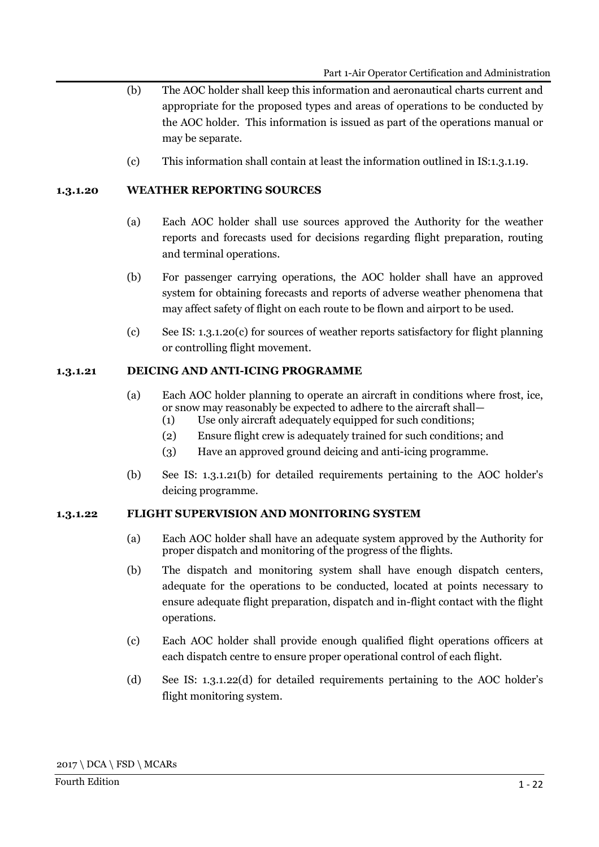- (b) The AOC holder shall keep this information and aeronautical charts current and appropriate for the proposed types and areas of operations to be conducted by the AOC holder. This information is issued as part of the operations manual or may be separate.
- (c) This information shall contain at least the information outlined in IS:1.3.1.19.

#### **1.3.1.20 WEATHER REPORTING SOURCES**

- (a) Each AOC holder shall use sources approved the Authority for the weather reports and forecasts used for decisions regarding flight preparation, routing and terminal operations.
- (b) For passenger carrying operations, the AOC holder shall have an approved system for obtaining forecasts and reports of adverse weather phenomena that may affect safety of flight on each route to be flown and airport to be used.
- (c) See IS: 1.3.1.20(c) for sources of weather reports satisfactory for flight planning or controlling flight movement.

#### **1.3.1.21 DEICING AND ANTI-ICING PROGRAMME**

- (a) Each AOC holder planning to operate an aircraft in conditions where frost, ice, or snow may reasonably be expected to adhere to the aircraft shall— (1) Use only aircraft adequately equipped for such conditions;
	-
	- (2) Ensure flight crew is adequately trained for such conditions; and
	- (3) Have an approved ground deicing and anti-icing programme.
- (b) See IS: 1.3.1.21(b) for detailed requirements pertaining to the AOC holder's deicing programme.

## **1.3.1.22 FLIGHT SUPERVISION AND MONITORING SYSTEM**

- (a) Each AOC holder shall have an adequate system approved by the Authority for proper dispatch and monitoring of the progress of the flights.
- (b) The dispatch and monitoring system shall have enough dispatch centers, adequate for the operations to be conducted, located at points necessary to ensure adequate flight preparation, dispatch and in-flight contact with the flight operations.
- (c) Each AOC holder shall provide enough qualified flight operations officers at each dispatch centre to ensure proper operational control of each flight.
- (d) See IS: 1.3.1.22(d) for detailed requirements pertaining to the AOC holder's flight monitoring system.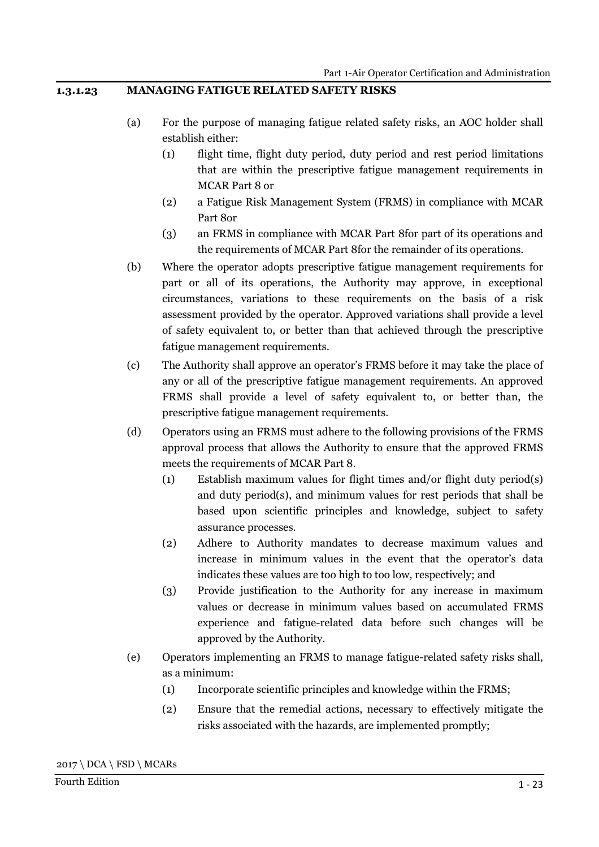# **1.3.1.23 MANAGING FATIGUE RELATED SAFETY RISKS**

- (a) For the purpose of managing fatigue related safety risks, an AOC holder shall establish either:
	- (1) flight time, flight duty period, duty period and rest period limitations that are within the prescriptive fatigue management requirements in MCAR Part 8 or
	- (2) a Fatigue Risk Management System (FRMS) in compliance with MCAR Part 8or
	- (3) an FRMS in compliance with MCAR Part 8for part of its operations and the requirements of MCAR Part 8for the remainder of its operations.
- (b) Where the operator adopts prescriptive fatigue management requirements for part or all of its operations, the Authority may approve, in exceptional circumstances, variations to these requirements on the basis of a risk assessment provided by the operator. Approved variations shall provide a level of safety equivalent to, or better than that achieved through the prescriptive fatigue management requirements.
- (c) The Authority shall approve an operator's FRMS before it may take the place of any or all of the prescriptive fatigue management requirements. An approved FRMS shall provide a level of safety equivalent to, or better than, the prescriptive fatigue management requirements.
- (d) Operators using an FRMS must adhere to the following provisions of the FRMS approval process that allows the Authority to ensure that the approved FRMS meets the requirements of MCAR Part 8.
	- (1) Establish maximum values for flight times and/or flight duty period(s) and duty period(s), and minimum values for rest periods that shall be based upon scientific principles and knowledge, subject to safety assurance processes.
	- (2) Adhere to Authority mandates to decrease maximum values and increase in minimum values in the event that the operator's data indicates these values are too high to too low, respectively; and
	- (3) Provide justification to the Authority for any increase in maximum values or decrease in minimum values based on accumulated FRMS experience and fatigue-related data before such changes will be approved by the Authority.
- (e) Operators implementing an FRMS to manage fatigue-related safety risks shall, as a minimum:
	- (1) Incorporate scientific principles and knowledge within the FRMS;
	- (2) Ensure that the remedial actions, necessary to effectively mitigate the risks associated with the hazards, are implemented promptly;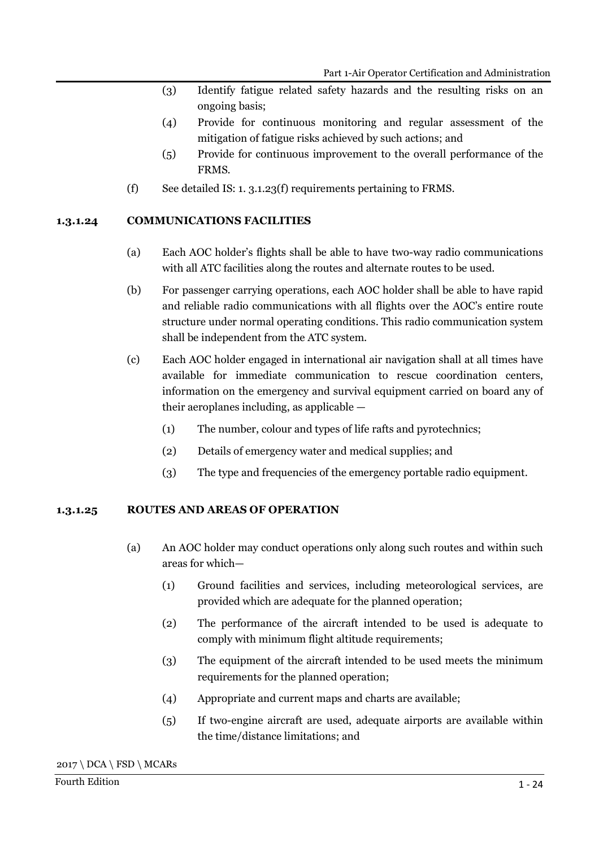- (3) Identify fatigue related safety hazards and the resulting risks on an ongoing basis;
- (4) Provide for continuous monitoring and regular assessment of the mitigation of fatigue risks achieved by such actions; and
- (5) Provide for continuous improvement to the overall performance of the FRMS.
- (f) See detailed IS: 1. 3.1.23(f) requirements pertaining to FRMS.

#### **1.3.1.24 COMMUNICATIONS FACILITIES**

- (a) Each AOC holder's flights shall be able to have two-way radio communications with all ATC facilities along the routes and alternate routes to be used.
- (b) For passenger carrying operations, each AOC holder shall be able to have rapid and reliable radio communications with all flights over the AOC's entire route structure under normal operating conditions. This radio communication system shall be independent from the ATC system.
- (c) Each AOC holder engaged in international air navigation shall at all times have available for immediate communication to rescue coordination centers, information on the emergency and survival equipment carried on board any of their aeroplanes including, as applicable —
	- (1) The number, colour and types of life rafts and pyrotechnics;
	- (2) Details of emergency water and medical supplies; and
	- (3) The type and frequencies of the emergency portable radio equipment.

## **1.3.1.25 ROUTES AND AREAS OF OPERATION**

- (a) An AOC holder may conduct operations only along such routes and within such areas for which—
	- (1) Ground facilities and services, including meteorological services, are provided which are adequate for the planned operation;
	- (2) The performance of the aircraft intended to be used is adequate to comply with minimum flight altitude requirements;
	- (3) The equipment of the aircraft intended to be used meets the minimum requirements for the planned operation;
	- (4) Appropriate and current maps and charts are available;
	- (5) If two-engine aircraft are used, adequate airports are available within the time/distance limitations; and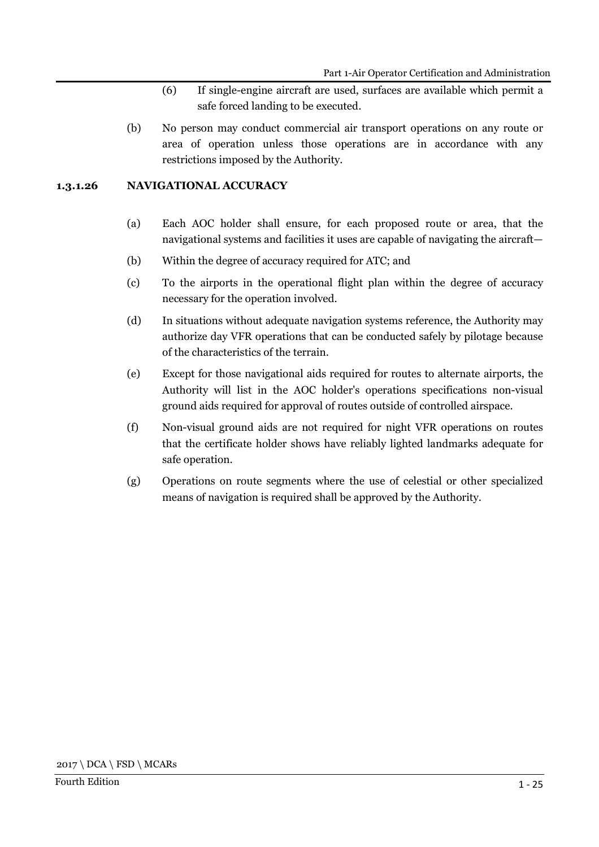- (6) If single-engine aircraft are used, surfaces are available which permit a safe forced landing to be executed.
- (b) No person may conduct commercial air transport operations on any route or area of operation unless those operations are in accordance with any restrictions imposed by the Authority.

#### **1.3.1.26 NAVIGATIONAL ACCURACY**

- (a) Each AOC holder shall ensure, for each proposed route or area, that the navigational systems and facilities it uses are capable of navigating the aircraft—
- (b) Within the degree of accuracy required for ATC; and
- (c) To the airports in the operational flight plan within the degree of accuracy necessary for the operation involved.
- (d) In situations without adequate navigation systems reference, the Authority may authorize day VFR operations that can be conducted safely by pilotage because of the characteristics of the terrain.
- (e) Except for those navigational aids required for routes to alternate airports, the Authority will list in the AOC holder's operations specifications non-visual ground aids required for approval of routes outside of controlled airspace.
- (f) Non-visual ground aids are not required for night VFR operations on routes that the certificate holder shows have reliably lighted landmarks adequate for safe operation.
- (g) Operations on route segments where the use of celestial or other specialized means of navigation is required shall be approved by the Authority.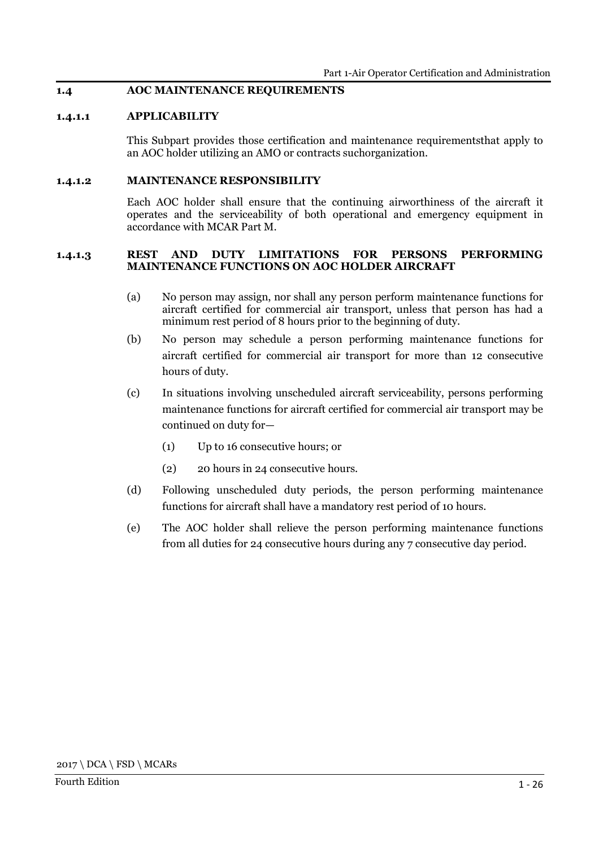#### **1.4 AOC MAINTENANCE REQUIREMENTS**

#### **1.4.1.1 APPLICABILITY**

This Subpart provides those certification and maintenance requirementsthat apply to an AOC holder utilizing an AMO or contracts suchorganization.

#### **1.4.1.2 MAINTENANCE RESPONSIBILITY**

Each AOC holder shall ensure that the continuing airworthiness of the aircraft it operates and the serviceability of both operational and emergency equipment in accordance with MCAR Part M.

#### **1.4.1.3 REST AND DUTY LIMITATIONS FOR PERSONS PERFORMING MAINTENANCE FUNCTIONS ON AOC HOLDER AIRCRAFT**

- (a) No person may assign, nor shall any person perform maintenance functions for aircraft certified for commercial air transport, unless that person has had a minimum rest period of 8 hours prior to the beginning of duty.
- (b) No person may schedule a person performing maintenance functions for aircraft certified for commercial air transport for more than 12 consecutive hours of duty.
- (c) In situations involving unscheduled aircraft serviceability, persons performing maintenance functions for aircraft certified for commercial air transport may be continued on duty for—
	- (1) Up to 16 consecutive hours; or
	- (2) 20 hours in 24 consecutive hours.
- (d) Following unscheduled duty periods, the person performing maintenance functions for aircraft shall have a mandatory rest period of 10 hours.
- (e) The AOC holder shall relieve the person performing maintenance functions from all duties for 24 consecutive hours during any 7 consecutive day period.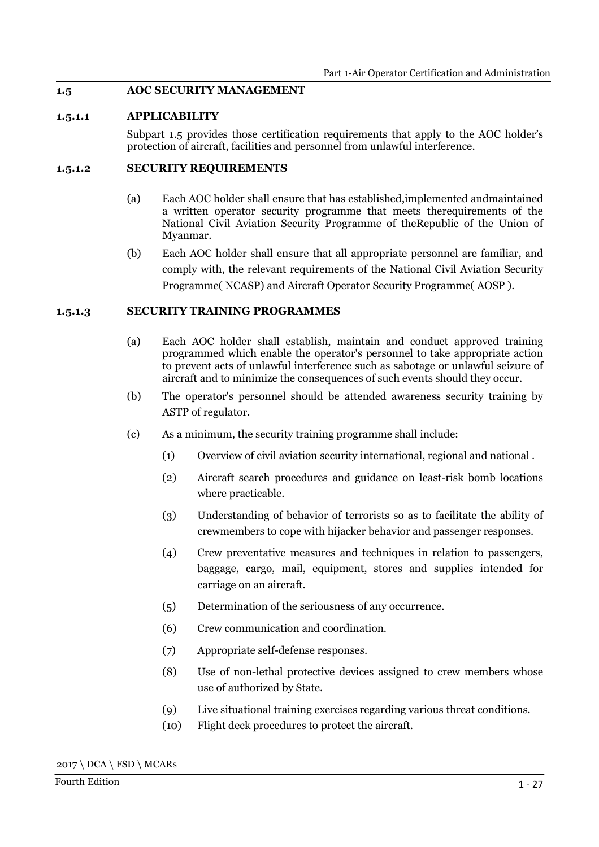## **1.5 AOC SECURITY MANAGEMENT**

## **1.5.1.1 APPLICABILITY**

Subpart 1.5 provides those certification requirements that apply to the AOC holder's protection of aircraft, facilities and personnel from unlawful interference.

#### **1.5.1.2 SECURITY REQUIREMENTS**

- (a) Each AOC holder shall ensure that has established,implemented andmaintained a written operator security programme that meets therequirements of the National Civil Aviation Security Programme of theRepublic of the Union of Myanmar.
- (b) Each AOC holder shall ensure that all appropriate personnel are familiar, and comply with, the relevant requirements of the National Civil Aviation Security Programme( NCASP) and Aircraft Operator Security Programme( AOSP ).

#### **1.5.1.3 SECURITY TRAINING PROGRAMMES**

- (a) Each AOC holder shall establish, maintain and conduct approved training programmed which enable the operator's personnel to take appropriate action to prevent acts of unlawful interference such as sabotage or unlawful seizure of aircraft and to minimize the consequences of such events should they occur.
- (b) The operator's personnel should be attended awareness security training by ASTP of regulator.
- (c) As a minimum, the security training programme shall include:
	- (1) Overview of civil aviation security international, regional and national .
	- (2) Aircraft search procedures and guidance on least-risk bomb locations where practicable.
	- (3) Understanding of behavior of terrorists so as to facilitate the ability of crewmembers to cope with hijacker behavior and passenger responses.
	- (4) Crew preventative measures and techniques in relation to passengers, baggage, cargo, mail, equipment, stores and supplies intended for carriage on an aircraft.
	- (5) Determination of the seriousness of any occurrence.
	- (6) Crew communication and coordination.
	- (7) Appropriate self-defense responses.
	- (8) Use of non-lethal protective devices assigned to crew members whose use of authorized by State.
	- (9) Live situational training exercises regarding various threat conditions.
	- (10) Flight deck procedures to protect the aircraft.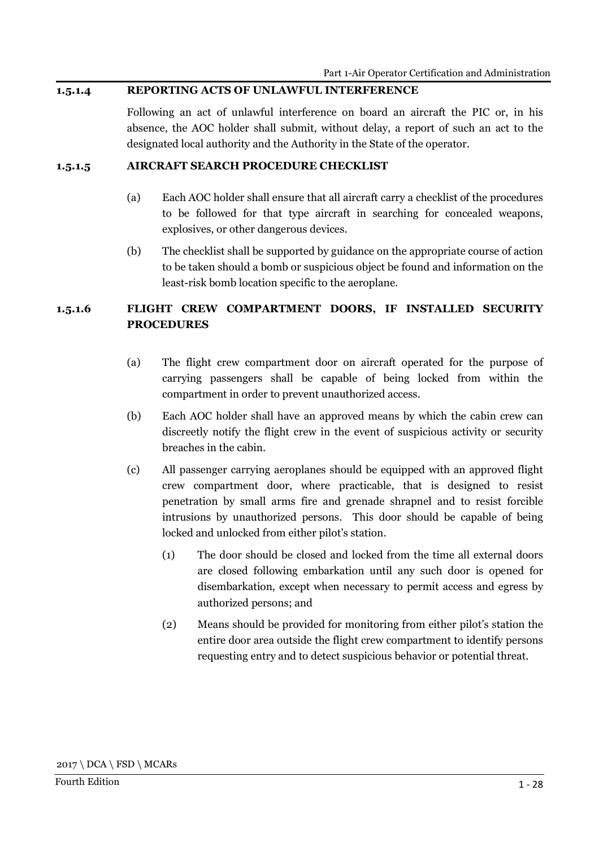# **1.5.1.4 REPORTING ACTS OF UNLAWFUL INTERFERENCE**

Following an act of unlawful interference on board an aircraft the PIC or, in his absence, the AOC holder shall submit, without delay, a report of such an act to the designated local authority and the Authority in the State of the operator.

# **1.5.1.5 AIRCRAFT SEARCH PROCEDURE CHECKLIST**

- (a) Each AOC holder shall ensure that all aircraft carry a checklist of the procedures to be followed for that type aircraft in searching for concealed weapons, explosives, or other dangerous devices.
- (b) The checklist shall be supported by guidance on the appropriate course of action to be taken should a bomb or suspicious object be found and information on the least-risk bomb location specific to the aeroplane.

# **1.5.1.6 FLIGHT CREW COMPARTMENT DOORS, IF INSTALLED SECURITY PROCEDURES**

- (a) The flight crew compartment door on aircraft operated for the purpose of carrying passengers shall be capable of being locked from within the compartment in order to prevent unauthorized access.
- (b) Each AOC holder shall have an approved means by which the cabin crew can discreetly notify the flight crew in the event of suspicious activity or security breaches in the cabin.
- (c) All passenger carrying aeroplanes should be equipped with an approved flight crew compartment door, where practicable, that is designed to resist penetration by small arms fire and grenade shrapnel and to resist forcible intrusions by unauthorized persons. This door should be capable of being locked and unlocked from either pilot's station.
	- (1) The door should be closed and locked from the time all external doors are closed following embarkation until any such door is opened for disembarkation, except when necessary to permit access and egress by authorized persons; and
	- (2) Means should be provided for monitoring from either pilot's station the entire door area outside the flight crew compartment to identify persons requesting entry and to detect suspicious behavior or potential threat.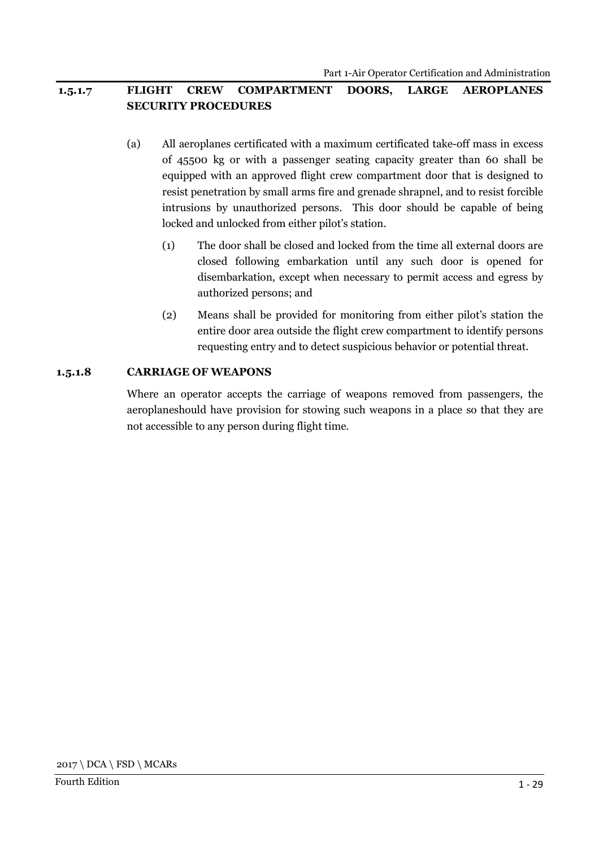# **1.5.1.7 FLIGHT CREW COMPARTMENT DOORS, LARGE AEROPLANES SECURITY PROCEDURES**

- (a) All aeroplanes certificated with a maximum certificated take-off mass in excess of 45500 kg or with a passenger seating capacity greater than 60 shall be equipped with an approved flight crew compartment door that is designed to resist penetration by small arms fire and grenade shrapnel, and to resist forcible intrusions by unauthorized persons. This door should be capable of being locked and unlocked from either pilot's station.
	- (1) The door shall be closed and locked from the time all external doors are closed following embarkation until any such door is opened for disembarkation, except when necessary to permit access and egress by authorized persons; and
	- (2) Means shall be provided for monitoring from either pilot's station the entire door area outside the flight crew compartment to identify persons requesting entry and to detect suspicious behavior or potential threat.

# **1.5.1.8 CARRIAGE OF WEAPONS**

Where an operator accepts the carriage of weapons removed from passengers, the aeroplaneshould have provision for stowing such weapons in a place so that they are not accessible to any person during flight time.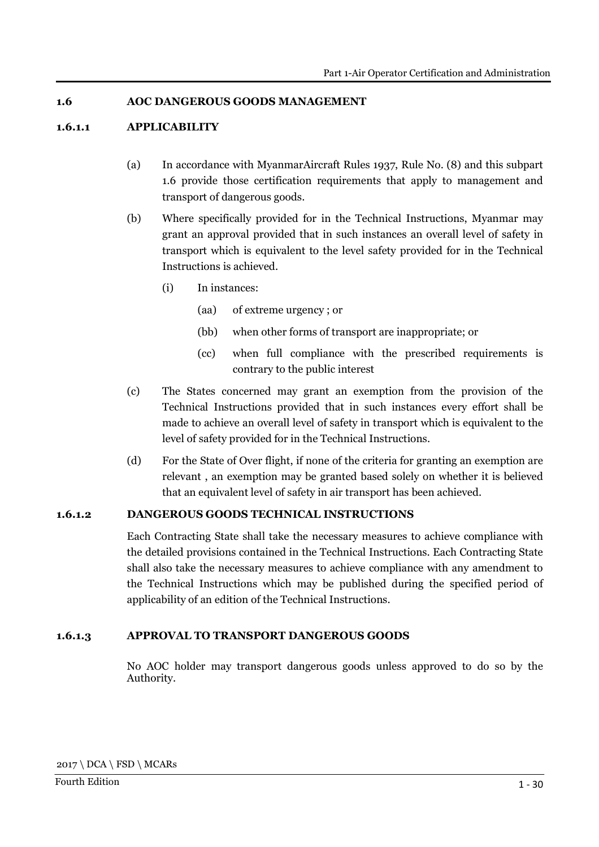## **1.6 AOC DANGEROUS GOODS MANAGEMENT**

## **1.6.1.1 APPLICABILITY**

- (a) In accordance with MyanmarAircraft Rules 1937, Rule No. (8) and this subpart 1.6 provide those certification requirements that apply to management and transport of dangerous goods.
- (b) Where specifically provided for in the Technical Instructions, Myanmar may grant an approval provided that in such instances an overall level of safety in transport which is equivalent to the level safety provided for in the Technical Instructions is achieved.
	- (i) In instances:
		- (aa) of extreme urgency ; or
		- (bb) when other forms of transport are inappropriate; or
		- (cc) when full compliance with the prescribed requirements is contrary to the public interest
- (c) The States concerned may grant an exemption from the provision of the Technical Instructions provided that in such instances every effort shall be made to achieve an overall level of safety in transport which is equivalent to the level of safety provided for in the Technical Instructions.
- (d) For the State of Over flight, if none of the criteria for granting an exemption are relevant , an exemption may be granted based solely on whether it is believed that an equivalent level of safety in air transport has been achieved.

## **1.6.1.2 DANGEROUS GOODS TECHNICAL INSTRUCTIONS**

Each Contracting State shall take the necessary measures to achieve compliance with the detailed provisions contained in the Technical Instructions. Each Contracting State shall also take the necessary measures to achieve compliance with any amendment to the Technical Instructions which may be published during the specified period of applicability of an edition of the Technical Instructions.

## **1.6.1.3 APPROVAL TO TRANSPORT DANGEROUS GOODS**

No AOC holder may transport dangerous goods unless approved to do so by the Authority.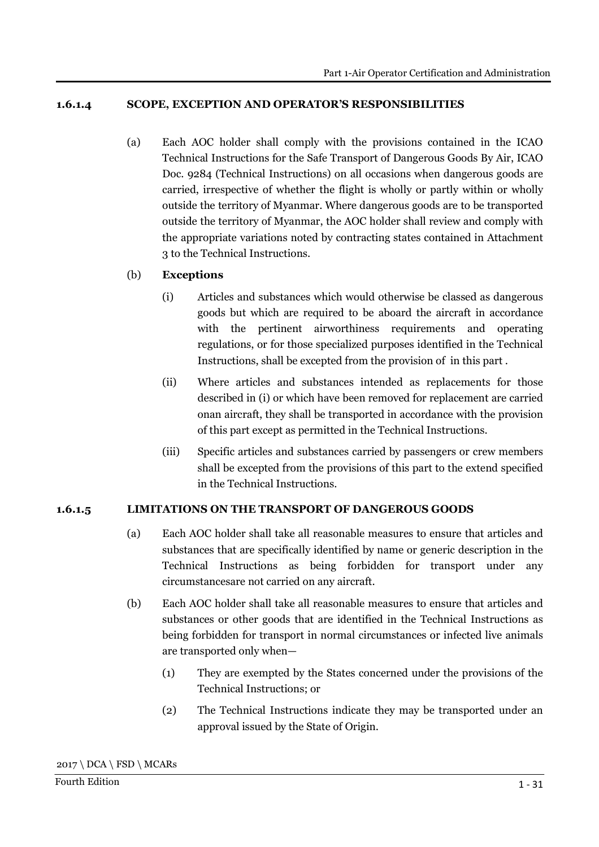## **1.6.1.4 SCOPE, EXCEPTION AND OPERATOR'S RESPONSIBILITIES**

(a) Each AOC holder shall comply with the provisions contained in the ICAO Technical Instructions for the Safe Transport of Dangerous Goods By Air, ICAO Doc. 9284 (Technical Instructions) on all occasions when dangerous goods are carried, irrespective of whether the flight is wholly or partly within or wholly outside the territory of Myanmar. Where dangerous goods are to be transported outside the territory of Myanmar, the AOC holder shall review and comply with the appropriate variations noted by contracting states contained in Attachment 3 to the Technical Instructions.

# (b) **Exceptions**

- (i) Articles and substances which would otherwise be classed as dangerous goods but which are required to be aboard the aircraft in accordance with the pertinent airworthiness requirements and operating regulations, or for those specialized purposes identified in the Technical Instructions, shall be excepted from the provision of in this part .
- (ii) Where articles and substances intended as replacements for those described in (i) or which have been removed for replacement are carried onan aircraft, they shall be transported in accordance with the provision of this part except as permitted in the Technical Instructions.
- (iii) Specific articles and substances carried by passengers or crew members shall be excepted from the provisions of this part to the extend specified in the Technical Instructions.

# **1.6.1.5 LIMITATIONS ON THE TRANSPORT OF DANGEROUS GOODS**

- (a) Each AOC holder shall take all reasonable measures to ensure that articles and substances that are specifically identified by name or generic description in the Technical Instructions as being forbidden for transport under any circumstancesare not carried on any aircraft.
- (b) Each AOC holder shall take all reasonable measures to ensure that articles and substances or other goods that are identified in the Technical Instructions as being forbidden for transport in normal circumstances or infected live animals are transported only when—
	- (1) They are exempted by the States concerned under the provisions of the Technical Instructions; or
	- (2) The Technical Instructions indicate they may be transported under an approval issued by the State of Origin.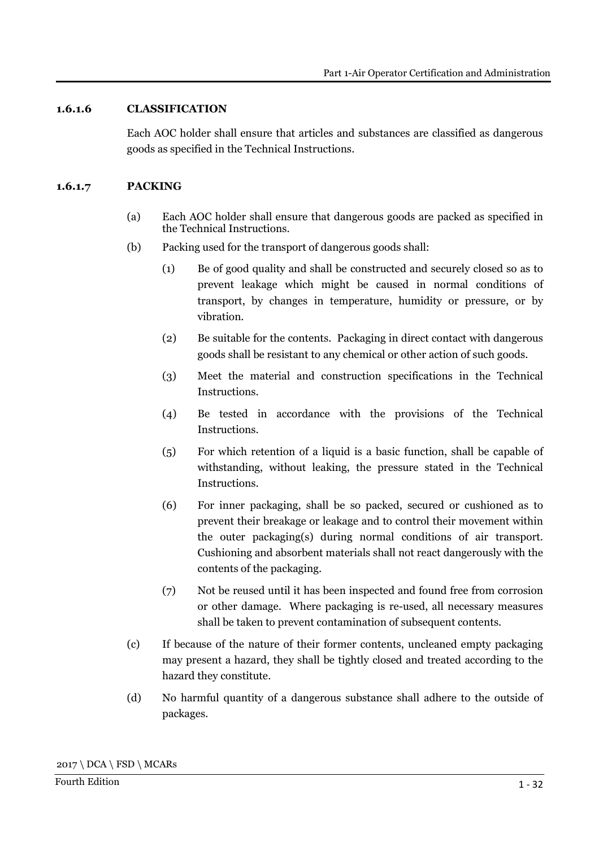# **1.6.1.6 CLASSIFICATION**

Each AOC holder shall ensure that articles and substances are classified as dangerous goods as specified in the Technical Instructions.

## **1.6.1.7 PACKING**

- (a) Each AOC holder shall ensure that dangerous goods are packed as specified in the Technical Instructions.
- (b) Packing used for the transport of dangerous goods shall:
	- (1) Be of good quality and shall be constructed and securely closed so as to prevent leakage which might be caused in normal conditions of transport, by changes in temperature, humidity or pressure, or by vibration.
	- (2) Be suitable for the contents. Packaging in direct contact with dangerous goods shall be resistant to any chemical or other action of such goods.
	- (3) Meet the material and construction specifications in the Technical Instructions.
	- (4) Be tested in accordance with the provisions of the Technical Instructions.
	- (5) For which retention of a liquid is a basic function, shall be capable of withstanding, without leaking, the pressure stated in the Technical Instructions.
	- (6) For inner packaging, shall be so packed, secured or cushioned as to prevent their breakage or leakage and to control their movement within the outer packaging(s) during normal conditions of air transport. Cushioning and absorbent materials shall not react dangerously with the contents of the packaging.
	- (7) Not be reused until it has been inspected and found free from corrosion or other damage. Where packaging is re-used, all necessary measures shall be taken to prevent contamination of subsequent contents.
- (c) If because of the nature of their former contents, uncleaned empty packaging may present a hazard, they shall be tightly closed and treated according to the hazard they constitute.
- (d) No harmful quantity of a dangerous substance shall adhere to the outside of packages.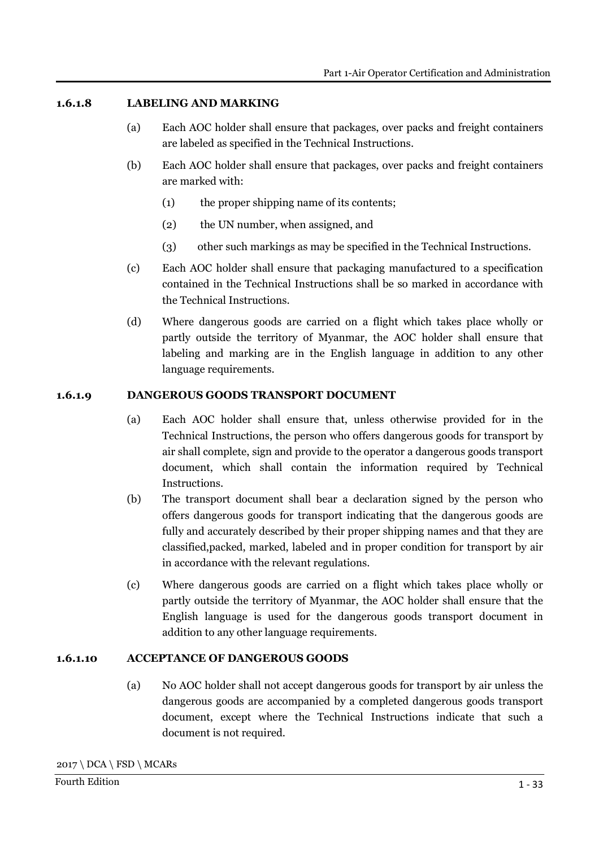## **1.6.1.8 LABELING AND MARKING**

- (a) Each AOC holder shall ensure that packages, over packs and freight containers are labeled as specified in the Technical Instructions.
- (b) Each AOC holder shall ensure that packages, over packs and freight containers are marked with:
	- (1) the proper shipping name of its contents;
	- (2) the UN number, when assigned, and
	- (3) other such markings as may be specified in the Technical Instructions.
- (c) Each AOC holder shall ensure that packaging manufactured to a specification contained in the Technical Instructions shall be so marked in accordance with the Technical Instructions.
- (d) Where dangerous goods are carried on a flight which takes place wholly or partly outside the territory of Myanmar, the AOC holder shall ensure that labeling and marking are in the English language in addition to any other language requirements.

## **1.6.1.9 DANGEROUS GOODS TRANSPORT DOCUMENT**

- (a) Each AOC holder shall ensure that, unless otherwise provided for in the Technical Instructions, the person who offers dangerous goods for transport by air shall complete, sign and provide to the operator a dangerous goods transport document, which shall contain the information required by Technical Instructions.
- (b) The transport document shall bear a declaration signed by the person who offers dangerous goods for transport indicating that the dangerous goods are fully and accurately described by their proper shipping names and that they are classified,packed, marked, labeled and in proper condition for transport by air in accordance with the relevant regulations.
- (c) Where dangerous goods are carried on a flight which takes place wholly or partly outside the territory of Myanmar, the AOC holder shall ensure that the English language is used for the dangerous goods transport document in addition to any other language requirements.

## **1.6.1.10 ACCEPTANCE OF DANGEROUS GOODS**

(a) No AOC holder shall not accept dangerous goods for transport by air unless the dangerous goods are accompanied by a completed dangerous goods transport document, except where the Technical Instructions indicate that such a document is not required.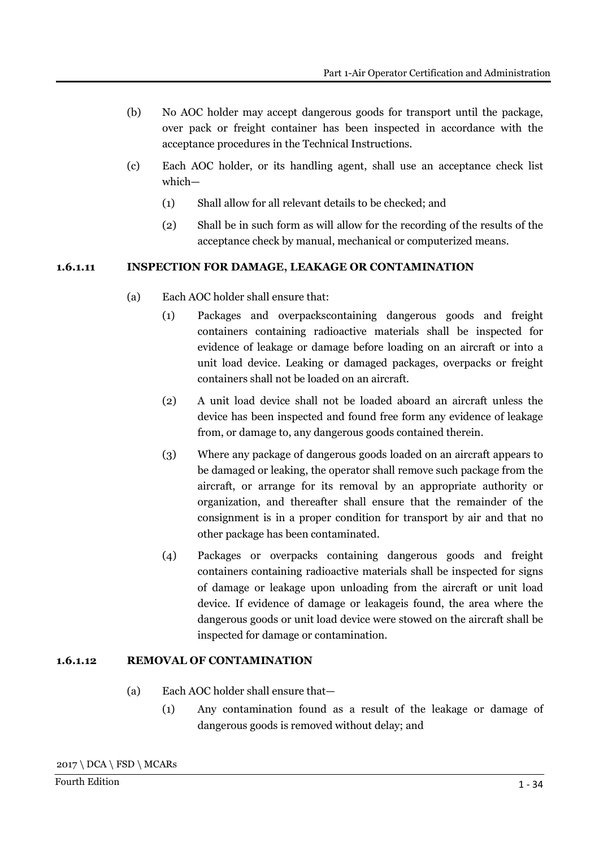- (b) No AOC holder may accept dangerous goods for transport until the package, over pack or freight container has been inspected in accordance with the acceptance procedures in the Technical Instructions.
- (c) Each AOC holder, or its handling agent, shall use an acceptance check list which—
	- (1) Shall allow for all relevant details to be checked; and
	- (2) Shall be in such form as will allow for the recording of the results of the acceptance check by manual, mechanical or computerized means.

# **1.6.1.11 INSPECTION FOR DAMAGE, LEAKAGE OR CONTAMINATION**

- (a) Each AOC holder shall ensure that:
	- (1) Packages and overpackscontaining dangerous goods and freight containers containing radioactive materials shall be inspected for evidence of leakage or damage before loading on an aircraft or into a unit load device. Leaking or damaged packages, overpacks or freight containers shall not be loaded on an aircraft.
	- (2) A unit load device shall not be loaded aboard an aircraft unless the device has been inspected and found free form any evidence of leakage from, or damage to, any dangerous goods contained therein.
	- (3) Where any package of dangerous goods loaded on an aircraft appears to be damaged or leaking, the operator shall remove such package from the aircraft, or arrange for its removal by an appropriate authority or organization, and thereafter shall ensure that the remainder of the consignment is in a proper condition for transport by air and that no other package has been contaminated.
	- (4) Packages or overpacks containing dangerous goods and freight containers containing radioactive materials shall be inspected for signs of damage or leakage upon unloading from the aircraft or unit load device. If evidence of damage or leakageis found, the area where the dangerous goods or unit load device were stowed on the aircraft shall be inspected for damage or contamination.

# **1.6.1.12 REMOVAL OF CONTAMINATION**

- (a) Each AOC holder shall ensure that—
	- (1) Any contamination found as a result of the leakage or damage of dangerous goods is removed without delay; and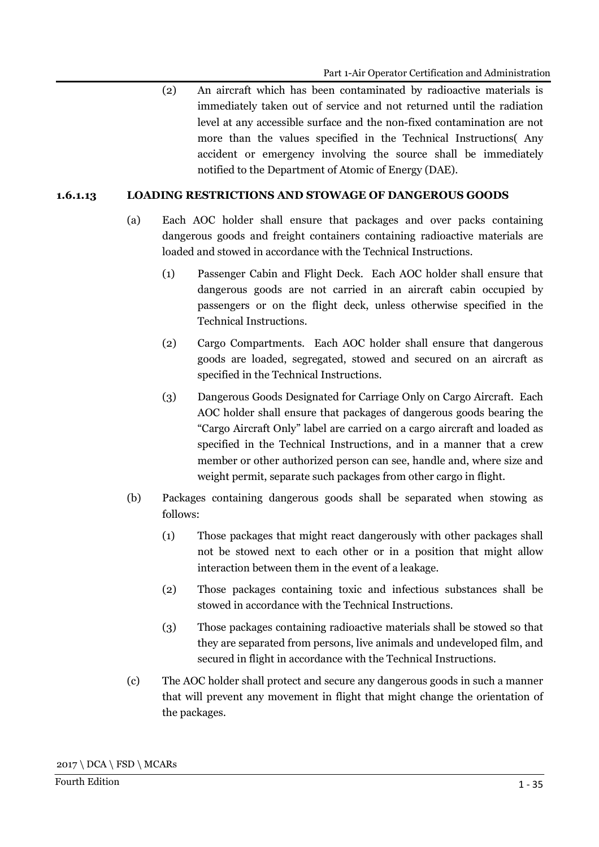(2) An aircraft which has been contaminated by radioactive materials is immediately taken out of service and not returned until the radiation level at any accessible surface and the non-fixed contamination are not more than the values specified in the Technical Instructions( Any accident or emergency involving the source shall be immediately notified to the Department of Atomic of Energy (DAE).

## **1.6.1.13 LOADING RESTRICTIONS AND STOWAGE OF DANGEROUS GOODS**

- (a) Each AOC holder shall ensure that packages and over packs containing dangerous goods and freight containers containing radioactive materials are loaded and stowed in accordance with the Technical Instructions.
	- (1) Passenger Cabin and Flight Deck. Each AOC holder shall ensure that dangerous goods are not carried in an aircraft cabin occupied by passengers or on the flight deck, unless otherwise specified in the Technical Instructions.
	- (2) Cargo Compartments. Each AOC holder shall ensure that dangerous goods are loaded, segregated, stowed and secured on an aircraft as specified in the Technical Instructions.
	- (3) Dangerous Goods Designated for Carriage Only on Cargo Aircraft. Each AOC holder shall ensure that packages of dangerous goods bearing the "Cargo Aircraft Only" label are carried on a cargo aircraft and loaded as specified in the Technical Instructions, and in a manner that a crew member or other authorized person can see, handle and, where size and weight permit, separate such packages from other cargo in flight.
- (b) Packages containing dangerous goods shall be separated when stowing as follows:
	- (1) Those packages that might react dangerously with other packages shall not be stowed next to each other or in a position that might allow interaction between them in the event of a leakage.
	- (2) Those packages containing toxic and infectious substances shall be stowed in accordance with the Technical Instructions.
	- (3) Those packages containing radioactive materials shall be stowed so that they are separated from persons, live animals and undeveloped film, and secured in flight in accordance with the Technical Instructions.
- (c) The AOC holder shall protect and secure any dangerous goods in such a manner that will prevent any movement in flight that might change the orientation of the packages.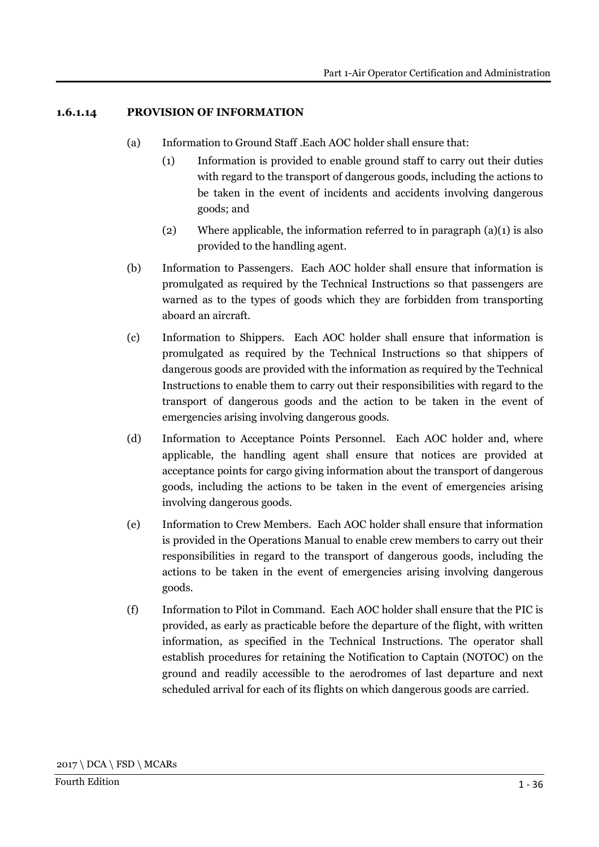## **1.6.1.14 PROVISION OF INFORMATION**

- (a) Information to Ground Staff .Each AOC holder shall ensure that:
	- (1) Information is provided to enable ground staff to carry out their duties with regard to the transport of dangerous goods, including the actions to be taken in the event of incidents and accidents involving dangerous goods; and
	- (2) Where applicable, the information referred to in paragraph  $(a)(1)$  is also provided to the handling agent.
- (b) Information to Passengers. Each AOC holder shall ensure that information is promulgated as required by the Technical Instructions so that passengers are warned as to the types of goods which they are forbidden from transporting aboard an aircraft.
- (c) Information to Shippers. Each AOC holder shall ensure that information is promulgated as required by the Technical Instructions so that shippers of dangerous goods are provided with the information as required by the Technical Instructions to enable them to carry out their responsibilities with regard to the transport of dangerous goods and the action to be taken in the event of emergencies arising involving dangerous goods.
- (d) Information to Acceptance Points Personnel. Each AOC holder and, where applicable, the handling agent shall ensure that notices are provided at acceptance points for cargo giving information about the transport of dangerous goods, including the actions to be taken in the event of emergencies arising involving dangerous goods.
- (e) Information to Crew Members. Each AOC holder shall ensure that information is provided in the Operations Manual to enable crew members to carry out their responsibilities in regard to the transport of dangerous goods, including the actions to be taken in the event of emergencies arising involving dangerous goods.
- (f) Information to Pilot in Command. Each AOC holder shall ensure that the PIC is provided, as early as practicable before the departure of the flight, with written information, as specified in the Technical Instructions. The operator shall establish procedures for retaining the Notification to Captain (NOTOC) on the ground and readily accessible to the aerodromes of last departure and next scheduled arrival for each of its flights on which dangerous goods are carried.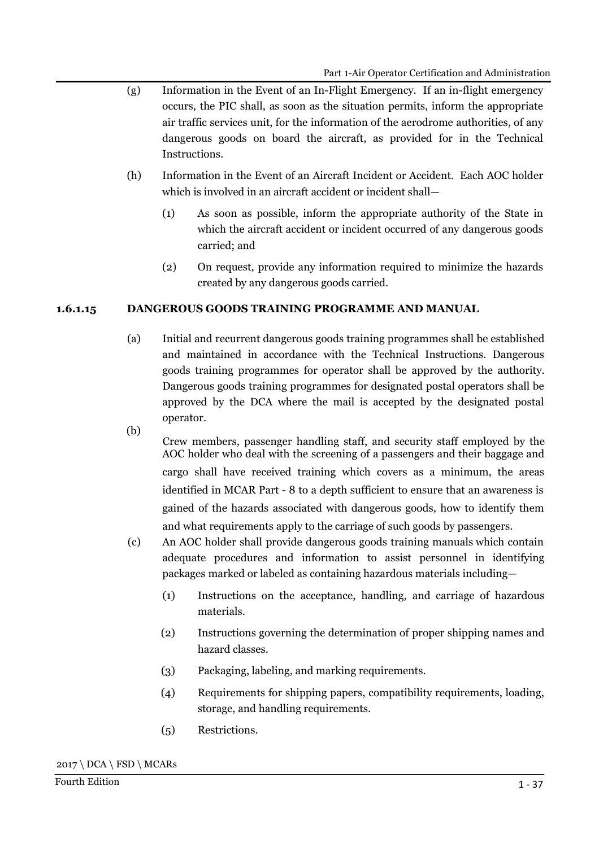- (g) Information in the Event of an In-Flight Emergency. If an in-flight emergency occurs, the PIC shall, as soon as the situation permits, inform the appropriate air traffic services unit, for the information of the aerodrome authorities, of any dangerous goods on board the aircraft, as provided for in the Technical Instructions.
- (h) Information in the Event of an Aircraft Incident or Accident. Each AOC holder which is involved in an aircraft accident or incident shall—
	- (1) As soon as possible, inform the appropriate authority of the State in which the aircraft accident or incident occurred of any dangerous goods carried; and
	- (2) On request, provide any information required to minimize the hazards created by any dangerous goods carried.

# **1.6.1.15 DANGEROUS GOODS TRAINING PROGRAMME AND MANUAL**

- (a) Initial and recurrent dangerous goods training programmes shall be established and maintained in accordance with the Technical Instructions. Dangerous goods training programmes for operator shall be approved by the authority. Dangerous goods training programmes for designated postal operators shall be approved by the DCA where the mail is accepted by the designated postal operator.
- $(b)$

Crew members, passenger handling staff, and security staff employed by the AOC holder who deal with the screening of a passengers and their baggage and cargo shall have received training which covers as a minimum, the areas identified in MCAR Part - 8 to a depth sufficient to ensure that an awareness is gained of the hazards associated with dangerous goods, how to identify them and what requirements apply to the carriage of such goods by passengers.

- (c) An AOC holder shall provide dangerous goods training manuals which contain adequate procedures and information to assist personnel in identifying packages marked or labeled as containing hazardous materials including—
	- (1) Instructions on the acceptance, handling, and carriage of hazardous materials.
	- (2) Instructions governing the determination of proper shipping names and hazard classes.
	- (3) Packaging, labeling, and marking requirements.
	- (4) Requirements for shipping papers, compatibility requirements, loading, storage, and handling requirements.
	- (5) Restrictions.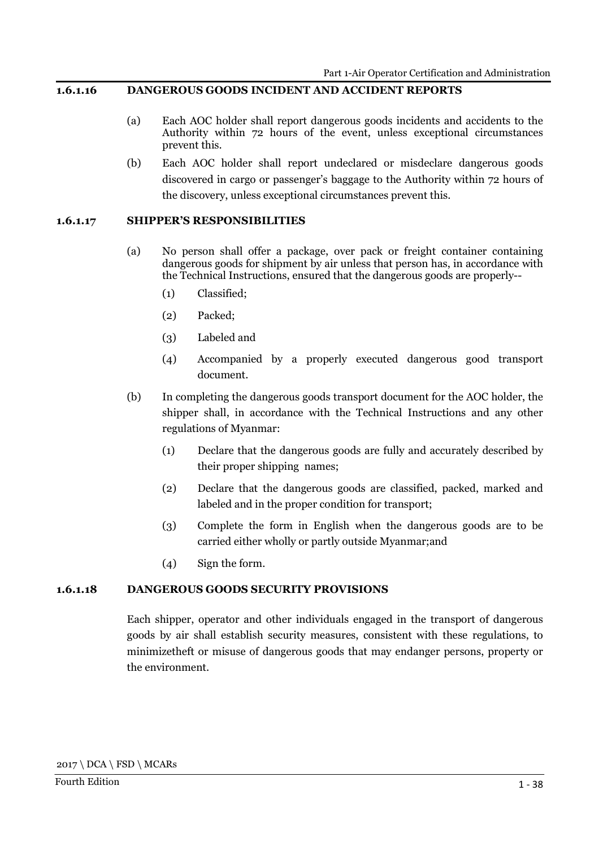## **1.6.1.16 DANGEROUS GOODS INCIDENT AND ACCIDENT REPORTS**

- (a) Each AOC holder shall report dangerous goods incidents and accidents to the Authority within 72 hours of the event, unless exceptional circumstances prevent this.
- (b) Each AOC holder shall report undeclared or misdeclare dangerous goods discovered in cargo or passenger's baggage to the Authority within 72 hours of the discovery, unless exceptional circumstances prevent this.

## **1.6.1.17 SHIPPER'S RESPONSIBILITIES**

- (a) No person shall offer a package, over pack or freight container containing dangerous goods for shipment by air unless that person has, in accordance with the Technical Instructions, ensured that the dangerous goods are properly--
	- (1) Classified;
	- (2) Packed;
	- (3) Labeled and
	- (4) Accompanied by a properly executed dangerous good transport document.
- (b) In completing the dangerous goods transport document for the AOC holder, the shipper shall, in accordance with the Technical Instructions and any other regulations of Myanmar:
	- (1) Declare that the dangerous goods are fully and accurately described by their proper shipping names;
	- (2) Declare that the dangerous goods are classified, packed, marked and labeled and in the proper condition for transport;
	- (3) Complete the form in English when the dangerous goods are to be carried either wholly or partly outside Myanmar;and
	- (4) Sign the form.

## **1.6.1.18 DANGEROUS GOODS SECURITY PROVISIONS**

Each shipper, operator and other individuals engaged in the transport of dangerous goods by air shall establish security measures, consistent with these regulations, to minimizetheft or misuse of dangerous goods that may endanger persons, property or the environment.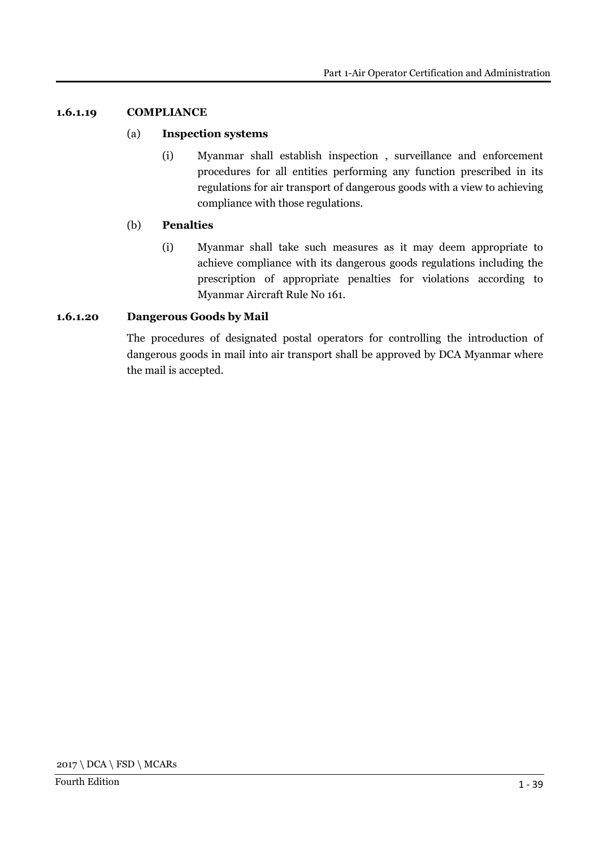# **1.6.1.19 COMPLIANCE**

## (a) **Inspection systems**

(i) Myanmar shall establish inspection , surveillance and enforcement procedures for all entities performing any function prescribed in its regulations for air transport of dangerous goods with a view to achieving compliance with those regulations.

## (b) **Penalties**

(i) Myanmar shall take such measures as it may deem appropriate to achieve compliance with its dangerous goods regulations including the prescription of appropriate penalties for violations according to Myanmar Aircraft Rule No 161.

## **1.6.1.20 Dangerous Goods by Mail**

The procedures of designated postal operators for controlling the introduction of dangerous goods in mail into air transport shall be approved by DCA Myanmar where the mail is accepted.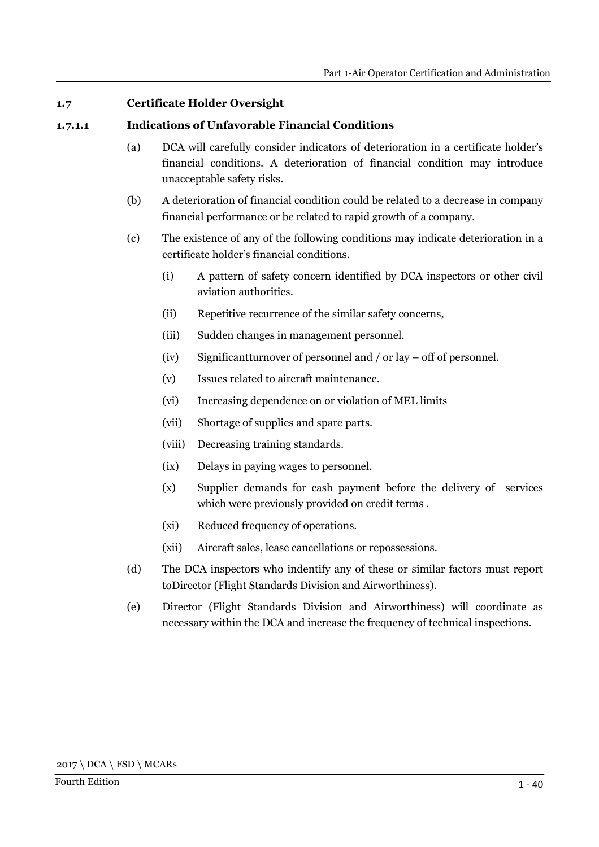## **1.7 Certificate Holder Oversight**

## **1.7.1.1 Indications of Unfavorable Financial Conditions**

- (a) DCA will carefully consider indicators of deterioration in a certificate holder's financial conditions. A deterioration of financial condition may introduce unacceptable safety risks.
- (b) A deterioration of financial condition could be related to a decrease in company financial performance or be related to rapid growth of a company.
- (c) The existence of any of the following conditions may indicate deterioration in a certificate holder's financial conditions.
	- (i) A pattern of safety concern identified by DCA inspectors or other civil aviation authorities.
	- (ii) Repetitive recurrence of the similar safety concerns,
	- (iii) Sudden changes in management personnel.
	- (iv) Significantturnover of personnel and / or lay off of personnel.
	- (v) Issues related to aircraft maintenance.
	- (vi) Increasing dependence on or violation of MEL limits
	- (vii) Shortage of supplies and spare parts.
	- (viii) Decreasing training standards.
	- (ix) Delays in paying wages to personnel.
	- (x) Supplier demands for cash payment before the delivery of services which were previously provided on credit terms .
	- (xi) Reduced frequency of operations.
	- (xii) Aircraft sales, lease cancellations or repossessions.
- (d) The DCA inspectors who indentify any of these or similar factors must report toDirector (Flight Standards Division and Airworthiness).
- (e) Director (Flight Standards Division and Airworthiness) will coordinate as necessary within the DCA and increase the frequency of technical inspections.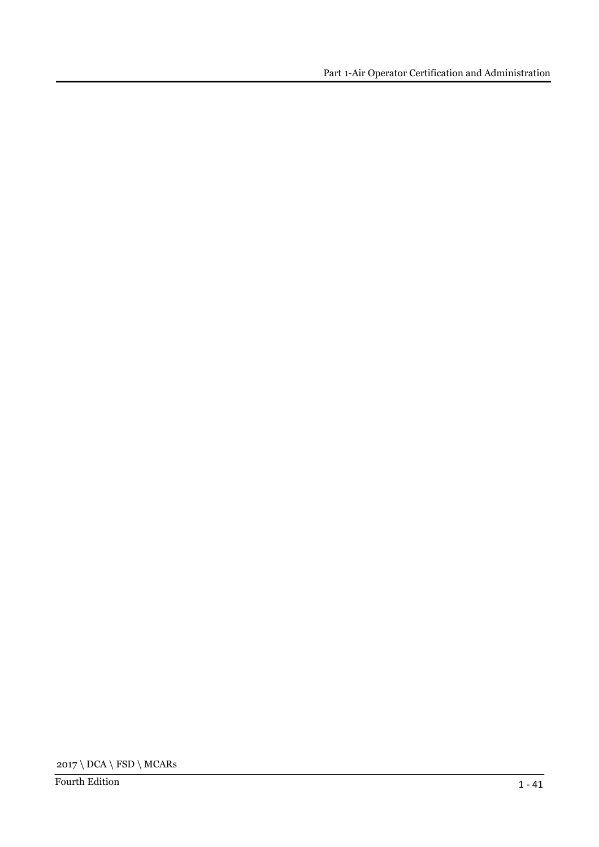Part 1-Air Operator Certification and Administration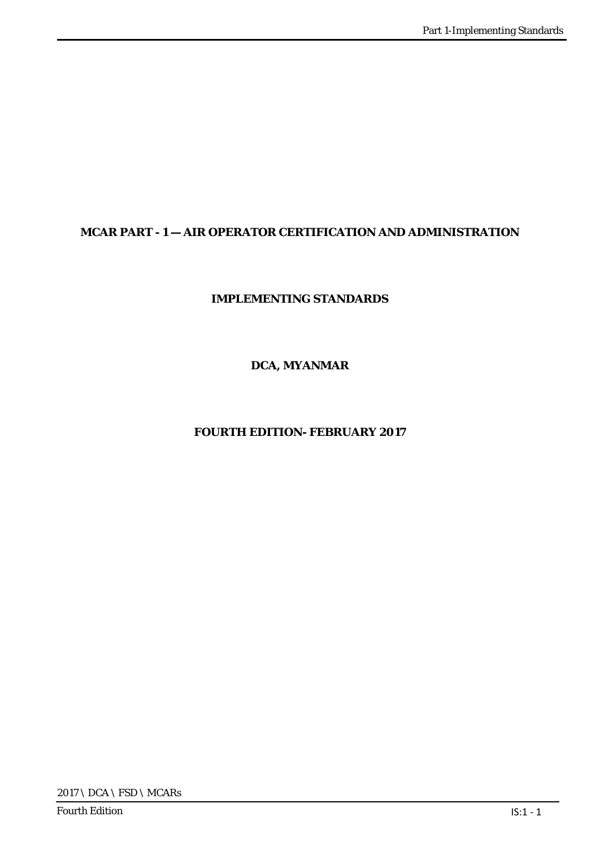# **MCAR PART - 1 — AIR OPERATOR CERTIFICATION AND ADMINISTRATION**

# **IMPLEMENTING STANDARDS**

**DCA, MYANMAR**

# **FOURTH EDITION- FEBRUARY 2017**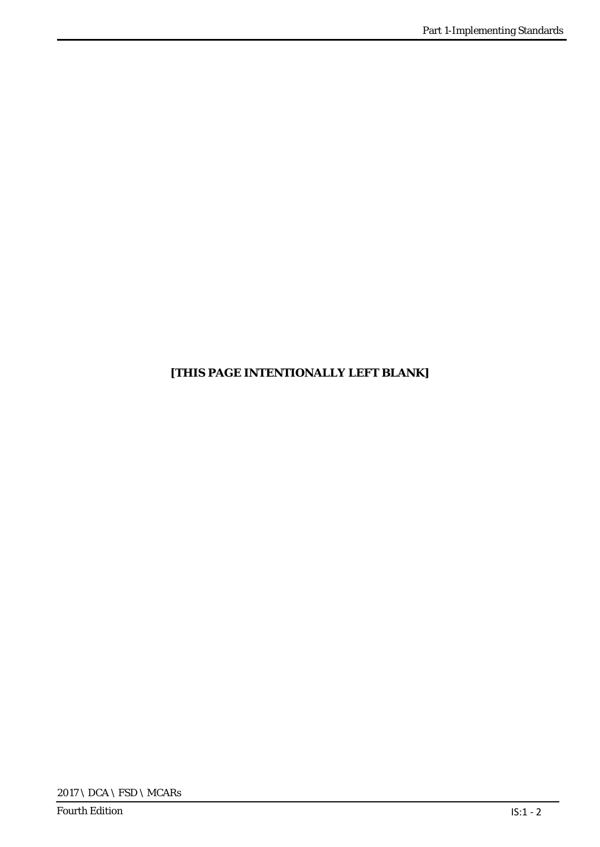# **[THIS PAGE INTENTIONALLY LEFT BLANK]**

 $2017 \smallsetminus DCA \smallsetminus FSD \smallsetminus MCARS$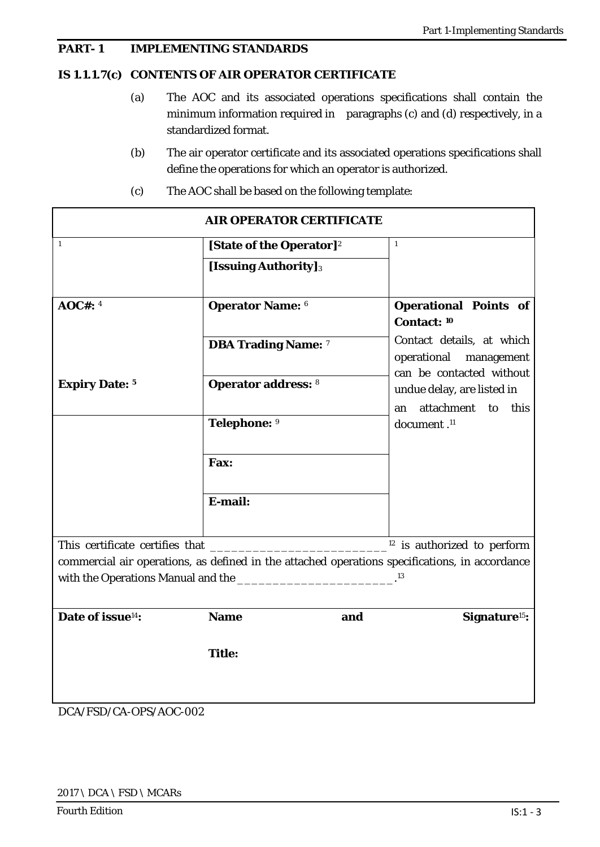## **PART- 1 IMPLEMENTING STANDARDS**

# **IS 1.1.1.7(c) CONTENTS OF AIR OPERATOR CERTIFICATE**

- (a) The AOC and its associated operations specifications shall contain the minimum information required in paragraphs (c) and (d) respectively, in a standardized format.
- (b) The air operator certificate and its associated operations specifications shall define the operations for which an operator is authorized.
- (c) The AOC shall be based on the following template:

|                                        | <b>AIR OPERATOR CERTIFICATE</b>                                                                |                                                                                    |  |  |  |
|----------------------------------------|------------------------------------------------------------------------------------------------|------------------------------------------------------------------------------------|--|--|--|
| $\mathbf{1}$                           | [State of the Operator] <sup>2</sup>                                                           | $\mathbf{1}$                                                                       |  |  |  |
|                                        | [Issuing Authority] <sub>3</sub>                                                               |                                                                                    |  |  |  |
| AOC#: 4                                | <b>Operator Name: 6</b>                                                                        | <b>Operational Points of</b><br>Contact: 10                                        |  |  |  |
|                                        | <b>DBA Trading Name:</b> 7                                                                     | Contact details, at which<br>operational management                                |  |  |  |
| <b>Expiry Date: 5</b>                  | <b>Operator address: 8</b>                                                                     | can be contacted without<br>undue delay, are listed in<br>attachment to this<br>an |  |  |  |
|                                        | Telephone: 9                                                                                   | document. <sup>11</sup>                                                            |  |  |  |
|                                        | Fax:                                                                                           |                                                                                    |  |  |  |
|                                        | E-mail:                                                                                        |                                                                                    |  |  |  |
| <sup>12</sup> is authorized to perform |                                                                                                |                                                                                    |  |  |  |
|                                        | commercial air operations, as defined in the attached operations specifications, in accordance |                                                                                    |  |  |  |
|                                        |                                                                                                |                                                                                    |  |  |  |
| Date of issue <sup>14</sup> :          | <b>Name</b><br>and                                                                             | Signature <sup>15</sup> :                                                          |  |  |  |
|                                        | <b>Title:</b>                                                                                  |                                                                                    |  |  |  |
|                                        |                                                                                                |                                                                                    |  |  |  |

DCA/FSD/CA-OPS/AOC-002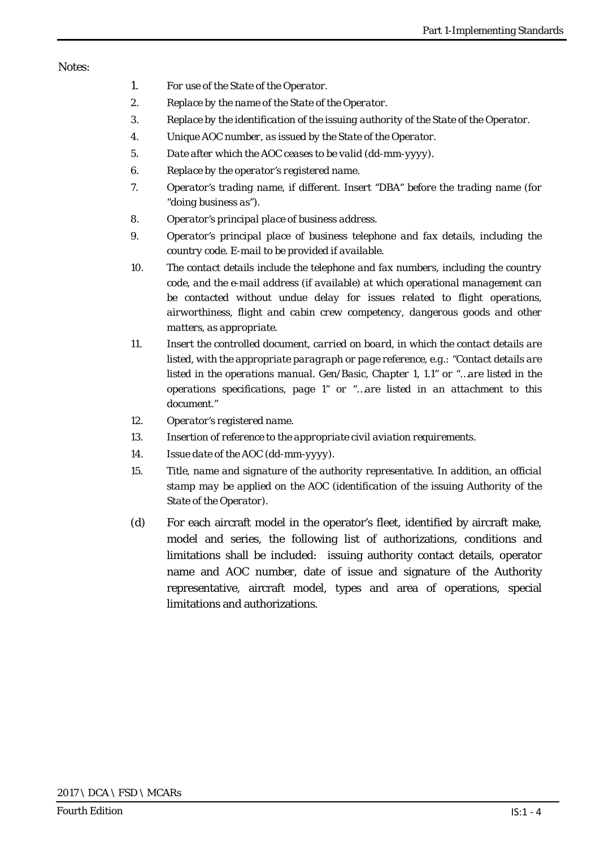*Notes:* 

- *1. For use of the State of the Operator.*
- *2. Replace by the name of the State of the Operator.*
- *3. Replace by the identification of the issuing authority of the State of the Operator.*
- *4. Unique AOC number, as issued by the State of the Operator.*
- *5. Date after which the AOC ceases to be valid (dd-mm-yyyy).*
- *6. Replace by the operator's registered name.*
- *7. Operator's trading name, if different. Insert "DBA" before the trading name (for "doing business as").*
- *8. Operator's principal place of business address.*
- *9. Operator's principal place of business telephone and fax details, including the country code. E-mail to be provided if available.*
- *10. The contact details include the telephone and fax numbers, including the country code, and the e-mail address (if available) at which operational management can be contacted without undue delay for issues related to flight operations, airworthiness, flight and cabin crew competency, dangerous goods and other matters, as appropriate.*
- *11. Insert the controlled document, carried on board, in which the contact details are listed, with the appropriate paragraph or page reference, e.g.: "Contact details are listed in the operations manual. Gen/Basic, Chapter 1, 1.1" or "…are listed in the operations specifications, page 1" or "…are listed in an attachment to this document."*
- *12. Operator's registered name.*
- *13. Insertion of reference to the appropriate civil aviation requirements.*
- *14. Issue date of the AOC (dd-mm-yyyy).*
- *15. Title, name and signature of the authority representative. In addition, an official stamp may be applied on the AOC (identification of the issuing Authority of the State of the Operator).*
- (d) For each aircraft model in the operator's fleet, identified by aircraft make, model and series, the following list of authorizations, conditions and limitations shall be included: issuing authority contact details, operator name and AOC number, date of issue and signature of the Authority representative, aircraft model, types and area of operations, special limitations and authorizations.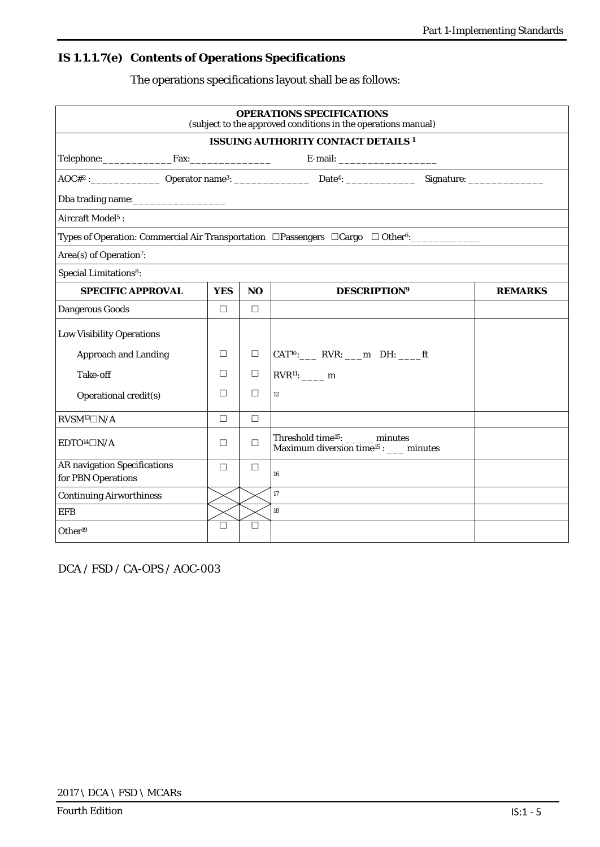# **IS 1.1.1.7(e) Contents of Operations Specifications**

The operations specifications layout shall be as follows:

| <b>OPERATIONS SPECIFICATIONS</b><br>(subject to the approved conditions in the operations manual)                                                             |                                                       |        |                                                                                                     |                |  |  |  |
|---------------------------------------------------------------------------------------------------------------------------------------------------------------|-------------------------------------------------------|--------|-----------------------------------------------------------------------------------------------------|----------------|--|--|--|
| <b>ISSUING AUTHORITY CONTACT DETAILS 1</b>                                                                                                                    |                                                       |        |                                                                                                     |                |  |  |  |
|                                                                                                                                                               | Telephone: Fax: Fax: Fax: Fax: Fax: Frail: Telephone: |        |                                                                                                     |                |  |  |  |
| AOC# <sup>2</sup> : _________________ Operator name <sup>3</sup> : ___________________ Date <sup>4</sup> : _________________ Signature: _____________________ |                                                       |        |                                                                                                     |                |  |  |  |
| Dba trading name:                                                                                                                                             |                                                       |        |                                                                                                     |                |  |  |  |
| Aircraft Model <sup>5</sup> :                                                                                                                                 |                                                       |        |                                                                                                     |                |  |  |  |
| Types of Operation: Commercial Air Transportation □Passengers □Cargo □ Other <sup>6</sup> :_______________                                                    |                                                       |        |                                                                                                     |                |  |  |  |
| Area(s) of Operation <sup>7</sup> :                                                                                                                           |                                                       |        |                                                                                                     |                |  |  |  |
| <b>Special Limitations8:</b>                                                                                                                                  |                                                       |        |                                                                                                     |                |  |  |  |
| <b>SPECIFIC APPROVAL</b>                                                                                                                                      | <b>YES</b>                                            | NO.    | <b>DESCRIPTION<sup>9</sup></b>                                                                      | <b>REMARKS</b> |  |  |  |
| Dangerous Goods                                                                                                                                               | $\Box$                                                | $\Box$ |                                                                                                     |                |  |  |  |
| <b>Low Visibility Operations</b>                                                                                                                              |                                                       |        |                                                                                                     |                |  |  |  |
| <b>Approach and Landing</b>                                                                                                                                   | □                                                     | $\Box$ | CAT <sup>10</sup> :_____ RVR: ____m DH: _____ft                                                     |                |  |  |  |
| Take-off                                                                                                                                                      | □                                                     | $\Box$ | $RVR^{11}$ : _______ m                                                                              |                |  |  |  |
| Operational credit(s)                                                                                                                                         | $\Box$                                                | $\Box$ | 12                                                                                                  |                |  |  |  |
| $RVSM^{13}$ $\Box N/A$                                                                                                                                        | $\Box$                                                | $\Box$ |                                                                                                     |                |  |  |  |
| $EDTO14 \square N/A$                                                                                                                                          | $\Box$                                                | $\Box$ | Threshold time <sup>15</sup> : ______ minutes<br>Maximum diversion time <sup>15</sup> : ___ minutes |                |  |  |  |
| <b>AR</b> navigation Specifications<br>for PBN Operations                                                                                                     | $\Box$                                                | $\Box$ | 16                                                                                                  |                |  |  |  |
| <b>Continuing Airworthiness</b>                                                                                                                               |                                                       |        | 17                                                                                                  |                |  |  |  |
| <b>EFB</b>                                                                                                                                                    |                                                       |        | 18                                                                                                  |                |  |  |  |
| Other <sup>19</sup>                                                                                                                                           | П                                                     | П      |                                                                                                     |                |  |  |  |

DCA / FSD / CA-OPS / AOC-003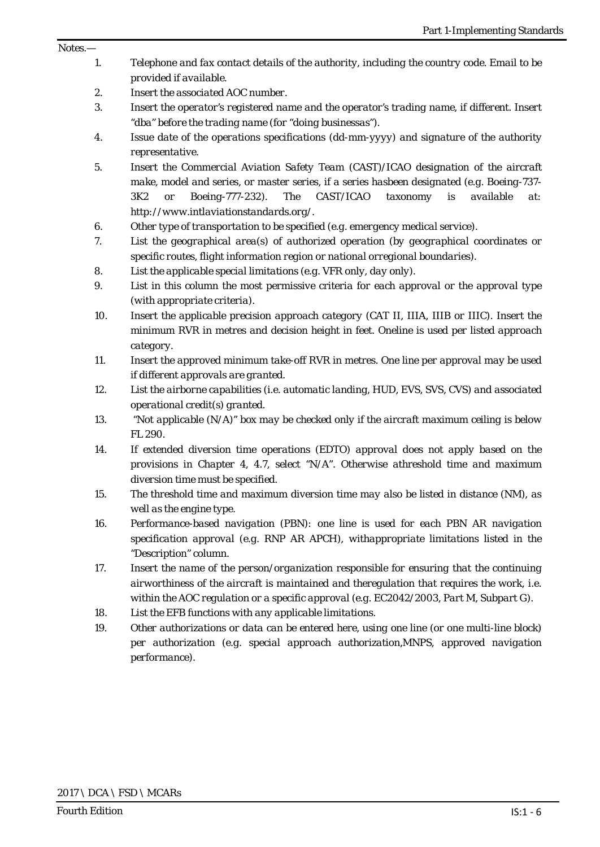| $Notes. -$ |                                                                                                                                                                                                                                                                                                                                            |
|------------|--------------------------------------------------------------------------------------------------------------------------------------------------------------------------------------------------------------------------------------------------------------------------------------------------------------------------------------------|
| 1.         | Telephone and fax contact details of the authority, including the country code. Email to be<br>provided if available.                                                                                                                                                                                                                      |
| 2.         | Insert the associated AOC number.                                                                                                                                                                                                                                                                                                          |
| 3.         | Insert the operator's registered name and the operator's trading name, if different. Insert                                                                                                                                                                                                                                                |
|            | "dba" before the trading name (for "doing businessas").                                                                                                                                                                                                                                                                                    |
| 4.         | Issue date of the operations specifications (dd-mm-yyyy) and signature of the authority                                                                                                                                                                                                                                                    |
|            | representative.                                                                                                                                                                                                                                                                                                                            |
| 5.         | Insert the Commercial Aviation Safety Team (CAST)/ICAO designation of the aircraft<br>make, model and series, or master series, if a series hasbeen designated (e.g. Boeing-737-<br>Boeing-777-232).<br><b>The</b><br><i>CAST/ICAO</i><br>taxonomy<br>3K2<br>is<br>available<br><b>or</b><br>at:<br>http://www.intlaviationstandards.org/. |
| 6.         | Other type of transportation to be specified (e.g. emergency medical service).                                                                                                                                                                                                                                                             |
| 7.         | List the geographical area(s) of authorized operation (by geographical coordinates or<br>specific routes, flight information region or national orregional boundaries).                                                                                                                                                                    |
| 8.         | List the applicable special limitations (e.g. VFR only, day only).                                                                                                                                                                                                                                                                         |
| 9.         | List in this column the most permissive criteria for each approval or the approval type<br>(with appropriate criteria).                                                                                                                                                                                                                    |
| 10.        | Insert the applicable precision approach category (CAT II, IIIA, IIIB or IIIC). Insert the<br>minimum RVR in metres and decision height in feet. Oneline is used per listed approach<br>category.                                                                                                                                          |
| 11.        | Insert the approved minimum take-off RVR in metres. One line per approval may be used                                                                                                                                                                                                                                                      |
|            | if different approvals are granted.                                                                                                                                                                                                                                                                                                        |
| 12.        | List the airborne capabilities (i.e. automatic landing, HUD, EVS, SVS, CVS) and associated                                                                                                                                                                                                                                                 |
|            |                                                                                                                                                                                                                                                                                                                                            |
| 13.        | operational credit(s) granted.<br>"Not applicable (N/A)" box may be checked only if the aircraft maximum ceiling is below                                                                                                                                                                                                                  |
|            | FL 290.                                                                                                                                                                                                                                                                                                                                    |
| 14.        | If extended diversion time operations (EDTO) approval does not apply based on the<br>provisions in Chapter 4, 4.7, select " $N/A$ ". Otherwise athreshold time and maximum<br>diversion time must be specified.                                                                                                                            |
| 15.        | The threshold time and maximum diversion time may also be listed in distance (NM), as<br>well as the engine type.                                                                                                                                                                                                                          |
| 16.        | Performance-based navigation (PBN): one line is used for each PBN AR navigation<br>specification approval (e.g. RNP AR APCH), withappropriate limitations listed in the<br>"Description" column.                                                                                                                                           |
| 17.        | Insert the name of the person/organization responsible for ensuring that the continuing<br>airworthiness of the aircraft is maintained and theregulation that requires the work, i.e.<br>within the AOC regulation or a specific approval (e.g. EC2042/2003, Part M, Subpart G).                                                           |
| 18.        | List the EFB functions with any applicable limitations.                                                                                                                                                                                                                                                                                    |
| 19.        | Other authorizations or data can be entered here, using one line (or one multi-line block)<br>per authorization (e.g. special approach authorization, MNPS, approved navigation<br>performance).                                                                                                                                           |
|            |                                                                                                                                                                                                                                                                                                                                            |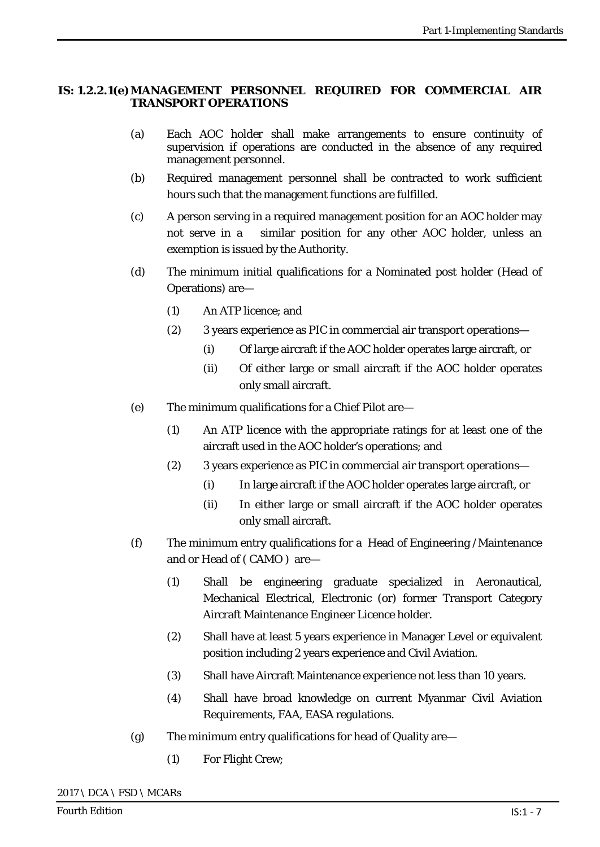## **IS: 1.2.2.1(e)MANAGEMENT PERSONNEL REQUIRED FOR COMMERCIAL AIR TRANSPORT OPERATIONS**

- (a) Each AOC holder shall make arrangements to ensure continuity of supervision if operations are conducted in the absence of any required management personnel.
- (b) Required management personnel shall be contracted to work sufficient hours such that the management functions are fulfilled.
- (c) A person serving in a required management position for an AOC holder may not serve in a similar position for any other AOC holder, unless an exemption is issued by the Authority.
- (d) The minimum initial qualifications for a Nominated post holder (Head of Operations) are—
	- (1) An ATP licence; and
	- (2) 3 years experience as PIC in commercial air transport operations—
		- (i) Of large aircraft if the AOC holder operates large aircraft, or
		- (ii) Of either large or small aircraft if the AOC holder operates only small aircraft.
- (e) The minimum qualifications for a Chief Pilot are—
	- (1) An ATP licence with the appropriate ratings for at least one of the aircraft used in the AOC holder's operations; and
	- (2) 3 years experience as PIC in commercial air transport operations—
		- (i) In large aircraft if the AOC holder operates large aircraft, or
			- (ii) In either large or small aircraft if the AOC holder operates only small aircraft.
- (f) The minimum entry qualifications for a Head of Engineering /Maintenance and or Head of ( CAMO ) are—
	- (1) Shall be engineering graduate specialized in Aeronautical, Mechanical Electrical, Electronic (or) former Transport Category Aircraft Maintenance Engineer Licence holder.
	- (2) Shall have at least 5 years experience in Manager Level or equivalent position including 2 years experience and Civil Aviation.
	- (3) Shall have Aircraft Maintenance experience not less than 10 years.
	- (4) Shall have broad knowledge on current Myanmar Civil Aviation Requirements, FAA, EASA regulations.
- (g) The minimum entry qualifications for head of Quality are—
	- (1) For Flight Crew;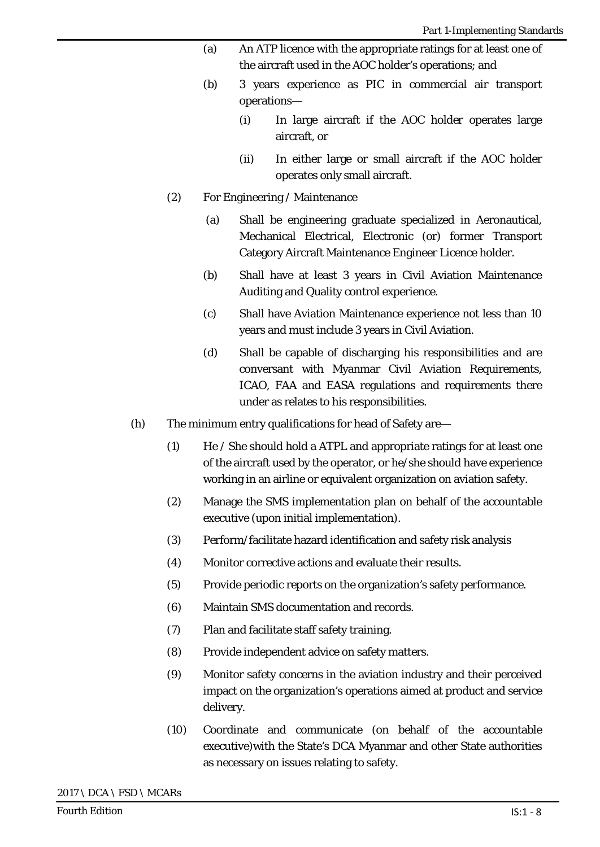- (a) An ATP licence with the appropriate ratings for at least one of the aircraft used in the AOC holder's operations; and
- (b) 3 years experience as PIC in commercial air transport operations—
	- (i) In large aircraft if the AOC holder operates large aircraft, or
	- (ii) In either large or small aircraft if the AOC holder operates only small aircraft.
- (2) For Engineering / Maintenance
	- (a) Shall be engineering graduate specialized in Aeronautical, Mechanical Electrical, Electronic (or) former Transport Category Aircraft Maintenance Engineer Licence holder.
	- (b) Shall have at least 3 years in Civil Aviation Maintenance Auditing and Quality control experience.
	- (c) Shall have Aviation Maintenance experience not less than 10 years and must include 3 years in Civil Aviation.
	- (d) Shall be capable of discharging his responsibilities and are conversant with Myanmar Civil Aviation Requirements, ICAO, FAA and EASA regulations and requirements there under as relates to his responsibilities.
- (h) The minimum entry qualifications for head of Safety are—
	- (1) He / She should hold a ATPL and appropriate ratings for at least one of the aircraft used by the operator, or he/she should have experience working in an airline or equivalent organization on aviation safety.
	- (2) Manage the SMS implementation plan on behalf of the accountable executive (upon initial implementation).
	- (3) Perform/facilitate hazard identification and safety risk analysis
	- (4) Monitor corrective actions and evaluate their results.
	- (5) Provide periodic reports on the organization's safety performance.
	- (6) Maintain SMS documentation and records.
	- (7) Plan and facilitate staff safety training.
	- (8) Provide independent advice on safety matters.
	- (9) Monitor safety concerns in the aviation industry and their perceived impact on the organization's operations aimed at product and service delivery.
	- (10) Coordinate and communicate (on behalf of the accountable executive)with the State's DCA Myanmar and other State authorities as necessary on issues relating to safety.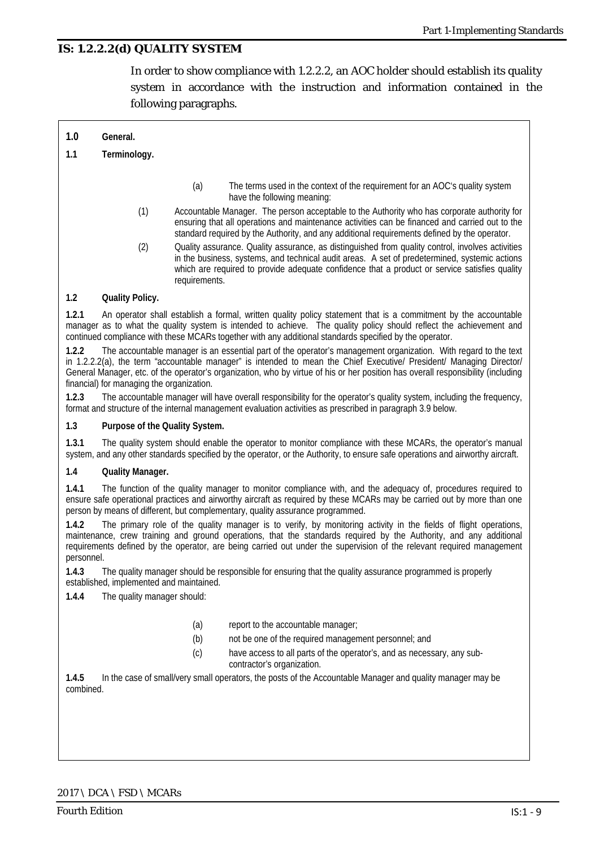# **IS: 1.2.2.2(d) QUALITY SYSTEM**

In order to show compliance with 1.2.2.2, an AOC holder should establish its quality system in accordance with the instruction and information contained in the following paragraphs.

#### **1.0 General.**

#### **1.1 Terminology.**

- (a) The terms used in the context of the requirement for an AOC's quality system have the following meaning:
- (1) Accountable Manager. The person acceptable to the Authority who has corporate authority for ensuring that all operations and maintenance activities can be financed and carried out to the standard required by the Authority, and any additional requirements defined by the operator.
- (2) Quality assurance. Quality assurance, as distinguished from quality control, involves activities in the business, systems, and technical audit areas. A set of predetermined, systemic actions which are required to provide adequate confidence that a product or service satisfies quality requirements.

#### **1.2 Quality Policy.**

**1.2.1** An operator shall establish a formal, written quality policy statement that is a commitment by the accountable manager as to what the quality system is intended to achieve. The quality policy should reflect the achievement and continued compliance with these MCARs together with any additional standards specified by the operator.

**1.2.2** The accountable manager is an essential part of the operator's management organization. With regard to the text in 1.2.2.2(a), the term "accountable manager" is intended to mean the Chief Executive/ President/ Managing Director/ General Manager, etc. of the operator's organization, who by virtue of his or her position has overall responsibility (including financial) for managing the organization.

**1.2.3** The accountable manager will have overall responsibility for the operator's quality system, including the frequency, format and structure of the internal management evaluation activities as prescribed in paragraph 3.9 below.

#### **1.3 Purpose of the Quality System.**

**1.3.1** The quality system should enable the operator to monitor compliance with these MCARs, the operator's manual system, and any other standards specified by the operator, or the Authority, to ensure safe operations and airworthy aircraft.

#### **1.4 Quality Manager.**

**1.4.1** The function of the quality manager to monitor compliance with, and the adequacy of, procedures required to ensure safe operational practices and airworthy aircraft as required by these MCARs may be carried out by more than one person by means of different, but complementary, quality assurance programmed.

**1.4.2** The primary role of the quality manager is to verify, by monitoring activity in the fields of flight operations, maintenance, crew training and ground operations, that the standards required by the Authority, and any additional requirements defined by the operator, are being carried out under the supervision of the relevant required management personnel.

**1.4.3** The quality manager should be responsible for ensuring that the quality assurance programmed is properly established, implemented and maintained.

**1.4.4** The quality manager should:

- (a) report to the accountable manager;
- (b) not be one of the required management personnel; and
- (c) have access to all parts of the operator's, and as necessary, any subcontractor's organization.

**1.4.5** In the case of small/very small operators, the posts of the Accountable Manager and quality manager may be combined.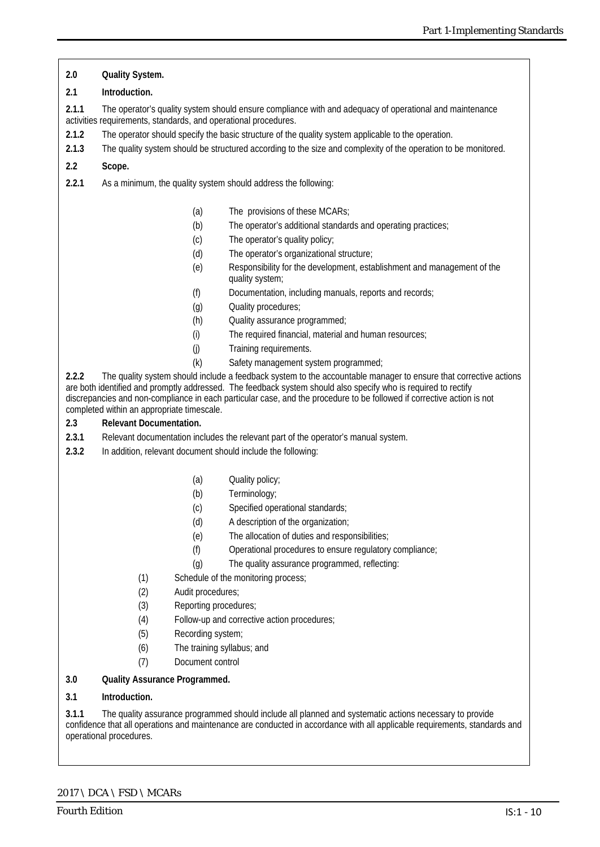#### **2.0 Quality System.**

#### **2.1 Introduction.**

**2.1.1** The operator's quality system should ensure compliance with and adequacy of operational and maintenance requirements, standards, and operational procedures.

- **2.1.2** The operator should specify the basic structure of the quality system applicable to the operation.
- **2.1.3** The quality system should be structured according to the size and complexity of the operation to be monitored.
- **2.2 Scope.**
- **2.2.1** As a minimum, the quality system should address the following:
	- (a) The provisions of these MCARs;
	- (b) The operator's additional standards and operating practices;
	- (c) The operator's quality policy;
	- (d) The operator's organizational structure;
	- (e) Responsibility for the development, establishment and management of the quality system;
	- (f) Documentation, including manuals, reports and records;
	- (g) Quality procedures;
	- (h) Quality assurance programmed;
	- (i) The required financial, material and human resources;
	- (j) Training requirements.
	- (k) Safety management system programmed;

**2.2.2** The quality system should include a feedback system to the accountable manager to ensure that corrective actions are both identified and promptly addressed. The feedback system should also specify who is required to rectify discrepancies and non-compliance in each particular case, and the procedure to be followed if corrective action is not completed within an appropriate timescale.

## **2.3 Relevant Documentation.**

- **2.3.1** Relevant documentation includes the relevant part of the operator's manual system.
- **2.3.2** In addition, relevant document should include the following:
	- (a) Quality policy;
	- (b) Terminology;
	- (c) Specified operational standards;
	- (d) A description of the organization;
	- (e) The allocation of duties and responsibilities;
	- (f) Operational procedures to ensure regulatory compliance;
	- (g) The quality assurance programmed, reflecting:
	- (1) Schedule of the monitoring process;
	- (2) Audit procedures;
	- (3) Reporting procedures;
	- (4) Follow-up and corrective action procedures;
	- (5) Recording system;
	- (6) The training syllabus; and
	- (7) Document control

#### **3.0 Quality Assurance Programmed.**

#### **3.1 Introduction.**

**3.1.1** The quality assurance programmed should include all planned and systematic actions necessary to provide confidence that all operations and maintenance are conducted in accordance with all applicable requirements, standards and operational procedures.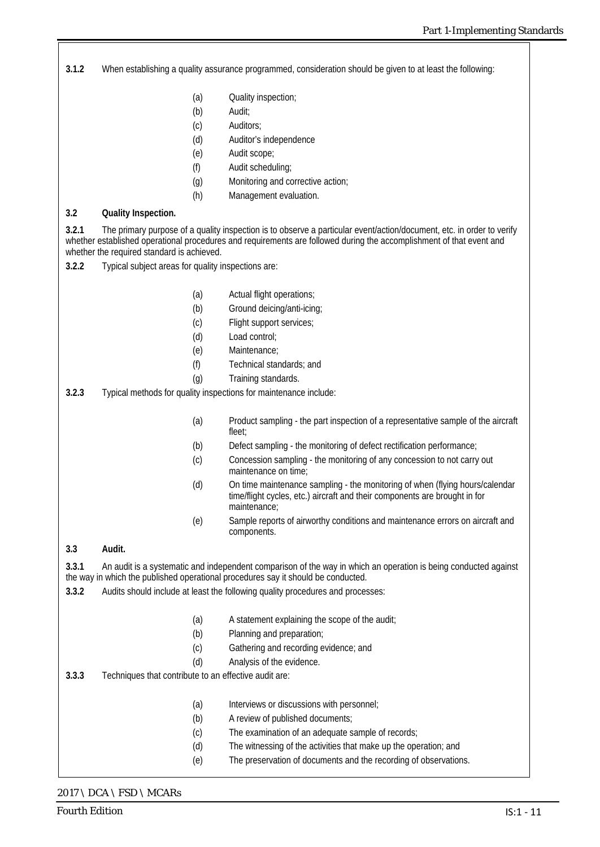**3.1.2** When establishing a quality assurance programmed, consideration should be given to at least the following:

- (a) Quality inspection;
- (b) Audit;
- (c) Auditors;
- (d) Auditor's independence
- (e) Audit scope;
- (f) Audit scheduling;
- (g) Monitoring and corrective action;
- (h) Management evaluation.

#### **3.2 Quality Inspection.**

**3.2.1** The primary purpose of a quality inspection is to observe a particular event/action/document, etc. in order to verify whether established operational procedures and requirements are followed during the accomplishment of that event and whether the required standard is achieved.

**3.2.2** Typical subject areas for quality inspections are:

- (a) Actual flight operations;
- (b) Ground deicing/anti-icing;
- (c) Flight support services;
- (d) Load control;
- (e) Maintenance;
- (f) Technical standards; and
- (g) Training standards.
- **3.2.3** Typical methods for quality inspections for maintenance include:
	- (a) Product sampling the part inspection of a representative sample of the aircraft fleet;
	- (b) Defect sampling the monitoring of defect rectification performance;
	- (c) Concession sampling the monitoring of any concession to not carry out maintenance on time;
	- (d) On time maintenance sampling the monitoring of when (flying hours/calendar time/flight cycles, etc.) aircraft and their components are brought in for maintenance;
	- (e) Sample reports of airworthy conditions and maintenance errors on aircraft and components.

#### **3.3 Audit.**

**3.3.1** An audit is a systematic and independent comparison of the way in which an operation is being conducted against the way in which the published operational procedures say it should be conducted.

- **3.3.2** Audits should include at least the following quality procedures and processes:
	- (a) A statement explaining the scope of the audit;
	- (b) Planning and preparation;
	- (c) Gathering and recording evidence; and
	- (d) Analysis of the evidence.
- **3.3.3** Techniques that contribute to an effective audit are:
	- (a) Interviews or discussions with personnel;
	- (b) A review of published documents;
	- (c) The examination of an adequate sample of records;
	- (d) The witnessing of the activities that make up the operation; and
	- (e) The preservation of documents and the recording of observations.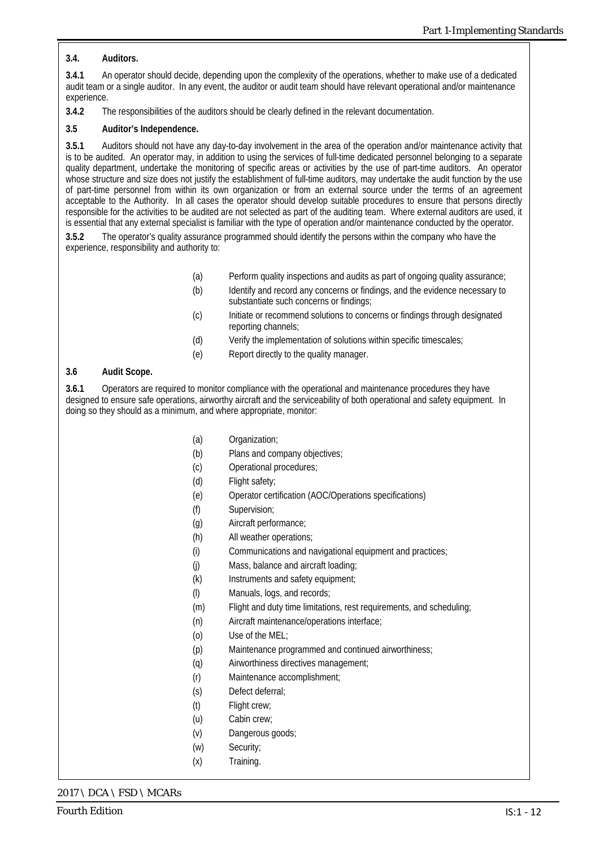#### **3.4. Auditors.**

**3.4.1** An operator should decide, depending upon the complexity of the operations, whether to make use of a dedicated audit team or a single auditor. In any event, the auditor or audit team should have relevant operational and/or maintenance experience.

**3.4.2** The responsibilities of the auditors should be clearly defined in the relevant documentation.

#### **3.5 Auditor's Independence.**

**3.5.1** Auditors should not have any day-to-day involvement in the area of the operation and/or maintenance activity that is to be audited. An operator may, in addition to using the services of full-time dedicated personnel belonging to a separate quality department, undertake the monitoring of specific areas or activities by the use of part-time auditors. An operator whose structure and size does not justify the establishment of full-time auditors, may undertake the audit function by the use of part-time personnel from within its own organization or from an external source under the terms of an agreement acceptable to the Authority. In all cases the operator should develop suitable procedures to ensure that persons directly responsible for the activities to be audited are not selected as part of the auditing team. Where external auditors are used, it is essential that any external specialist is familiar with the type of operation and/or maintenance conducted by the operator.

**3.5.2** The operator's quality assurance programmed should identify the persons within the company who have the experience, responsibility and authority to:

- (a) Perform quality inspections and audits as part of ongoing quality assurance;
- (b) Identify and record any concerns or findings, and the evidence necessary to substantiate such concerns or findings;
- (c) Initiate or recommend solutions to concerns or findings through designated reporting channels;
- (d) Verify the implementation of solutions within specific timescales;
- (e) Report directly to the quality manager.

#### **3.6 Audit Scope.**

**3.6.1** Operators are required to monitor compliance with the operational and maintenance procedures they have designed to ensure safe operations, airworthy aircraft and the serviceability of both operational and safety equipment. In doing so they should as a minimum, and where appropriate, monitor:

- (a) Organization;
- (b) Plans and company objectives;
- (c) Operational procedures;
- (d) Flight safety;
- (e) Operator certification (AOC/Operations specifications)
- (f) Supervision;
- (g) Aircraft performance;
- (h) All weather operations;
- (i) Communications and navigational equipment and practices;
- (j) Mass, balance and aircraft loading;
- (k) Instruments and safety equipment;
- (l) Manuals, logs, and records;
- (m) Flight and duty time limitations, rest requirements, and scheduling;
- (n) Aircraft maintenance/operations interface;
- (o) Use of the MEL;
- (p) Maintenance programmed and continued airworthiness;
- (q) Airworthiness directives management;
- (r) Maintenance accomplishment;
- (s) Defect deferral;
- (t) Flight crew;
- (u) Cabin crew;
- (v) Dangerous goods;
- (w) Security;
- (x) Training.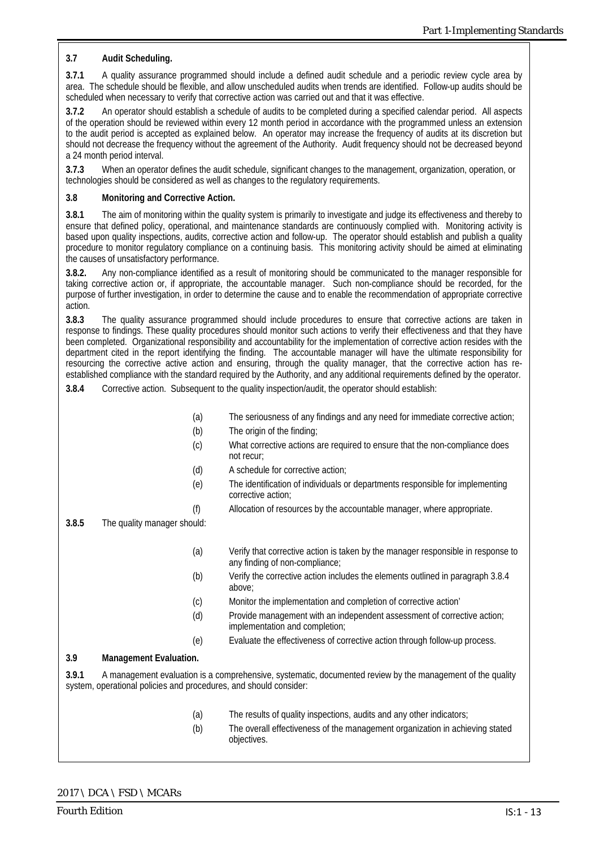#### **3.7 Audit Scheduling.**

**3.7.1** A quality assurance programmed should include a defined audit schedule and a periodic review cycle area by area. The schedule should be flexible, and allow unscheduled audits when trends are identified. Follow-up audits should be scheduled when necessary to verify that corrective action was carried out and that it was effective.

**3.7.2** An operator should establish a schedule of audits to be completed during a specified calendar period. All aspects of the operation should be reviewed within every 12 month period in accordance with the programmed unless an extension to the audit period is accepted as explained below. An operator may increase the frequency of audits at its discretion but should not decrease the frequency without the agreement of the Authority. Audit frequency should not be decreased beyond a 24 month period interval.

**3.7.3** When an operator defines the audit schedule, significant changes to the management, organization, operation, or technologies should be considered as well as changes to the regulatory requirements.

#### **3.8 Monitoring and Corrective Action.**

**3.8.1** The aim of monitoring within the quality system is primarily to investigate and judge its effectiveness and thereby to ensure that defined policy, operational, and maintenance standards are continuously complied with. Monitoring activity is based upon quality inspections, audits, corrective action and follow-up. The operator should establish and publish a quality procedure to monitor regulatory compliance on a continuing basis. This monitoring activity should be aimed at eliminating the causes of unsatisfactory performance.

**3.8.2.** Any non-compliance identified as a result of monitoring should be communicated to the manager responsible for taking corrective action or, if appropriate, the accountable manager. Such non-compliance should be recorded, for the purpose of further investigation, in order to determine the cause and to enable the recommendation of appropriate corrective action.

**3.8.3** The quality assurance programmed should include procedures to ensure that corrective actions are taken in response to findings. These quality procedures should monitor such actions to verify their effectiveness and that they have been completed. Organizational responsibility and accountability for the implementation of corrective action resides with the department cited in the report identifying the finding. The accountable manager will have the ultimate responsibility for resourcing the corrective active action and ensuring, through the quality manager, that the corrective action has reestablished compliance with the standard required by the Authority, and any additional requirements defined by the operator.

**3.8.4** Corrective action. Subsequent to the quality inspection/audit, the operator should establish:

|                                                                                                                                                                                          | (a)                         | The seriousness of any findings and any need for immediate corrective action;                                      |  |  |  |
|------------------------------------------------------------------------------------------------------------------------------------------------------------------------------------------|-----------------------------|--------------------------------------------------------------------------------------------------------------------|--|--|--|
|                                                                                                                                                                                          | (b)                         | The origin of the finding;                                                                                         |  |  |  |
|                                                                                                                                                                                          | (c)                         | What corrective actions are required to ensure that the non-compliance does<br>not recur:                          |  |  |  |
|                                                                                                                                                                                          | (d)                         | A schedule for corrective action;                                                                                  |  |  |  |
|                                                                                                                                                                                          | (e)                         | The identification of individuals or departments responsible for implementing<br>corrective action;                |  |  |  |
|                                                                                                                                                                                          | (f)                         | Allocation of resources by the accountable manager, where appropriate.                                             |  |  |  |
| 3.8.5                                                                                                                                                                                    | The quality manager should: |                                                                                                                    |  |  |  |
|                                                                                                                                                                                          |                             |                                                                                                                    |  |  |  |
|                                                                                                                                                                                          | (a)                         | Verify that corrective action is taken by the manager responsible in response to<br>any finding of non-compliance; |  |  |  |
|                                                                                                                                                                                          | (b)                         | Verify the corrective action includes the elements outlined in paragraph 3.8.4<br>above;                           |  |  |  |
|                                                                                                                                                                                          | (c)                         | Monitor the implementation and completion of corrective action'                                                    |  |  |  |
|                                                                                                                                                                                          | (d)                         | Provide management with an independent assessment of corrective action;<br>implementation and completion;          |  |  |  |
|                                                                                                                                                                                          | (e)                         | Evaluate the effectiveness of corrective action through follow-up process.                                         |  |  |  |
| 3.9                                                                                                                                                                                      | Management Evaluation.      |                                                                                                                    |  |  |  |
| 3.9.1<br>A management evaluation is a comprehensive, systematic, documented review by the management of the quality<br>system, operational policies and procedures, and should consider: |                             |                                                                                                                    |  |  |  |
|                                                                                                                                                                                          |                             |                                                                                                                    |  |  |  |
|                                                                                                                                                                                          | (a)                         | The results of quality inspections, audits and any other indicators;                                               |  |  |  |
|                                                                                                                                                                                          | (b)                         | The overall effectiveness of the management organization in achieving stated<br>objectives.                        |  |  |  |
|                                                                                                                                                                                          |                             |                                                                                                                    |  |  |  |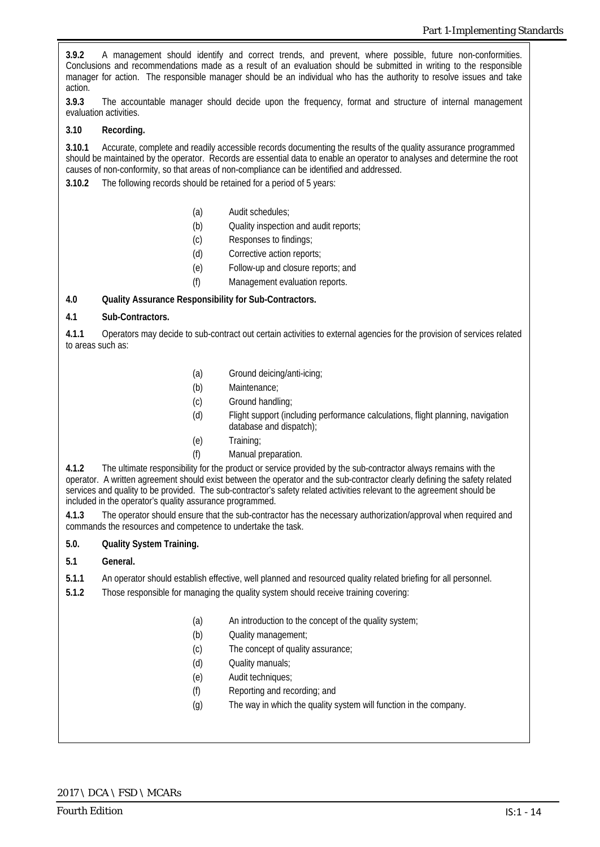**3.9.2** A management should identify and correct trends, and prevent, where possible, future non-conformities. Conclusions and recommendations made as a result of an evaluation should be submitted in writing to the responsible manager for action. The responsible manager should be an individual who has the authority to resolve issues and take action.

**3.9.3** The accountable manager should decide upon the frequency, format and structure of internal management evaluation activities.

#### **3.10 Recording.**

**3.10.1** Accurate, complete and readily accessible records documenting the results of the quality assurance programmed should be maintained by the operator. Records are essential data to enable an operator to analyses and determine the root causes of non-conformity, so that areas of non-compliance can be identified and addressed.

**3.10.2** The following records should be retained for a period of 5 years:

- (a) Audit schedules;
- (b) Quality inspection and audit reports;
- (c) Responses to findings;
- (d) Corrective action reports;
- (e) Follow-up and closure reports; and
- (f) Management evaluation reports.

#### **4.0 Quality Assurance Responsibility for Sub-Contractors.**

#### **4.1 Sub-Contractors.**

**4.1.1** Operators may decide to sub-contract out certain activities to external agencies for the provision of services related to areas such as:

- (a) Ground deicing/anti-icing;
- (b) Maintenance;
- (c) Ground handling;
- (d) Flight support (including performance calculations, flight planning, navigation database and dispatch);
- (e) Training;
- (f) Manual preparation.

**4.1.2** The ultimate responsibility for the product or service provided by the sub-contractor always remains with the operator. A written agreement should exist between the operator and the sub-contractor clearly defining the safety related services and quality to be provided. The sub-contractor's safety related activities relevant to the agreement should be included in the operator's quality assurance programmed.

**4.1.3** The operator should ensure that the sub-contractor has the necessary authorization/approval when required and commands the resources and competence to undertake the task.

## **5.0. Quality System Training.**

#### **5.1 General.**

**5.1.1** An operator should establish effective, well planned and resourced quality related briefing for all personnel.

**5.1.2** Those responsible for managing the quality system should receive training covering:

- (a) An introduction to the concept of the quality system;
- (b) Quality management;
- (c) The concept of quality assurance;
- (d) Quality manuals;
- (e) Audit techniques;
- (f) Reporting and recording; and
- (g) The way in which the quality system will function in the company.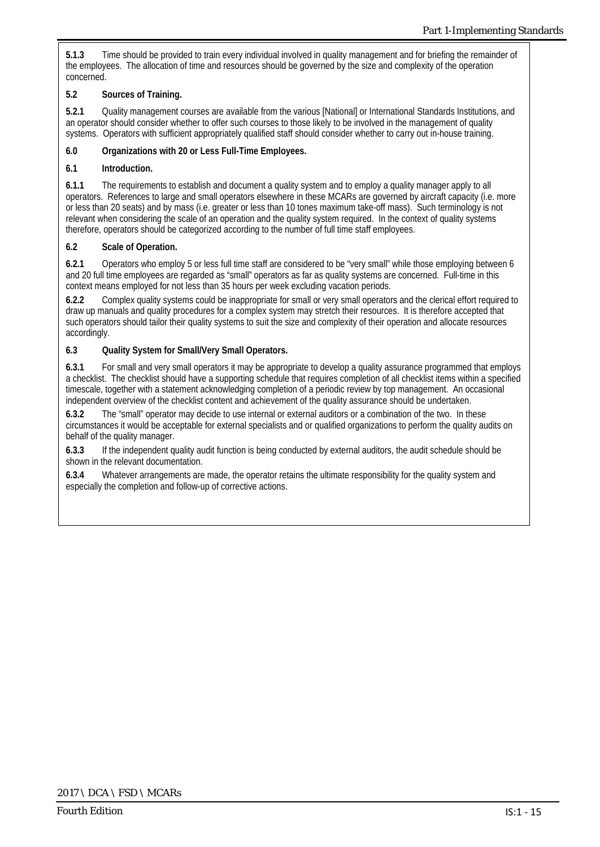**5.1.3** Time should be provided to train every individual involved in quality management and for briefing the remainder of the employees. The allocation of time and resources should be governed by the size and complexity of the operation concerned.

#### **5.2 Sources of Training.**

**5.2.1** Quality management courses are available from the various [National] or International Standards Institutions, and an operator should consider whether to offer such courses to those likely to be involved in the management of quality systems. Operators with sufficient appropriately qualified staff should consider whether to carry out in-house training.

#### **6.0 Organizations with 20 or Less Full-Time Employees.**

#### **6.1 Introduction.**

**6.1.1** The requirements to establish and document a quality system and to employ a quality manager apply to all operators. References to large and small operators elsewhere in these MCARs are governed by aircraft capacity (i.e. more or less than 20 seats) and by mass (i.e. greater or less than 10 tones maximum take-off mass). Such terminology is not relevant when considering the scale of an operation and the quality system required. In the context of quality systems therefore, operators should be categorized according to the number of full time staff employees.

#### **6.2 Scale of Operation.**

**6.2.1** Operators who employ 5 or less full time staff are considered to be "very small" while those employing between 6 and 20 full time employees are regarded as "small" operators as far as quality systems are concerned. Full-time in this context means employed for not less than 35 hours per week excluding vacation periods.

**6.2.2** Complex quality systems could be inappropriate for small or very small operators and the clerical effort required to draw up manuals and quality procedures for a complex system may stretch their resources. It is therefore accepted that such operators should tailor their quality systems to suit the size and complexity of their operation and allocate resources accordingly.

## **6.3 Quality System for Small/Very Small Operators.**

**6.3.1** For small and very small operators it may be appropriate to develop a quality assurance programmed that employs a checklist. The checklist should have a supporting schedule that requires completion of all checklist items within a specified timescale, together with a statement acknowledging completion of a periodic review by top management. An occasional independent overview of the checklist content and achievement of the quality assurance should be undertaken.

**6.3.2** The "small" operator may decide to use internal or external auditors or a combination of the two. In these circumstances it would be acceptable for external specialists and or qualified organizations to perform the quality audits on behalf of the quality manager.

**6.3.3** If the independent quality audit function is being conducted by external auditors, the audit schedule should be shown in the relevant documentation.

**6.3.4** Whatever arrangements are made, the operator retains the ultimate responsibility for the quality system and especially the completion and follow-up of corrective actions.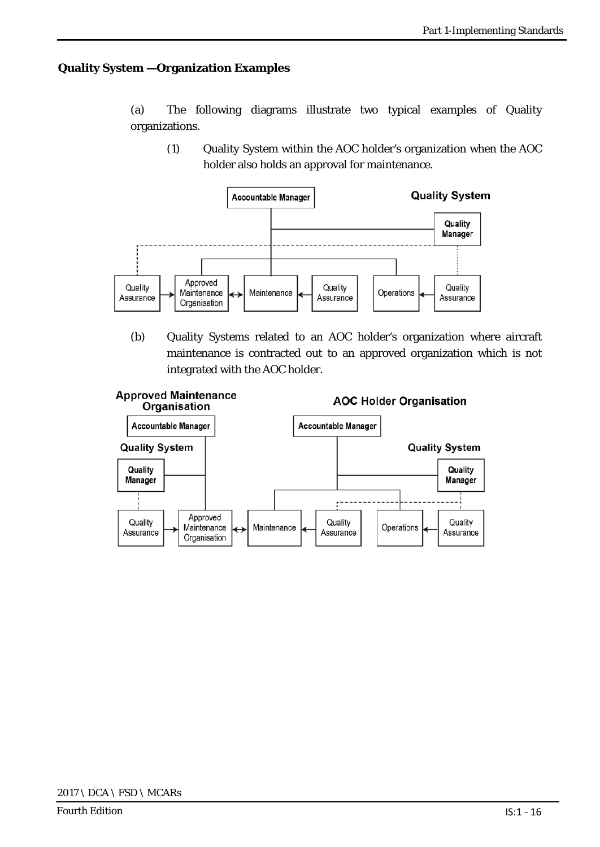# **Quality System —Organization Examples**

(a) The following diagrams illustrate two typical examples of Quality organizations.

(1) Quality System within the AOC holder's organization when the AOC holder also holds an approval for maintenance.



(b) Quality Systems related to an AOC holder's organization where aircraft maintenance is contracted out to an approved organization which is not integrated with the AOC holder.

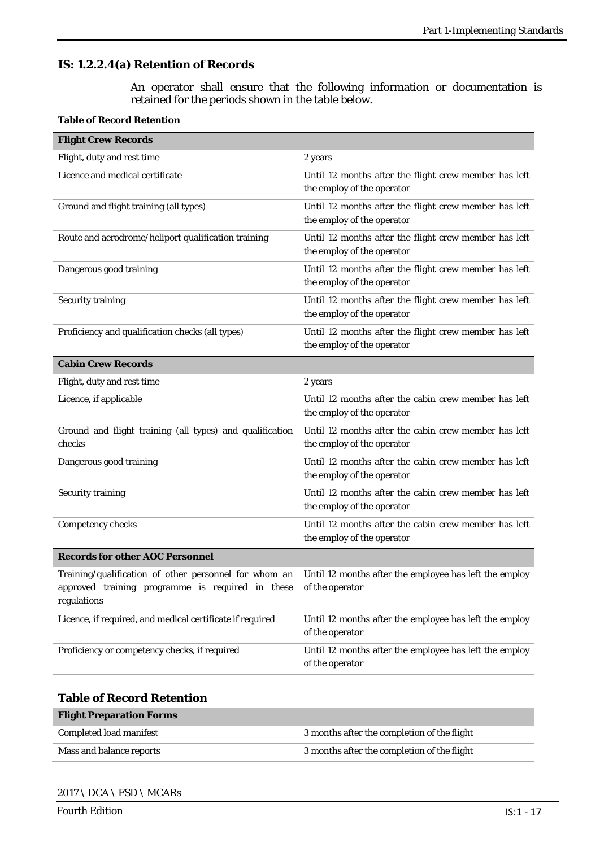# **IS: 1.2.2.4(a) Retention of Records**

An operator shall ensure that the following information or documentation is retained for the periods shown in the table below.

#### **Table of Record Retention**

| <b>Flight Crew Records</b>                                                                                               |                                                                                     |
|--------------------------------------------------------------------------------------------------------------------------|-------------------------------------------------------------------------------------|
| Flight, duty and rest time                                                                                               | 2 years                                                                             |
| Licence and medical certificate                                                                                          | Until 12 months after the flight crew member has left<br>the employ of the operator |
| Ground and flight training (all types)                                                                                   | Until 12 months after the flight crew member has left<br>the employ of the operator |
| Route and aerodrome/heliport qualification training                                                                      | Until 12 months after the flight crew member has left<br>the employ of the operator |
| Dangerous good training                                                                                                  | Until 12 months after the flight crew member has left<br>the employ of the operator |
| <b>Security training</b>                                                                                                 | Until 12 months after the flight crew member has left<br>the employ of the operator |
| Proficiency and qualification checks (all types)                                                                         | Until 12 months after the flight crew member has left<br>the employ of the operator |
| <b>Cabin Crew Records</b>                                                                                                |                                                                                     |
| Flight, duty and rest time                                                                                               | 2 years                                                                             |
| Licence, if applicable                                                                                                   | Until 12 months after the cabin crew member has left<br>the employ of the operator  |
| Ground and flight training (all types) and qualification<br>checks                                                       | Until 12 months after the cabin crew member has left<br>the employ of the operator  |
| Dangerous good training                                                                                                  | Until 12 months after the cabin crew member has left<br>the employ of the operator  |
| <b>Security training</b>                                                                                                 | Until 12 months after the cabin crew member has left<br>the employ of the operator  |
| Competency checks                                                                                                        | Until 12 months after the cabin crew member has left<br>the employ of the operator  |
| <b>Records for other AOC Personnel</b>                                                                                   |                                                                                     |
| Training/qualification of other personnel for whom an<br>approved training programme is required in these<br>regulations | Until 12 months after the employee has left the employ<br>of the operator           |
| Licence, if required, and medical certificate if required                                                                | Until 12 months after the employee has left the employ<br>of the operator           |
| Proficiency or competency checks, if required                                                                            | Until 12 months after the employee has left the employ<br>of the operator           |

# **Table of Record Retention**

| <b>Flight Preparation Forms</b> |                                                           |
|---------------------------------|-----------------------------------------------------------|
| Completed load manifest         | 3 months after the completion of the flight               |
| Mass and balance reports        | $\frac{1}{2}$ 3 months after the completion of the flight |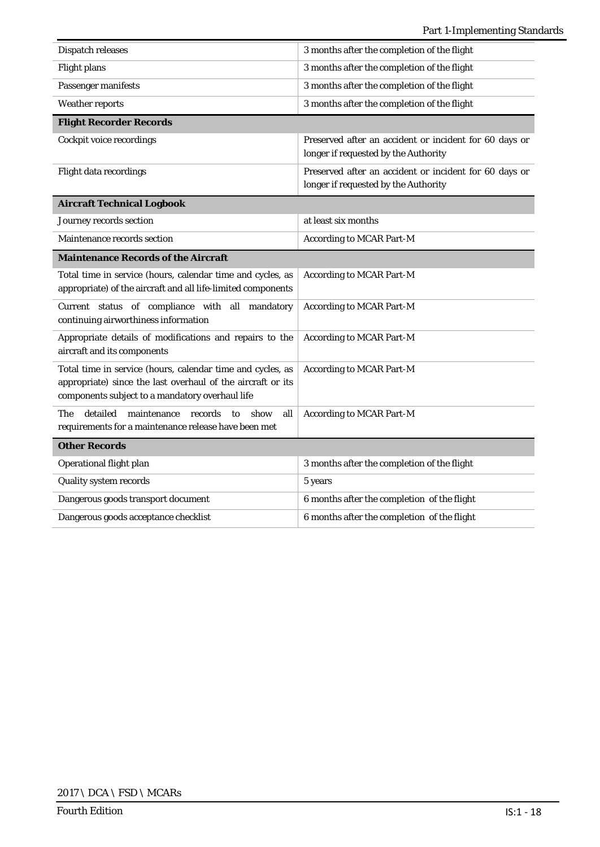| Dispatch releases                                                                                                                                                            | 3 months after the completion of the flight                                                    |
|------------------------------------------------------------------------------------------------------------------------------------------------------------------------------|------------------------------------------------------------------------------------------------|
| Flight plans                                                                                                                                                                 | 3 months after the completion of the flight                                                    |
| <b>Passenger manifests</b>                                                                                                                                                   | 3 months after the completion of the flight                                                    |
| <b>Weather reports</b>                                                                                                                                                       | 3 months after the completion of the flight                                                    |
| <b>Flight Recorder Records</b>                                                                                                                                               |                                                                                                |
| Cockpit voice recordings                                                                                                                                                     | Preserved after an accident or incident for 60 days or<br>longer if requested by the Authority |
| <b>Flight data recordings</b>                                                                                                                                                | Preserved after an accident or incident for 60 days or<br>longer if requested by the Authority |
| <b>Aircraft Technical Logbook</b>                                                                                                                                            |                                                                                                |
| Journey records section                                                                                                                                                      | at least six months                                                                            |
| Maintenance records section                                                                                                                                                  | <b>According to MCAR Part-M</b>                                                                |
| <b>Maintenance Records of the Aircraft</b>                                                                                                                                   |                                                                                                |
| Total time in service (hours, calendar time and cycles, as<br>appropriate) of the aircraft and all life-limited components                                                   | <b>According to MCAR Part-M</b>                                                                |
| Current status of compliance with all mandatory<br>continuing airworthiness information                                                                                      | <b>According to MCAR Part-M</b>                                                                |
| Appropriate details of modifications and repairs to the<br>aircraft and its components                                                                                       | <b>According to MCAR Part-M</b>                                                                |
| Total time in service (hours, calendar time and cycles, as<br>appropriate) since the last overhaul of the aircraft or its<br>components subject to a mandatory overhaul life | <b>According to MCAR Part-M</b>                                                                |
| detailed maintenance<br>records<br>The<br>show<br>all<br>to<br>requirements for a maintenance release have been met                                                          | <b>According to MCAR Part-M</b>                                                                |
| <b>Other Records</b>                                                                                                                                                         |                                                                                                |
| Operational flight plan                                                                                                                                                      | 3 months after the completion of the flight                                                    |
| Quality system records                                                                                                                                                       | 5 years                                                                                        |
| Dangerous goods transport document                                                                                                                                           | 6 months after the completion of the flight                                                    |
| Dangerous goods acceptance checklist                                                                                                                                         | 6 months after the completion of the flight                                                    |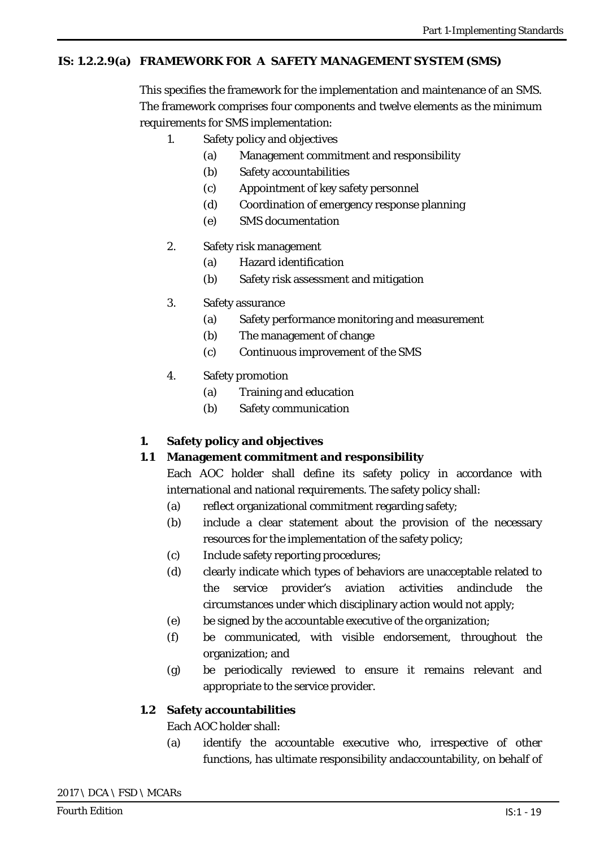# **IS: 1.2.2.9(a) FRAMEWORK FOR A SAFETY MANAGEMENT SYSTEM (SMS)**

This specifies the framework for the implementation and maintenance of an SMS. The framework comprises four components and twelve elements as the minimum requirements for SMS implementation:

- 1. Safety policy and objectives
	- (a) Management commitment and responsibility
	- (b) Safety accountabilities
	- (c) Appointment of key safety personnel
	- (d) Coordination of emergency response planning
	- (e) SMS documentation
- 2. Safety risk management
	- (a) Hazard identification
	- (b) Safety risk assessment and mitigation
- 3. Safety assurance
	- (a) Safety performance monitoring and measurement
	- (b) The management of change
	- (c) Continuous improvement of the SMS
- 4. Safety promotion
	- (a) Training and education
	- (b) Safety communication

# **1. Safety policy and objectives**

# **1.1 Management commitment and responsibility**

Each AOC holder shall define its safety policy in accordance with international and national requirements. The safety policy shall:

- (a) reflect organizational commitment regarding safety;
- (b) include a clear statement about the provision of the necessary resources for the implementation of the safety policy;
- (c) Include safety reporting procedures;
- (d) clearly indicate which types of behaviors are unacceptable related to the service provider's aviation activities andinclude the circumstances under which disciplinary action would not apply;
- (e) be signed by the accountable executive of the organization;
- (f) be communicated, with visible endorsement, throughout the organization; and
- (g) be periodically reviewed to ensure it remains relevant and appropriate to the service provider.

# **1.2 Safety accountabilities**

Each AOC holder shall:

(a) identify the accountable executive who, irrespective of other functions, has ultimate responsibility andaccountability, on behalf of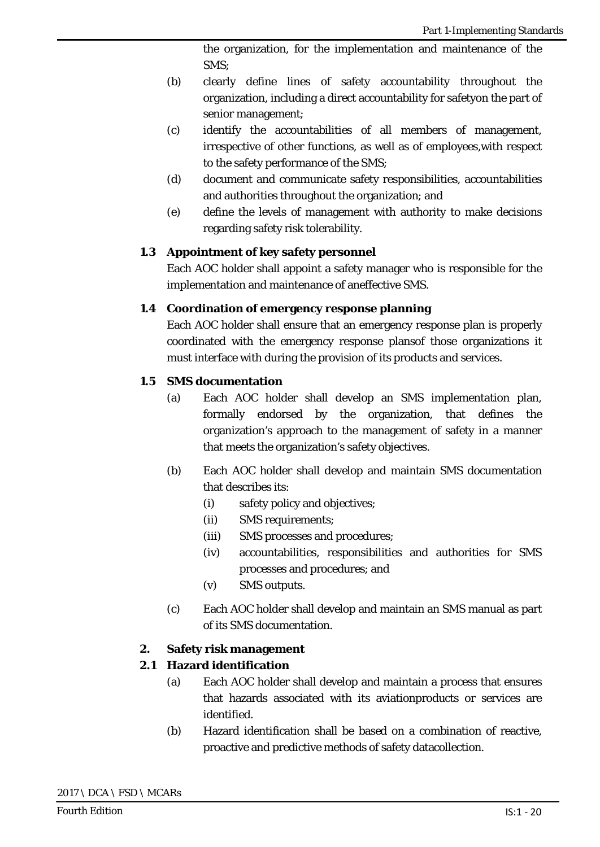the organization, for the implementation and maintenance of the SMS;

- (b) clearly define lines of safety accountability throughout the organization, including a direct accountability for safetyon the part of senior management;
- (c) identify the accountabilities of all members of management, irrespective of other functions, as well as of employees,with respect to the safety performance of the SMS;
- (d) document and communicate safety responsibilities, accountabilities and authorities throughout the organization; and
- (e) define the levels of management with authority to make decisions regarding safety risk tolerability.

# **1.3 Appointment of key safety personnel**

Each AOC holder shall appoint a safety manager who is responsible for the implementation and maintenance of aneffective SMS.

# **1.4 Coordination of emergency response planning**

Each AOC holder shall ensure that an emergency response plan is properly coordinated with the emergency response plansof those organizations it must interface with during the provision of its products and services.

# **1.5 SMS documentation**

- (a) Each AOC holder shall develop an SMS implementation plan, formally endorsed by the organization, that defines the organization's approach to the management of safety in a manner that meets the organization's safety objectives.
- (b) Each AOC holder shall develop and maintain SMS documentation that describes its:
	- (i) safety policy and objectives;
	- (ii) SMS requirements;
	- (iii) SMS processes and procedures;
	- (iv) accountabilities, responsibilities and authorities for SMS processes and procedures; and
	- (v) SMS outputs.
- (c) Each AOC holder shall develop and maintain an SMS manual as part of its SMS documentation.

# **2. Safety risk management**

# **2.1 Hazard identification**

- (a) Each AOC holder shall develop and maintain a process that ensures that hazards associated with its aviationproducts or services are identified.
- (b) Hazard identification shall be based on a combination of reactive, proactive and predictive methods of safety datacollection.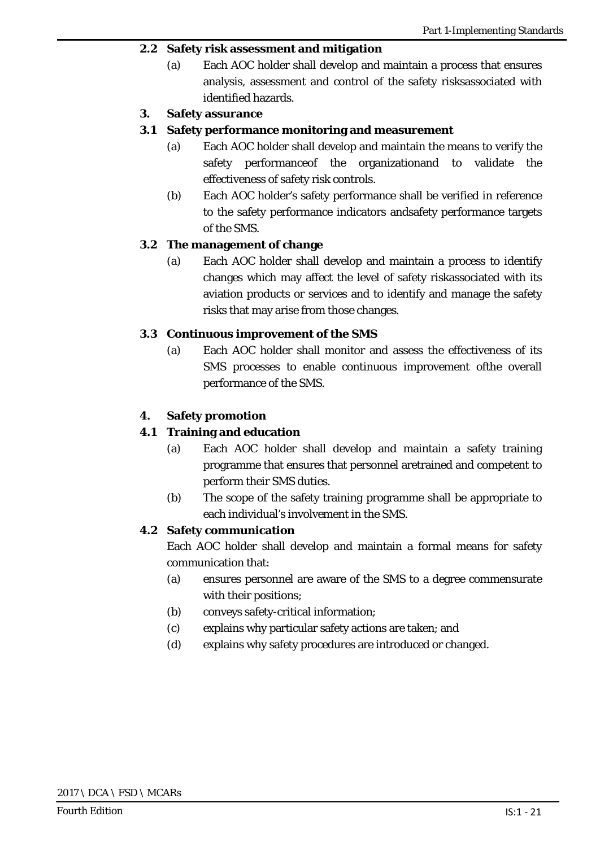# **2.2 Safety risk assessment and mitigation**

(a) Each AOC holder shall develop and maintain a process that ensures analysis, assessment and control of the safety risksassociated with identified hazards.

# **3. Safety assurance**

# **3.1 Safety performance monitoring and measurement**

- (a) Each AOC holder shall develop and maintain the means to verify the safety performanceof the organizationand to validate the effectiveness of safety risk controls.
- (b) Each AOC holder's safety performance shall be verified in reference to the safety performance indicators andsafety performance targets of the SMS.

# **3.2 The management of change**

(a) Each AOC holder shall develop and maintain a process to identify changes which may affect the level of safety riskassociated with its aviation products or services and to identify and manage the safety risks that may arise from those changes.

# **3.3 Continuous improvement of the SMS**

(a) Each AOC holder shall monitor and assess the effectiveness of its SMS processes to enable continuous improvement ofthe overall performance of the SMS.

# **4. Safety promotion**

# **4.1 Training and education**

- (a) Each AOC holder shall develop and maintain a safety training programme that ensures that personnel aretrained and competent to perform their SMS duties.
- (b) The scope of the safety training programme shall be appropriate to each individual's involvement in the SMS.

# **4.2 Safety communication**

Each AOC holder shall develop and maintain a formal means for safety communication that:

- (a) ensures personnel are aware of the SMS to a degree commensurate with their positions;
- (b) conveys safety-critical information;
- (c) explains why particular safety actions are taken; and
- (d) explains why safety procedures are introduced or changed.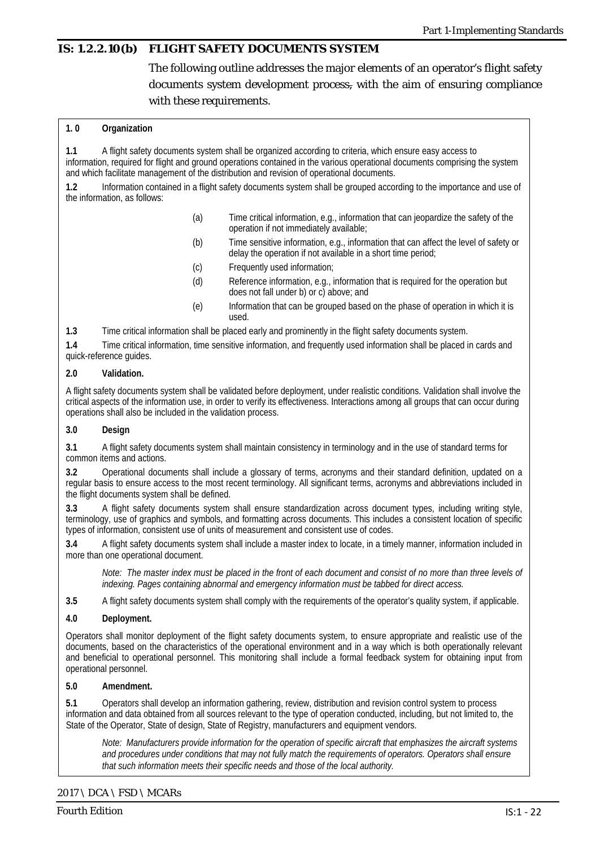# **IS: 1.2.2.10(b) FLIGHT SAFETY DOCUMENTS SYSTEM**

# The following outline addresses the major elements of an operator's flight safety documents system development process, with the aim of ensuring compliance with these requirements.

### **1. 0 Organization**

**1.1** A flight safety documents system shall be organized according to criteria, which ensure easy access to information, required for flight and ground operations contained in the various operational documents comprising the system and which facilitate management of the distribution and revision of operational documents.

**1.2** Information contained in a flight safety documents system shall be grouped according to the importance and use of the information, as follows:

- (a) Time critical information, e.g., information that can jeopardize the safety of the operation if not immediately available;
- (b) Time sensitive information, e.g., information that can affect the level of safety or delay the operation if not available in a short time period;
- (c) Frequently used information;
- (d) Reference information, e.g., information that is required for the operation but does not fall under b) or c) above; and
- (e) Information that can be grouped based on the phase of operation in which it is used.

**1.3** Time critical information shall be placed early and prominently in the flight safety documents system.

**1.4** Time critical information, time sensitive information, and frequently used information shall be placed in cards and quick-reference guides.

#### **2.0 Validation.**

A flight safety documents system shall be validated before deployment, under realistic conditions. Validation shall involve the critical aspects of the information use, in order to verify its effectiveness. Interactions among all groups that can occur during operations shall also be included in the validation process.

### **3.0 Design**

**3.1** A flight safety documents system shall maintain consistency in terminology and in the use of standard terms for common items and actions.

**3.2** Operational documents shall include a glossary of terms, acronyms and their standard definition, updated on a regular basis to ensure access to the most recent terminology. All significant terms, acronyms and abbreviations included in the flight documents system shall be defined.

**3.3** A flight safety documents system shall ensure standardization across document types, including writing style, terminology, use of graphics and symbols, and formatting across documents. This includes a consistent location of specific types of information, consistent use of units of measurement and consistent use of codes.

**3.4** A flight safety documents system shall include a master index to locate, in a timely manner, information included in more than one operational document.

*Note:* The master index must be placed in the front of each document and consist of no more than three levels of *indexing. Pages containing abnormal and emergency information must be tabbed for direct access.*

**3.5** A flight safety documents system shall comply with the requirements of the operator's quality system, if applicable.

#### **4.0 Deployment.**

Operators shall monitor deployment of the flight safety documents system, to ensure appropriate and realistic use of the documents, based on the characteristics of the operational environment and in a way which is both operationally relevant and beneficial to operational personnel. This monitoring shall include a formal feedback system for obtaining input from operational personnel.

### **5.0 Amendment.**

**5.1** Operators shall develop an information gathering, review, distribution and revision control system to process information and data obtained from all sources relevant to the type of operation conducted, including, but not limited to, the State of the Operator, State of design, State of Registry, manufacturers and equipment vendors.

*Note: Manufacturers provide information for the operation of specific aircraft that emphasizes the aircraft systems and procedures under conditions that may not fully match the requirements of operators. Operators shall ensure that such information meets their specific needs and those of the local authority.*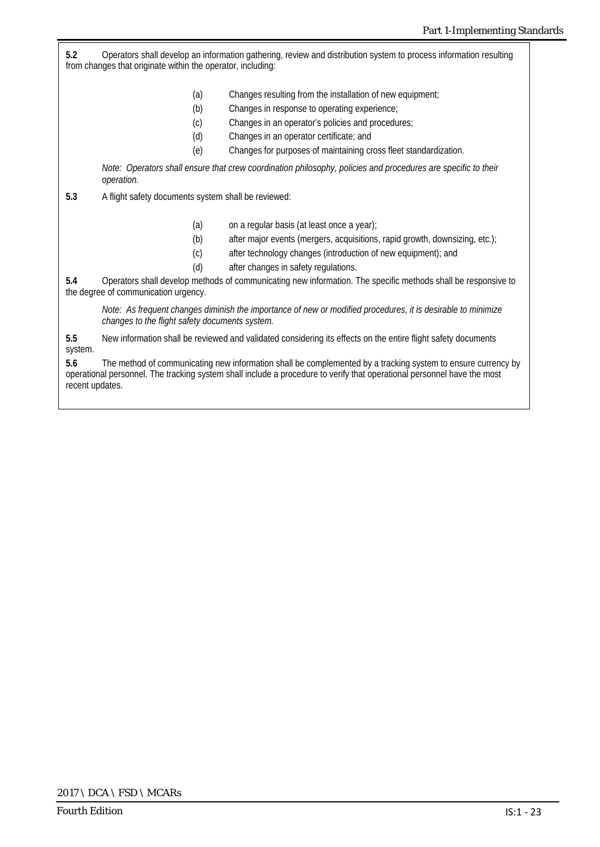### Part 1-Implementing Standards

**5.2** Operators shall develop an information gathering, review and distribution system to process information resulting from changes that originate within the operator, including: (a) Changes resulting from the installation of new equipment; (b) Changes in response to operating experience; (c) Changes in an operator's policies and procedures; (d) Changes in an operator certificate; and (e) Changes for purposes of maintaining cross fleet standardization. *Note: Operators shall ensure that crew coordination philosophy, policies and procedures are specific to their operation.* **5.3** A flight safety documents system shall be reviewed: (a) on a regular basis (at least once a year); (b) after major events (mergers, acquisitions, rapid growth, downsizing, etc.); (c) after technology changes (introduction of new equipment); and (d) after changes in safety regulations. **5.4** Operators shall develop methods of communicating new information. The specific methods shall be responsive to the degree of communication urgency. *Note: As frequent changes diminish the importance of new or modified procedures, it is desirable to minimize changes to the flight safety documents system.* **5.5** New information shall be reviewed and validated considering its effects on the entire flight safety documents system. **5.6** The method of communicating new information shall be complemented by a tracking system to ensure currency by operational personnel. The tracking system shall include a procedure to verify that operational personnel have the most recent updates.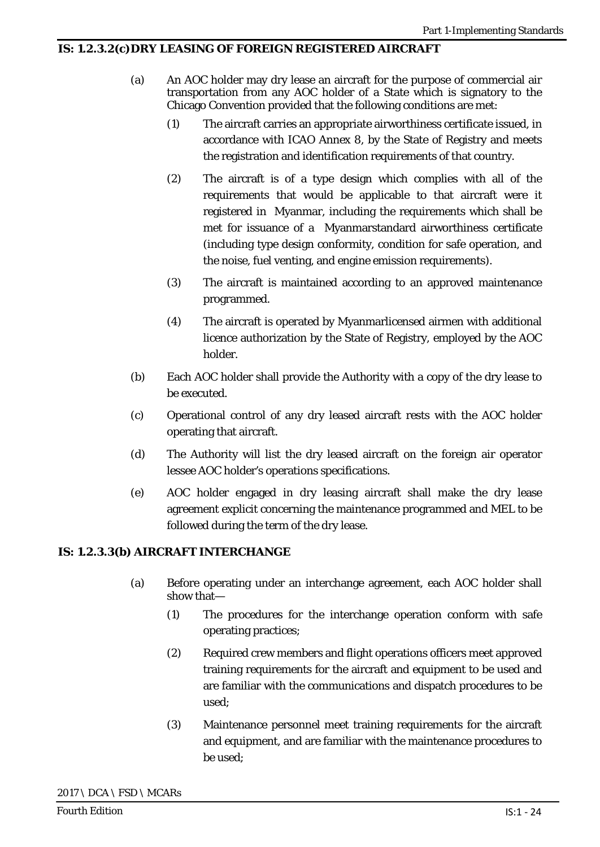# **IS: 1.2.3.2(c)DRY LEASING OF FOREIGN REGISTERED AIRCRAFT**

- (a) An AOC holder may dry lease an aircraft for the purpose of commercial air transportation from any AOC holder of a State which is signatory to the Chicago Convention provided that the following conditions are met:
	- (1) The aircraft carries an appropriate airworthiness certificate issued, in accordance with ICAO Annex 8, by the State of Registry and meets the registration and identification requirements of that country.
	- (2) The aircraft is of a type design which complies with all of the requirements that would be applicable to that aircraft were it registered in Myanmar, including the requirements which shall be met for issuance of a Myanmarstandard airworthiness certificate (including type design conformity, condition for safe operation, and the noise, fuel venting, and engine emission requirements).
	- (3) The aircraft is maintained according to an approved maintenance programmed.
	- (4) The aircraft is operated by Myanmarlicensed airmen with additional licence authorization by the State of Registry, employed by the AOC holder.
- (b) Each AOC holder shall provide the Authority with a copy of the dry lease to be executed.
- (c) Operational control of any dry leased aircraft rests with the AOC holder operating that aircraft.
- (d) The Authority will list the dry leased aircraft on the foreign air operator lessee AOC holder's operations specifications.
- (e) AOC holder engaged in dry leasing aircraft shall make the dry lease agreement explicit concerning the maintenance programmed and MEL to be followed during the term of the dry lease.

# **IS: 1.2.3.3(b) AIRCRAFT INTERCHANGE**

- (a) Before operating under an interchange agreement, each AOC holder shall show that—
	- (1) The procedures for the interchange operation conform with safe operating practices;
	- (2) Required crew members and flight operations officers meet approved training requirements for the aircraft and equipment to be used and are familiar with the communications and dispatch procedures to be used;
	- (3) Maintenance personnel meet training requirements for the aircraft and equipment, and are familiar with the maintenance procedures to be used;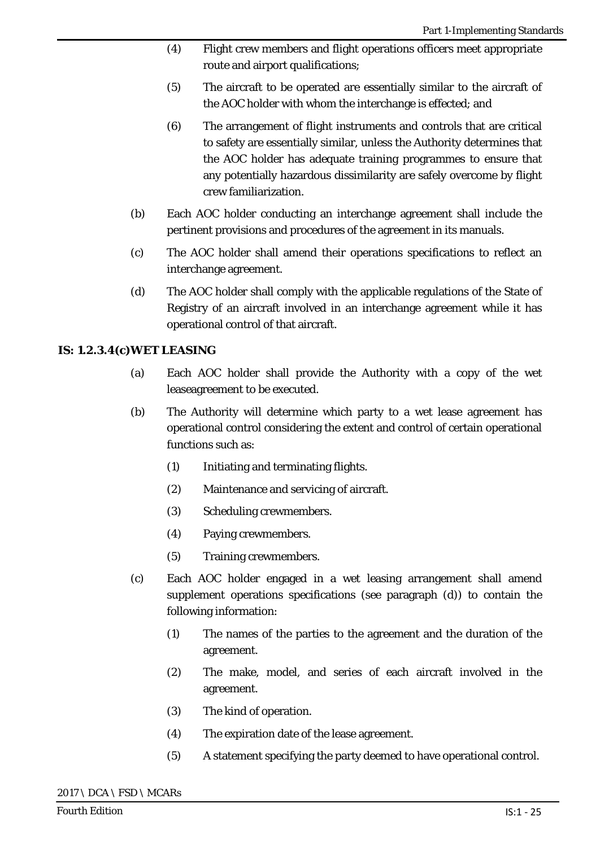- (4) Flight crew members and flight operations officers meet appropriate route and airport qualifications;
- (5) The aircraft to be operated are essentially similar to the aircraft of the AOC holder with whom the interchange is effected; and
- (6) The arrangement of flight instruments and controls that are critical to safety are essentially similar, unless the Authority determines that the AOC holder has adequate training programmes to ensure that any potentially hazardous dissimilarity are safely overcome by flight crew familiarization.
- (b) Each AOC holder conducting an interchange agreement shall include the pertinent provisions and procedures of the agreement in its manuals.
- (c) The AOC holder shall amend their operations specifications to reflect an interchange agreement.
- (d) The AOC holder shall comply with the applicable regulations of the State of Registry of an aircraft involved in an interchange agreement while it has operational control of that aircraft.

# **IS: 1.2.3.4(c)WET LEASING**

- (a) Each AOC holder shall provide the Authority with a copy of the wet leaseagreement to be executed.
- (b) The Authority will determine which party to a wet lease agreement has operational control considering the extent and control of certain operational functions such as:
	- (1) Initiating and terminating flights.
	- (2) Maintenance and servicing of aircraft.
	- (3) Scheduling crewmembers.
	- (4) Paying crewmembers.
	- (5) Training crewmembers.
- (c) Each AOC holder engaged in a wet leasing arrangement shall amend supplement operations specifications (see paragraph (d)) to contain the following information:
	- (1) The names of the parties to the agreement and the duration of the agreement.
	- (2) The make, model, and series of each aircraft involved in the agreement.
	- (3) The kind of operation.
	- (4) The expiration date of the lease agreement.
	- (5) A statement specifying the party deemed to have operational control.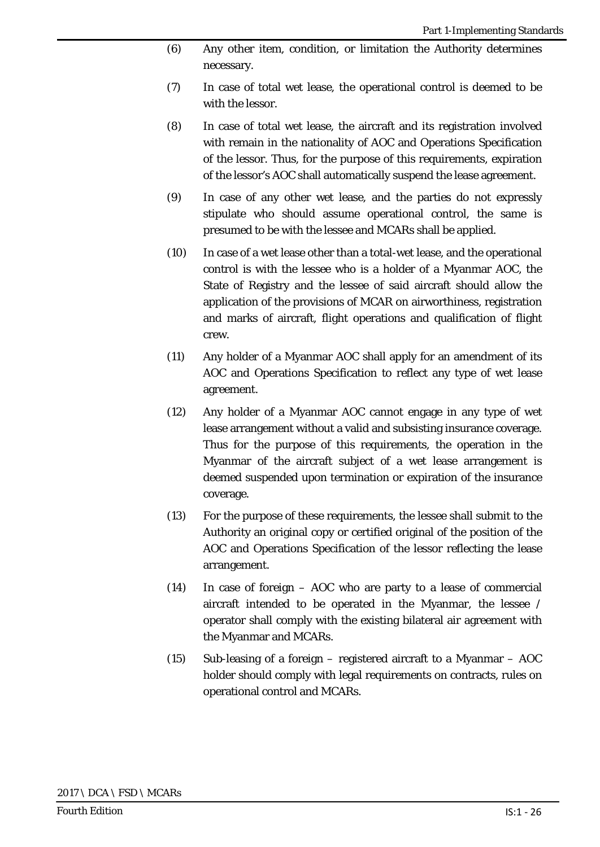- (6) Any other item, condition, or limitation the Authority determines necessary.
- (7) In case of total wet lease, the operational control is deemed to be with the lessor.
- (8) In case of total wet lease, the aircraft and its registration involved with remain in the nationality of AOC and Operations Specification of the lessor. Thus, for the purpose of this requirements, expiration of the lessor's AOC shall automatically suspend the lease agreement.
- (9) In case of any other wet lease, and the parties do not expressly stipulate who should assume operational control, the same is presumed to be with the lessee and MCARs shall be applied.
- (10) In case of a wet lease other than a total-wet lease, and the operational control is with the lessee who is a holder of a Myanmar AOC, the State of Registry and the lessee of said aircraft should allow the application of the provisions of MCAR on airworthiness, registration and marks of aircraft, flight operations and qualification of flight crew.
- (11) Any holder of a Myanmar AOC shall apply for an amendment of its AOC and Operations Specification to reflect any type of wet lease agreement.
- (12) Any holder of a Myanmar AOC cannot engage in any type of wet lease arrangement without a valid and subsisting insurance coverage. Thus for the purpose of this requirements, the operation in the Myanmar of the aircraft subject of a wet lease arrangement is deemed suspended upon termination or expiration of the insurance coverage.
- (13) For the purpose of these requirements, the lessee shall submit to the Authority an original copy or certified original of the position of the AOC and Operations Specification of the lessor reflecting the lease arrangement.
- (14) In case of foreign AOC who are party to a lease of commercial aircraft intended to be operated in the Myanmar, the lessee / operator shall comply with the existing bilateral air agreement with the Myanmar and MCARs.
- (15) Sub-leasing of a foreign registered aircraft to a Myanmar AOC holder should comply with legal requirements on contracts, rules on operational control and MCARs.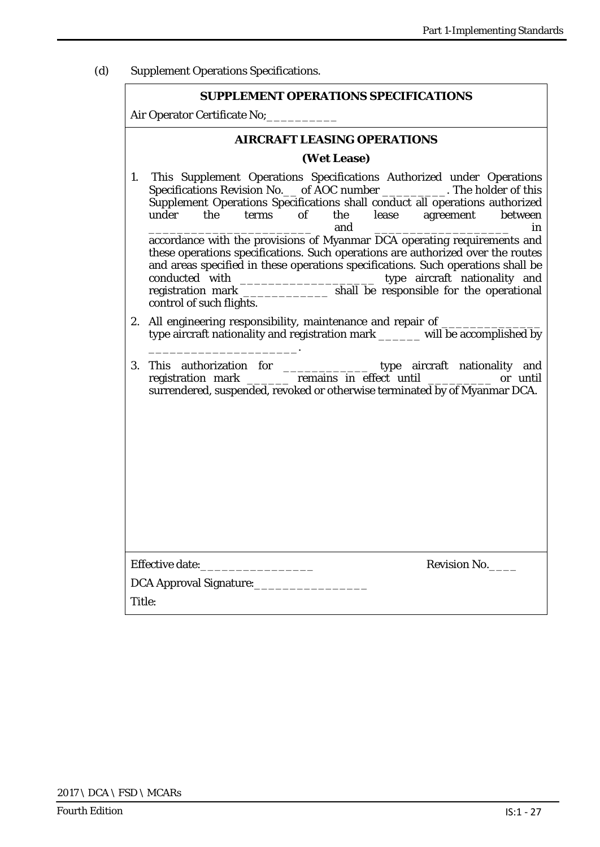(d) Supplement Operations Specifications.

# **SUPPLEMENT OPERATIONS SPECIFICATIONS**

Air Operator Certificate No;

# **AIRCRAFT LEASING OPERATIONS**

# **(Wet Lease)**

| 1.     | This Supplement Operations Specifications Authorized under Operations<br>Specifications Revision No. __ of AOC number ____________. The holder of this<br>Supplement Operations Specifications shall conduct all operations authorized<br>under the terms of the lease agreement between<br>and<br>in<br>accordance with the provisions of Myanmar DCA operating requirements and<br>these operations specifications. Such operations are authorized over the routes<br>and areas specified in these operations specifications. Such operations shall be |
|--------|----------------------------------------------------------------------------------------------------------------------------------------------------------------------------------------------------------------------------------------------------------------------------------------------------------------------------------------------------------------------------------------------------------------------------------------------------------------------------------------------------------------------------------------------------------|
|        | control of such flights.                                                                                                                                                                                                                                                                                                                                                                                                                                                                                                                                 |
| 2.     | All engineering responsibility, maintenance and repair of ________<br>type aircraft nationality and registration mark ______ will be accomplished by                                                                                                                                                                                                                                                                                                                                                                                                     |
| 3.     | This authorization for ____________ type aircraft nationality and registration mark ________ remains in effect until _________ or until<br>surrendered, suspended, revoked or otherwise terminated by of Myanmar DCA.                                                                                                                                                                                                                                                                                                                                    |
|        | Revision No.                                                                                                                                                                                                                                                                                                                                                                                                                                                                                                                                             |
|        |                                                                                                                                                                                                                                                                                                                                                                                                                                                                                                                                                          |
| Title: |                                                                                                                                                                                                                                                                                                                                                                                                                                                                                                                                                          |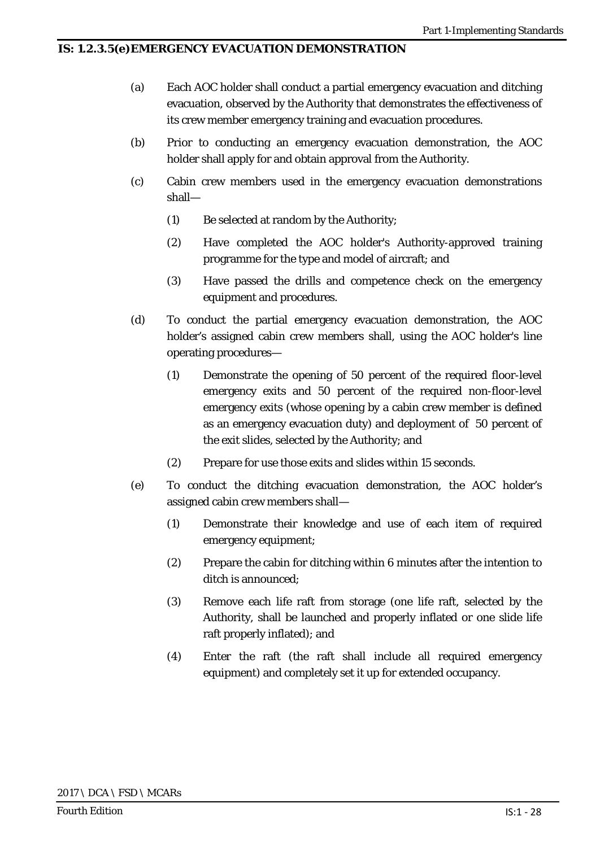## **IS: 1.2.3.5(e)EMERGENCY EVACUATION DEMONSTRATION**

- (a) Each AOC holder shall conduct a partial emergency evacuation and ditching evacuation, observed by the Authority that demonstrates the effectiveness of its crew member emergency training and evacuation procedures.
- (b) Prior to conducting an emergency evacuation demonstration, the AOC holder shall apply for and obtain approval from the Authority.
- (c) Cabin crew members used in the emergency evacuation demonstrations shall—
	- (1) Be selected at random by the Authority;
	- (2) Have completed the AOC holder's Authority-approved training programme for the type and model of aircraft; and
	- (3) Have passed the drills and competence check on the emergency equipment and procedures.
- (d) To conduct the partial emergency evacuation demonstration, the AOC holder's assigned cabin crew members shall, using the AOC holder's line operating procedures—
	- (1) Demonstrate the opening of 50 percent of the required floor-level emergency exits and 50 percent of the required non-floor-level emergency exits (whose opening by a cabin crew member is defined as an emergency evacuation duty) and deployment of 50 percent of the exit slides, selected by the Authority; and
	- (2) Prepare for use those exits and slides within 15 seconds.
- (e) To conduct the ditching evacuation demonstration, the AOC holder's assigned cabin crew members shall—
	- (1) Demonstrate their knowledge and use of each item of required emergency equipment;
	- (2) Prepare the cabin for ditching within 6 minutes after the intention to ditch is announced;
	- (3) Remove each life raft from storage (one life raft, selected by the Authority, shall be launched and properly inflated or one slide life raft properly inflated); and
	- (4) Enter the raft (the raft shall include all required emergency equipment) and completely set it up for extended occupancy.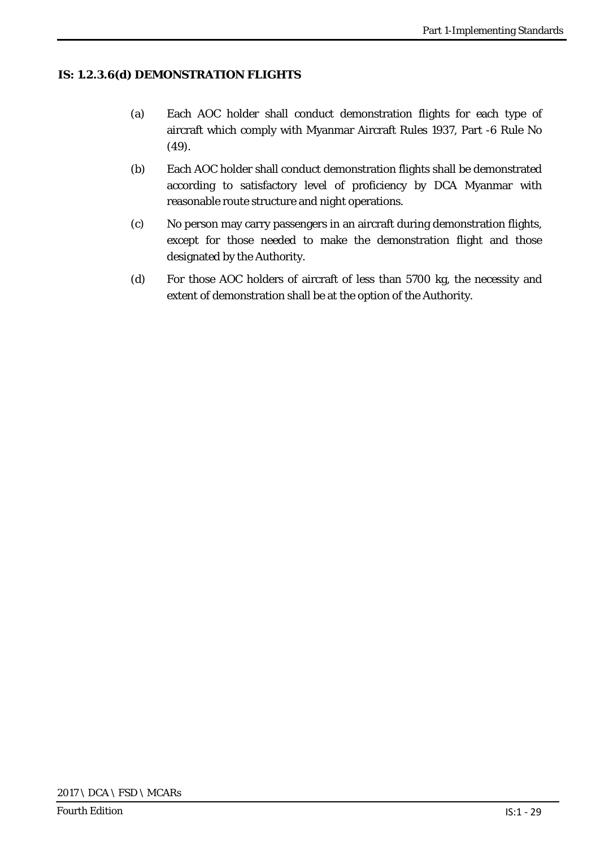# **IS: 1.2.3.6(d) DEMONSTRATION FLIGHTS**

- (a) Each AOC holder shall conduct demonstration flights for each type of aircraft which comply with Myanmar Aircraft Rules 1937, Part -6 Rule No (49).
- (b) Each AOC holder shall conduct demonstration flights shall be demonstrated according to satisfactory level of proficiency by DCA Myanmar with reasonable route structure and night operations.
- (c) No person may carry passengers in an aircraft during demonstration flights, except for those needed to make the demonstration flight and those designated by the Authority.
- (d) For those AOC holders of aircraft of less than 5700 kg, the necessity and extent of demonstration shall be at the option of the Authority.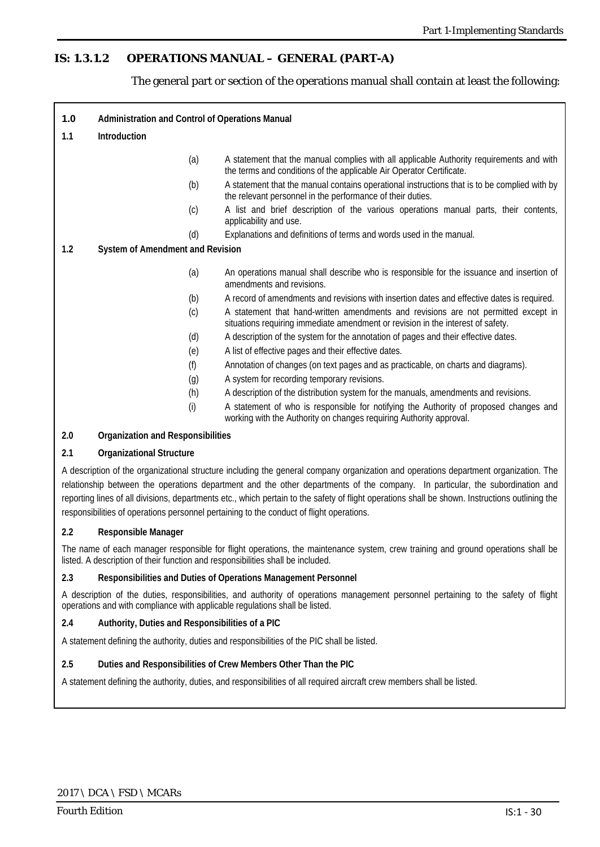# **IS: 1.3.1.2 OPERATIONS MANUAL – GENERAL (PART-A)**

The general part or section of the operations manual shall contain at least the following:

| 1.0 | Administration and Control of Operations Manual |                                                                                                                                                                       |
|-----|-------------------------------------------------|-----------------------------------------------------------------------------------------------------------------------------------------------------------------------|
| 1.1 | Introduction                                    |                                                                                                                                                                       |
|     |                                                 |                                                                                                                                                                       |
|     | (a)                                             | A statement that the manual complies with all applicable Authority requirements and with<br>the terms and conditions of the applicable Air Operator Certificate.      |
|     | (b)                                             | A statement that the manual contains operational instructions that is to be complied with by<br>the relevant personnel in the performance of their duties.            |
|     | (c)                                             | A list and brief description of the various operations manual parts, their contents,<br>applicability and use.                                                        |
|     | (d)                                             | Explanations and definitions of terms and words used in the manual.                                                                                                   |
| 1.2 | System of Amendment and Revision                |                                                                                                                                                                       |
|     | (a)                                             | An operations manual shall describe who is responsible for the issuance and insertion of<br>amendments and revisions.                                                 |
|     | (b)                                             | A record of amendments and revisions with insertion dates and effective dates is required.                                                                            |
|     | (c)                                             | A statement that hand-written amendments and revisions are not permitted except in<br>situations requiring immediate amendment or revision in the interest of safety. |
|     | (d)                                             | A description of the system for the annotation of pages and their effective dates.                                                                                    |
|     | (e)                                             | A list of effective pages and their effective dates.                                                                                                                  |
|     | (f)                                             | Annotation of changes (on text pages and as practicable, on charts and diagrams).                                                                                     |
|     | (g)                                             | A system for recording temporary revisions.                                                                                                                           |
|     | (h)                                             | A description of the distribution system for the manuals, amendments and revisions.                                                                                   |
|     | (i)                                             | A statement of who is responsible for notifying the Authority of proposed changes and<br>working with the Authority on changes requiring Authority approval.          |
| 2.0 | Organization and Responsibilities               |                                                                                                                                                                       |
| 2.1 | <b>Organizational Structure</b>                 |                                                                                                                                                                       |

A description of the organizational structure including the general company organization and operations department organization. The relationship between the operations department and the other departments of the company. In particular, the subordination and reporting lines of all divisions, departments etc., which pertain to the safety of flight operations shall be shown. Instructions outlining the responsibilities of operations personnel pertaining to the conduct of flight operations.

### **2.2 Responsible Manager**

The name of each manager responsible for flight operations, the maintenance system, crew training and ground operations shall be listed. A description of their function and responsibilities shall be included.

### **2.3 Responsibilities and Duties of Operations Management Personnel**

A description of the duties, responsibilities, and authority of operations management personnel pertaining to the safety of flight operations and with compliance with applicable regulations shall be listed.

### **2.4 Authority, Duties and Responsibilities of a PIC**

A statement defining the authority, duties and responsibilities of the PIC shall be listed.

### **2.5 Duties and Responsibilities of Crew Members Other Than the PIC**

A statement defining the authority, duties, and responsibilities of all required aircraft crew members shall be listed.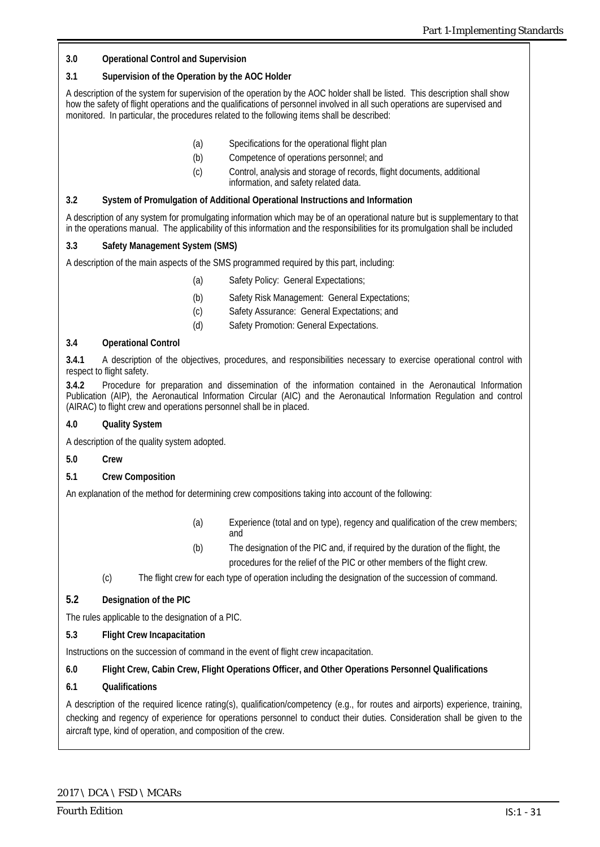# **3.0 Operational Control and Supervision**

### **3.1 Supervision of the Operation by the AOC Holder**

A description of the system for supervision of the operation by the AOC holder shall be listed. This description shall show how the safety of flight operations and the qualifications of personnel involved in all such operations are supervised and monitored. In particular, the procedures related to the following items shall be described:

- (a) Specifications for the operational flight plan
- (b) Competence of operations personnel; and
- (c) Control, analysis and storage of records, flight documents, additional information, and safety related data.

### **3.2 System of Promulgation of Additional Operational Instructions and Information**

A description of any system for promulgating information which may be of an operational nature but is supplementary to that in the operations manual. The applicability of this information and the responsibilities for its promulgation shall be included

### **3.3 Safety Management System (SMS)**

A description of the main aspects of the SMS programmed required by this part, including:

- (a) Safety Policy: General Expectations;
- (b) Safety Risk Management: General Expectations;
- (c) Safety Assurance: General Expectations; and
- (d) Safety Promotion: General Expectations.

### **3.4 Operational Control**

**3.4.1** A description of the objectives, procedures, and responsibilities necessary to exercise operational control with respect to flight safety.

**3.4.2** Procedure for preparation and dissemination of the information contained in the Aeronautical Information Publication (AIP), the Aeronautical Information Circular (AIC) and the Aeronautical Information Regulation and control (AIRAC) to flight crew and operations personnel shall be in placed.

### **4.0 Quality System**

A description of the quality system adopted.

### **5.0 Crew**

# **5.1 Crew Composition**

An explanation of the method for determining crew compositions taking into account of the following:

- (a) Experience (total and on type), regency and qualification of the crew members; and
- (b) The designation of the PIC and, if required by the duration of the flight, the procedures for the relief of the PIC or other members of the flight crew.
- (c) The flight crew for each type of operation including the designation of the succession of command.

# **5.2 Designation of the PIC**

The rules applicable to the designation of a PIC.

# **5.3 Flight Crew Incapacitation**

Instructions on the succession of command in the event of flight crew incapacitation.

# **6.0 Flight Crew, Cabin Crew, Flight Operations Officer, and Other Operations Personnel Qualifications**

# **6.1 Qualifications**

A description of the required licence rating(s), qualification/competency (e.g., for routes and airports) experience, training, checking and regency of experience for operations personnel to conduct their duties. Consideration shall be given to the aircraft type, kind of operation, and composition of the crew.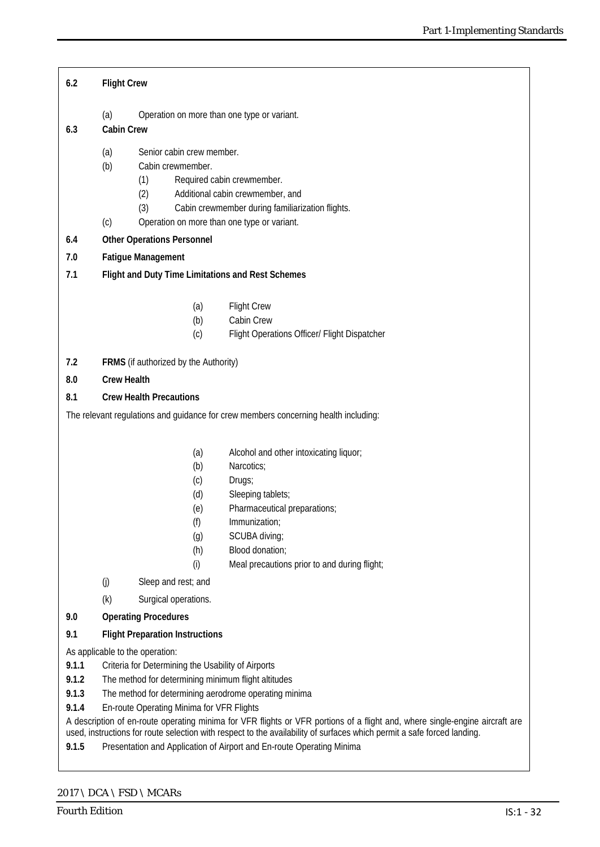| 6.2                                       | <b>Flight Crew</b>       |                                                                                                                                                                                                                                                    |                                                                                                                                                                                                                                                                                                                                  |
|-------------------------------------------|--------------------------|----------------------------------------------------------------------------------------------------------------------------------------------------------------------------------------------------------------------------------------------------|----------------------------------------------------------------------------------------------------------------------------------------------------------------------------------------------------------------------------------------------------------------------------------------------------------------------------------|
| 6.3                                       | (a)<br><b>Cabin Crew</b> | Operation on more than one type or variant.                                                                                                                                                                                                        |                                                                                                                                                                                                                                                                                                                                  |
|                                           | (a)<br>(b)<br>(c)        | Senior cabin crew member.<br>Cabin crewmember.<br>(1)<br>(2)<br>(3)<br>Operation on more than one type or variant.                                                                                                                                 | Required cabin crewmember.<br>Additional cabin crewmember, and<br>Cabin crewmember during familiarization flights.                                                                                                                                                                                                               |
| 6.4                                       |                          | <b>Other Operations Personnel</b>                                                                                                                                                                                                                  |                                                                                                                                                                                                                                                                                                                                  |
| 7.0                                       |                          | <b>Fatigue Management</b>                                                                                                                                                                                                                          |                                                                                                                                                                                                                                                                                                                                  |
| 7.1                                       |                          | Flight and Duty Time Limitations and Rest Schemes                                                                                                                                                                                                  |                                                                                                                                                                                                                                                                                                                                  |
|                                           |                          | (a)<br>(b)<br>(c)                                                                                                                                                                                                                                  | <b>Flight Crew</b><br>Cabin Crew<br>Flight Operations Officer/ Flight Dispatcher                                                                                                                                                                                                                                                 |
| 7.2                                       |                          | FRMS (if authorized by the Authority)                                                                                                                                                                                                              |                                                                                                                                                                                                                                                                                                                                  |
| 8.0                                       |                          | <b>Crew Health</b>                                                                                                                                                                                                                                 |                                                                                                                                                                                                                                                                                                                                  |
| 8.1                                       |                          | <b>Crew Health Precautions</b>                                                                                                                                                                                                                     |                                                                                                                                                                                                                                                                                                                                  |
|                                           |                          | (a)<br>(b)<br>(c)<br>(d)<br>(e)<br>(f)<br>(g)<br>(h)<br>(i)                                                                                                                                                                                        | The relevant regulations and guidance for crew members concerning health including:<br>Alcohol and other intoxicating liquor;<br>Narcotics:<br>Drugs;<br>Sleeping tablets;<br>Pharmaceutical preparations;<br>Immunization;<br>SCUBA diving;<br>Blood donation:<br>Meal precautions prior to and during flight;                  |
|                                           | (j)                      | Sleep and rest; and                                                                                                                                                                                                                                |                                                                                                                                                                                                                                                                                                                                  |
|                                           | (k)                      | Surgical operations.                                                                                                                                                                                                                               |                                                                                                                                                                                                                                                                                                                                  |
| 9.0                                       |                          | <b>Operating Procedures</b>                                                                                                                                                                                                                        |                                                                                                                                                                                                                                                                                                                                  |
| 9.1                                       |                          | <b>Flight Preparation Instructions</b>                                                                                                                                                                                                             |                                                                                                                                                                                                                                                                                                                                  |
| 9.1.1<br>9.1.2<br>9.1.3<br>9.1.4<br>9.1.5 |                          | As applicable to the operation:<br>Criteria for Determining the Usability of Airports<br>The method for determining minimum flight altitudes<br>The method for determining aerodrome operating minima<br>En-route Operating Minima for VFR Flights | A description of en-route operating minima for VFR flights or VFR portions of a flight and, where single-engine aircraft are<br>used, instructions for route selection with respect to the availability of surfaces which permit a safe forced landing.<br>Presentation and Application of Airport and En-route Operating Minima |

# $2017 \smallsetminus \text{DCA} \setminus \text{FSD} \setminus \text{MCARS}$

 $\mathsf{r}$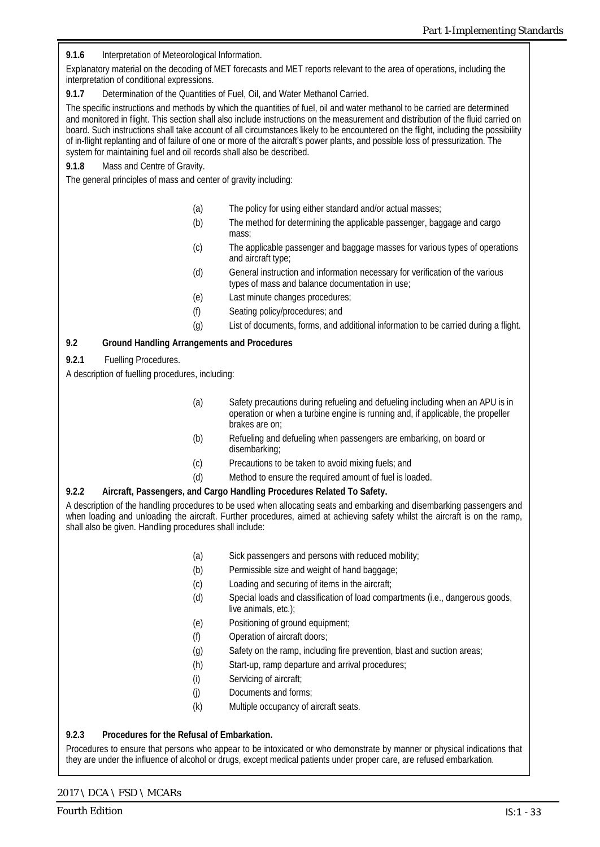**9.1.6** Interpretation of Meteorological Information.

Explanatory material on the decoding of MET forecasts and MET reports relevant to the area of operations, including the interpretation of conditional expressions.

**9.1.7** Determination of the Quantities of Fuel, Oil, and Water Methanol Carried.

The specific instructions and methods by which the quantities of fuel, oil and water methanol to be carried are determined and monitored in flight. This section shall also include instructions on the measurement and distribution of the fluid carried on board. Such instructions shall take account of all circumstances likely to be encountered on the flight, including the possibility of in-flight replanting and of failure of one or more of the aircraft's power plants, and possible loss of pressurization. The system for maintaining fuel and oil records shall also be described.

**9.1.8** Mass and Centre of Gravity.

The general principles of mass and center of gravity including:

- (a) The policy for using either standard and/or actual masses;
- (b) The method for determining the applicable passenger, baggage and cargo mass;
- (c) The applicable passenger and baggage masses for various types of operations and aircraft type;
- (d) General instruction and information necessary for verification of the various types of mass and balance documentation in use;
- (e) Last minute changes procedures;
- (f) Seating policy/procedures; and
- (g) List of documents, forms, and additional information to be carried during a flight.

# **9.2 Ground Handling Arrangements and Procedures**

**9.2.1** Fuelling Procedures.

A description of fuelling procedures, including:

- (a) Safety precautions during refueling and defueling including when an APU is in operation or when a turbine engine is running and, if applicable, the propeller brakes are on;
- (b) Refueling and defueling when passengers are embarking, on board or disembarking;
- (c) Precautions to be taken to avoid mixing fuels; and
- (d) Method to ensure the required amount of fuel is loaded.

# **9.2.2 Aircraft, Passengers, and Cargo Handling Procedures Related To Safety.**

A description of the handling procedures to be used when allocating seats and embarking and disembarking passengers and when loading and unloading the aircraft. Further procedures, aimed at achieving safety whilst the aircraft is on the ramp, shall also be given. Handling procedures shall include:

- (a) Sick passengers and persons with reduced mobility;
- (b) Permissible size and weight of hand baggage;
- (c) Loading and securing of items in the aircraft;
- (d) Special loads and classification of load compartments (i.e., dangerous goods, live animals, etc.);
- (e) Positioning of ground equipment;
- (f) Operation of aircraft doors;
- (g) Safety on the ramp, including fire prevention, blast and suction areas;
- (h) Start-up, ramp departure and arrival procedures;
- (i) Servicing of aircraft;
- (j) Documents and forms;
- (k) Multiple occupancy of aircraft seats.

# **9.2.3 Procedures for the Refusal of Embarkation.**

Procedures to ensure that persons who appear to be intoxicated or who demonstrate by manner or physical indications that they are under the influence of alcohol or drugs, except medical patients under proper care, are refused embarkation.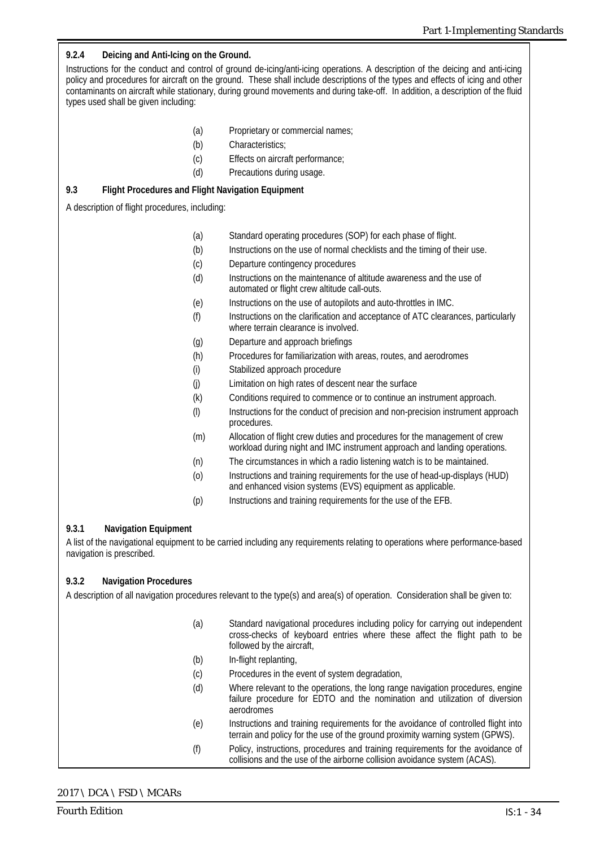| 9.2.4                                                                                                                                                                                                                                                                                                                                                                                                                                       | Deicing and Anti-Icing on the Ground.                                                                                                                                                    |  |  |  |
|---------------------------------------------------------------------------------------------------------------------------------------------------------------------------------------------------------------------------------------------------------------------------------------------------------------------------------------------------------------------------------------------------------------------------------------------|------------------------------------------------------------------------------------------------------------------------------------------------------------------------------------------|--|--|--|
| Instructions for the conduct and control of ground de-icing/anti-icing operations. A description of the deicing and anti-icing<br>policy and procedures for aircraft on the ground. These shall include descriptions of the types and effects of icing and other<br>contaminants on aircraft while stationary, during ground movements and during take-off. In addition, a description of the fluid<br>types used shall be given including: |                                                                                                                                                                                          |  |  |  |
|                                                                                                                                                                                                                                                                                                                                                                                                                                             |                                                                                                                                                                                          |  |  |  |
| (a)                                                                                                                                                                                                                                                                                                                                                                                                                                         | Proprietary or commercial names;                                                                                                                                                         |  |  |  |
| (b)                                                                                                                                                                                                                                                                                                                                                                                                                                         | Characteristics;                                                                                                                                                                         |  |  |  |
| (c)                                                                                                                                                                                                                                                                                                                                                                                                                                         | Effects on aircraft performance;                                                                                                                                                         |  |  |  |
| (d)                                                                                                                                                                                                                                                                                                                                                                                                                                         | Precautions during usage.                                                                                                                                                                |  |  |  |
| 9.3<br>Flight Procedures and Flight Navigation Equipment                                                                                                                                                                                                                                                                                                                                                                                    |                                                                                                                                                                                          |  |  |  |
| A description of flight procedures, including:                                                                                                                                                                                                                                                                                                                                                                                              |                                                                                                                                                                                          |  |  |  |
| (a)                                                                                                                                                                                                                                                                                                                                                                                                                                         | Standard operating procedures (SOP) for each phase of flight.                                                                                                                            |  |  |  |
| (b)                                                                                                                                                                                                                                                                                                                                                                                                                                         | Instructions on the use of normal checklists and the timing of their use.                                                                                                                |  |  |  |
| (c)                                                                                                                                                                                                                                                                                                                                                                                                                                         | Departure contingency procedures                                                                                                                                                         |  |  |  |
| (d)                                                                                                                                                                                                                                                                                                                                                                                                                                         | Instructions on the maintenance of altitude awareness and the use of<br>automated or flight crew altitude call-outs.                                                                     |  |  |  |
| (e)                                                                                                                                                                                                                                                                                                                                                                                                                                         | Instructions on the use of autopilots and auto-throttles in IMC.                                                                                                                         |  |  |  |
| (f)                                                                                                                                                                                                                                                                                                                                                                                                                                         | Instructions on the clarification and acceptance of ATC clearances, particularly<br>where terrain clearance is involved.                                                                 |  |  |  |
| (g)                                                                                                                                                                                                                                                                                                                                                                                                                                         | Departure and approach briefings                                                                                                                                                         |  |  |  |
| (h)                                                                                                                                                                                                                                                                                                                                                                                                                                         | Procedures for familiarization with areas, routes, and aerodromes                                                                                                                        |  |  |  |
| (i)                                                                                                                                                                                                                                                                                                                                                                                                                                         | Stabilized approach procedure                                                                                                                                                            |  |  |  |
| (j)                                                                                                                                                                                                                                                                                                                                                                                                                                         | Limitation on high rates of descent near the surface                                                                                                                                     |  |  |  |
| (k)                                                                                                                                                                                                                                                                                                                                                                                                                                         | Conditions required to commence or to continue an instrument approach.                                                                                                                   |  |  |  |
| $($ l $)$                                                                                                                                                                                                                                                                                                                                                                                                                                   | Instructions for the conduct of precision and non-precision instrument approach<br>procedures.                                                                                           |  |  |  |
| (m)                                                                                                                                                                                                                                                                                                                                                                                                                                         | Allocation of flight crew duties and procedures for the management of crew<br>workload during night and IMC instrument approach and landing operations.                                  |  |  |  |
| (n)                                                                                                                                                                                                                                                                                                                                                                                                                                         | The circumstances in which a radio listening watch is to be maintained.                                                                                                                  |  |  |  |
| (0)                                                                                                                                                                                                                                                                                                                                                                                                                                         | Instructions and training requirements for the use of head-up-displays (HUD)<br>and enhanced vision systems (EVS) equipment as applicable.                                               |  |  |  |
| (p)                                                                                                                                                                                                                                                                                                                                                                                                                                         | Instructions and training requirements for the use of the EFB.                                                                                                                           |  |  |  |
| 9.3.1<br><b>Navigation Equipment</b><br>A list of the navigational equipment to be carried including any requirements relating to operations where performance-based<br>navigation is prescribed.                                                                                                                                                                                                                                           |                                                                                                                                                                                          |  |  |  |
| 9.3.2<br><b>Navigation Procedures</b>                                                                                                                                                                                                                                                                                                                                                                                                       |                                                                                                                                                                                          |  |  |  |
| A description of all navigation procedures relevant to the type(s) and area(s) of operation. Consideration shall be given to:                                                                                                                                                                                                                                                                                                               |                                                                                                                                                                                          |  |  |  |
| (a)                                                                                                                                                                                                                                                                                                                                                                                                                                         | Standard navigational procedures including policy for carrying out independent<br>cross-checks of keyboard entries where these affect the flight path to be<br>followed by the aircraft, |  |  |  |
| (b)                                                                                                                                                                                                                                                                                                                                                                                                                                         | In-flight replanting,                                                                                                                                                                    |  |  |  |
| (c)                                                                                                                                                                                                                                                                                                                                                                                                                                         | Procedures in the event of system degradation,                                                                                                                                           |  |  |  |
| (d)                                                                                                                                                                                                                                                                                                                                                                                                                                         | Where relevant to the operations, the long range navigation procedures, engine<br>failure procedure for EDTO and the nomination and utilization of diversion<br>aerodromes               |  |  |  |
| (e)                                                                                                                                                                                                                                                                                                                                                                                                                                         | Instructions and training requirements for the avoidance of controlled flight into<br>terrain and policy for the use of the ground proximity warning system (GPWS).                      |  |  |  |
| (f)                                                                                                                                                                                                                                                                                                                                                                                                                                         | Policy, instructions, procedures and training requirements for the avoidance of<br>collisions and the use of the airborne collision avoidance system (ACAS).                             |  |  |  |

# $2017 \smallsetminus \text{DCA} \setminus \text{FSD} \setminus \text{MCARS}$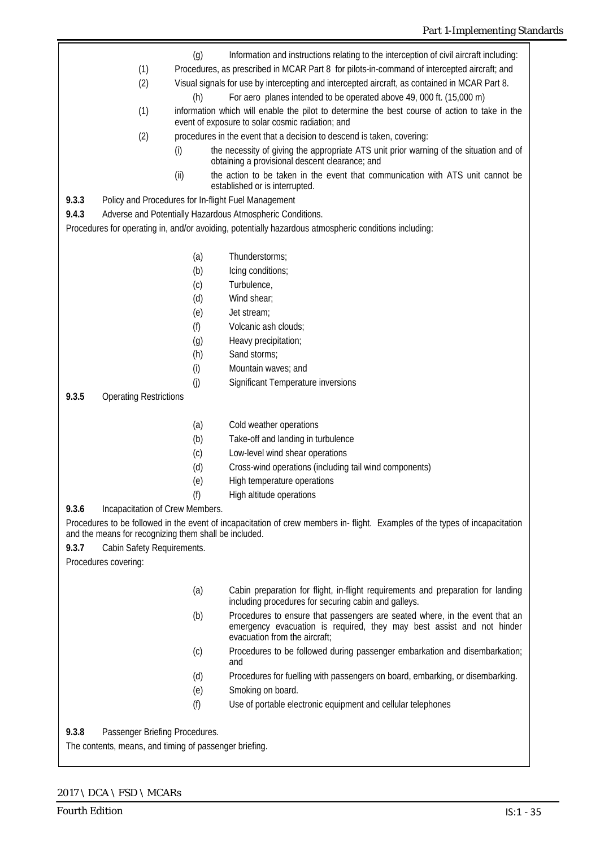| (1)<br>(2)                                                                                                                                                                                                                                          | (g)        | Information and instructions relating to the interception of civil aircraft including:<br>Procedures, as prescribed in MCAR Part 8 for pilots-in-command of intercepted aircraft; and<br>Visual signals for use by intercepting and intercepted aircraft, as contained in MCAR Part 8. |
|-----------------------------------------------------------------------------------------------------------------------------------------------------------------------------------------------------------------------------------------------------|------------|----------------------------------------------------------------------------------------------------------------------------------------------------------------------------------------------------------------------------------------------------------------------------------------|
|                                                                                                                                                                                                                                                     | (h)        | For aero planes intended to be operated above 49, 000 ft. (15,000 m)                                                                                                                                                                                                                   |
| (1)                                                                                                                                                                                                                                                 |            | information which will enable the pilot to determine the best course of action to take in the<br>event of exposure to solar cosmic radiation; and                                                                                                                                      |
| (2)                                                                                                                                                                                                                                                 |            | procedures in the event that a decision to descend is taken, covering:                                                                                                                                                                                                                 |
|                                                                                                                                                                                                                                                     | (i)        | the necessity of giving the appropriate ATS unit prior warning of the situation and of<br>obtaining a provisional descent clearance; and                                                                                                                                               |
|                                                                                                                                                                                                                                                     | (ii)       | the action to be taken in the event that communication with ATS unit cannot be<br>established or is interrupted.                                                                                                                                                                       |
| 9.3.3                                                                                                                                                                                                                                               |            | Policy and Procedures for In-flight Fuel Management                                                                                                                                                                                                                                    |
| 9.4.3                                                                                                                                                                                                                                               |            | Adverse and Potentially Hazardous Atmospheric Conditions.                                                                                                                                                                                                                              |
|                                                                                                                                                                                                                                                     |            | Procedures for operating in, and/or avoiding, potentially hazardous atmospheric conditions including:                                                                                                                                                                                  |
|                                                                                                                                                                                                                                                     | (a)        | Thunderstorms;                                                                                                                                                                                                                                                                         |
|                                                                                                                                                                                                                                                     | (b)        | Icing conditions;                                                                                                                                                                                                                                                                      |
|                                                                                                                                                                                                                                                     | (c)        | Turbulence,                                                                                                                                                                                                                                                                            |
|                                                                                                                                                                                                                                                     | (d)        | Wind shear;                                                                                                                                                                                                                                                                            |
|                                                                                                                                                                                                                                                     | (e)        | Jet stream;                                                                                                                                                                                                                                                                            |
|                                                                                                                                                                                                                                                     | (f)        | Volcanic ash clouds;                                                                                                                                                                                                                                                                   |
|                                                                                                                                                                                                                                                     | (g)<br>(h) | Heavy precipitation;<br>Sand storms;                                                                                                                                                                                                                                                   |
|                                                                                                                                                                                                                                                     | (i)        | Mountain waves; and                                                                                                                                                                                                                                                                    |
|                                                                                                                                                                                                                                                     | (j)        | Significant Temperature inversions                                                                                                                                                                                                                                                     |
| 9.3.5<br><b>Operating Restrictions</b>                                                                                                                                                                                                              |            |                                                                                                                                                                                                                                                                                        |
|                                                                                                                                                                                                                                                     | (a)        | Cold weather operations                                                                                                                                                                                                                                                                |
|                                                                                                                                                                                                                                                     | (b)        | Take-off and landing in turbulence                                                                                                                                                                                                                                                     |
|                                                                                                                                                                                                                                                     | (c)        | Low-level wind shear operations                                                                                                                                                                                                                                                        |
|                                                                                                                                                                                                                                                     | (d)        | Cross-wind operations (including tail wind components)                                                                                                                                                                                                                                 |
|                                                                                                                                                                                                                                                     | (e)        | High temperature operations                                                                                                                                                                                                                                                            |
|                                                                                                                                                                                                                                                     | (f)        | High altitude operations                                                                                                                                                                                                                                                               |
| 9.3.6<br>Incapacitation of Crew Members.                                                                                                                                                                                                            |            |                                                                                                                                                                                                                                                                                        |
| Procedures to be followed in the event of incapacitation of crew members in-flight. Examples of the types of incapacitation<br>and the means for recognizing them shall be included.<br>9.3.7<br>Cabin Safety Requirements.<br>Procedures covering: |            |                                                                                                                                                                                                                                                                                        |
|                                                                                                                                                                                                                                                     |            |                                                                                                                                                                                                                                                                                        |
|                                                                                                                                                                                                                                                     | (a)        | Cabin preparation for flight, in-flight requirements and preparation for landing<br>including procedures for securing cabin and galleys.                                                                                                                                               |
|                                                                                                                                                                                                                                                     | (b)        | Procedures to ensure that passengers are seated where, in the event that an<br>emergency evacuation is required, they may best assist and not hinder<br>evacuation from the aircraft;                                                                                                  |
|                                                                                                                                                                                                                                                     | (c)        | Procedures to be followed during passenger embarkation and disembarkation;<br>and                                                                                                                                                                                                      |
|                                                                                                                                                                                                                                                     | (d)        | Procedures for fuelling with passengers on board, embarking, or disembarking.                                                                                                                                                                                                          |
|                                                                                                                                                                                                                                                     | (e)        | Smoking on board.                                                                                                                                                                                                                                                                      |
|                                                                                                                                                                                                                                                     | (f)        | Use of portable electronic equipment and cellular telephones                                                                                                                                                                                                                           |
| 9.3.8<br>Passenger Briefing Procedures.<br>The contents, means, and timing of passenger briefing.                                                                                                                                                   |            |                                                                                                                                                                                                                                                                                        |

# $2017 \smallsetminus \text{DCA} \setminus \text{FSD} \setminus \text{MCARS}$

7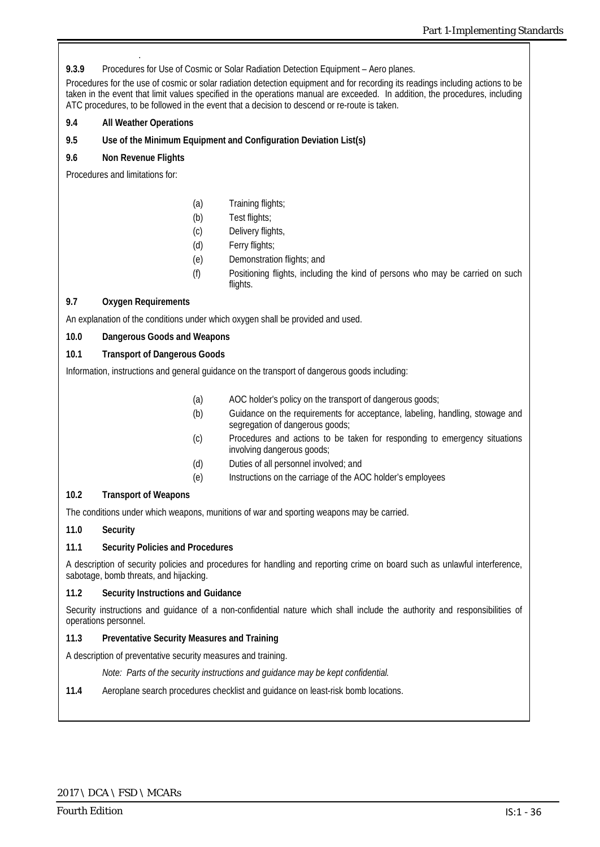**9.3.9** Procedures for Use of Cosmic or Solar Radiation Detection Equipment – Aero planes.

Procedures for the use of cosmic or solar radiation detection equipment and for recording its readings including actions to be taken in the event that limit values specified in the operations manual are exceeded. In addition, the procedures, including ATC procedures, to be followed in the event that a decision to descend or re-route is taken.

**9.4 All Weather Operations**

.

- **9.5 Use of the Minimum Equipment and Configuration Deviation List(s)**
- **9.6 Non Revenue Flights**

Procedures and limitations for:

- (a) Training flights;
- (b) Test flights;
- (c) Delivery flights,
- (d) Ferry flights;
- (e) Demonstration flights; and
- (f) Positioning flights, including the kind of persons who may be carried on such flights.

### **9.7 Oxygen Requirements**

An explanation of the conditions under which oxygen shall be provided and used.

**10.0 Dangerous Goods and Weapons**

### **10.1 Transport of Dangerous Goods**

Information, instructions and general guidance on the transport of dangerous goods including:

- (a) AOC holder's policy on the transport of dangerous goods;
- (b) Guidance on the requirements for acceptance, labeling, handling, stowage and segregation of dangerous goods;
- (c) Procedures and actions to be taken for responding to emergency situations involving dangerous goods;
- (d) Duties of all personnel involved; and
- (e) Instructions on the carriage of the AOC holder's employees

# **10.2 Transport of Weapons**

The conditions under which weapons, munitions of war and sporting weapons may be carried.

**11.0 Security**

### **11.1 Security Policies and Procedures**

A description of security policies and procedures for handling and reporting crime on board such as unlawful interference, sabotage, bomb threats, and hijacking.

### **11.2 Security Instructions and Guidance**

Security instructions and guidance of a non-confidential nature which shall include the authority and responsibilities of operations personnel.

### **11.3 Preventative Security Measures and Training**

A description of preventative security measures and training.

*Note: Parts of the security instructions and guidance may be kept confidential.*

**11.4** Aeroplane search procedures checklist and guidance on least-risk bomb locations.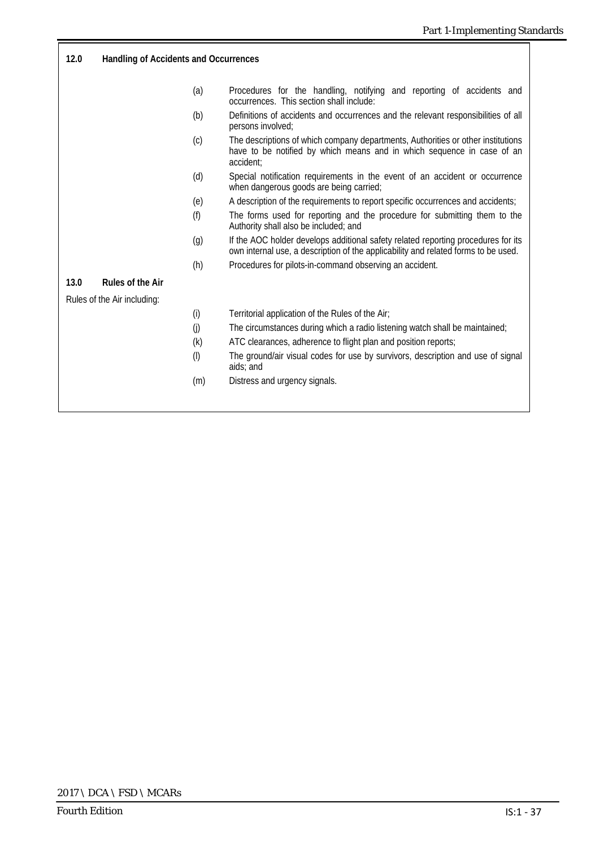| 12.0 | Handling of Accidents and Occurrences |           |                                                                                                                                                                         |
|------|---------------------------------------|-----------|-------------------------------------------------------------------------------------------------------------------------------------------------------------------------|
|      |                                       | (a)       | Procedures for the handling, notifying and reporting of accidents and<br>occurrences. This section shall include:                                                       |
|      |                                       | (b)       | Definitions of accidents and occurrences and the relevant responsibilities of all<br>persons involved;                                                                  |
|      |                                       | (c)       | The descriptions of which company departments, Authorities or other institutions<br>have to be notified by which means and in which sequence in case of an<br>accident: |
|      |                                       | (d)       | Special notification requirements in the event of an accident or occurrence<br>when dangerous goods are being carried;                                                  |
|      |                                       | (e)       | A description of the requirements to report specific occurrences and accidents;                                                                                         |
|      |                                       | (f)       | The forms used for reporting and the procedure for submitting them to the<br>Authority shall also be included; and                                                      |
|      |                                       | (g)       | If the AOC holder develops additional safety related reporting procedures for its<br>own internal use, a description of the applicability and related forms to be used. |
|      |                                       | (h)       | Procedures for pilots-in-command observing an accident.                                                                                                                 |
| 13.0 | Rules of the Air                      |           |                                                                                                                                                                         |
|      | Rules of the Air including:           |           |                                                                                                                                                                         |
|      |                                       | (i)       | Territorial application of the Rules of the Air;                                                                                                                        |
|      |                                       | (j)       | The circumstances during which a radio listening watch shall be maintained;                                                                                             |
|      |                                       | (k)       | ATC clearances, adherence to flight plan and position reports;                                                                                                          |
|      |                                       | $($ l $)$ | The ground/air visual codes for use by survivors, description and use of signal<br>aids; and                                                                            |
|      |                                       | (m)       | Distress and urgency signals.                                                                                                                                           |
|      |                                       |           |                                                                                                                                                                         |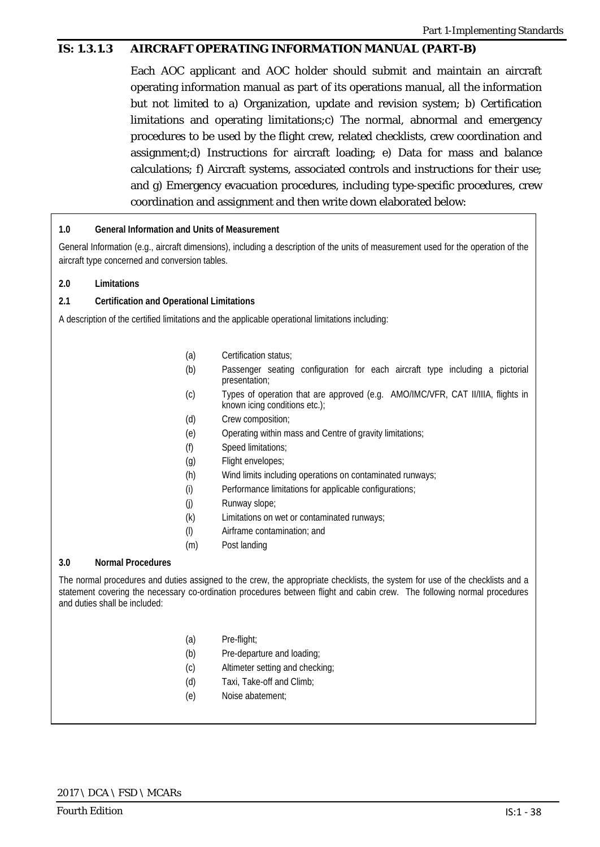# **IS: 1.3.1.3 AIRCRAFT OPERATING INFORMATION MANUAL (PART-B)**

Each AOC applicant and AOC holder should submit and maintain an aircraft operating information manual as part of its operations manual, all the information but not limited to a) Organization, update and revision system; b) Certification limitations and operating limitations;c) The normal, abnormal and emergency procedures to be used by the flight crew, related checklists, crew coordination and assignment;d) Instructions for aircraft loading; e) Data for mass and balance calculations; f) Aircraft systems, associated controls and instructions for their use; and g) Emergency evacuation procedures, including type-specific procedures, crew coordination and assignment and then write down elaborated below:

### **1.0 General Information and Units of Measurement**

General Information (e.g., aircraft dimensions), including a description of the units of measurement used for the operation of the aircraft type concerned and conversion tables.

### **2.0 Limitations**

### **2.1 Certification and Operational Limitations**

A description of the certified limitations and the applicable operational limitations including:

- (a) Certification status;
- (b) Passenger seating configuration for each aircraft type including a pictorial presentation;
- (c) Types of operation that are approved (e.g. AMO/IMC/VFR, CAT II/IIIA, flights in known icing conditions etc.);
- (d) Crew composition;
- (e) Operating within mass and Centre of gravity limitations;
- (f) Speed limitations;
- (g) Flight envelopes;
- (h) Wind limits including operations on contaminated runways;
- (i) Performance limitations for applicable configurations;
- (j) Runway slope;
- (k) Limitations on wet or contaminated runways;
- (l) Airframe contamination; and
- (m) Post landing

### **3.0 Normal Procedures**

The normal procedures and duties assigned to the crew, the appropriate checklists, the system for use of the checklists and a statement covering the necessary co-ordination procedures between flight and cabin crew. The following normal procedures and duties shall be included:

- (a) Pre-flight;
- (b) Pre-departure and loading;
- (c) Altimeter setting and checking;
- (d) Taxi, Take-off and Climb;
- (e) Noise abatement;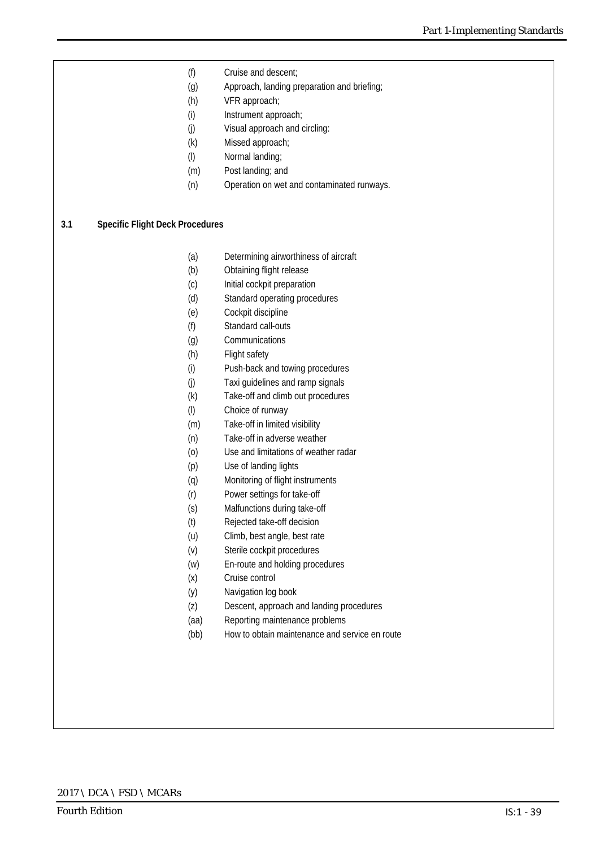|     | (f)<br>(g)<br>(h)<br>(i)<br>(j)<br>(k)<br>(1)<br>(m) | Cruise and descent;<br>Approach, landing preparation and briefing;<br>VFR approach;<br>Instrument approach;<br>Visual approach and circling:<br>Missed approach;<br>Normal landing;<br>Post landing; and |
|-----|------------------------------------------------------|----------------------------------------------------------------------------------------------------------------------------------------------------------------------------------------------------------|
|     | (n)                                                  | Operation on wet and contaminated runways.                                                                                                                                                               |
| 3.1 | <b>Specific Flight Deck Procedures</b>               |                                                                                                                                                                                                          |
|     | (a)                                                  | Determining airworthiness of aircraft                                                                                                                                                                    |
|     | (b)                                                  | Obtaining flight release                                                                                                                                                                                 |
|     | (c)                                                  | Initial cockpit preparation                                                                                                                                                                              |
|     | (d)                                                  | Standard operating procedures                                                                                                                                                                            |
|     | (e)                                                  | Cockpit discipline                                                                                                                                                                                       |
|     | (f)                                                  | Standard call-outs                                                                                                                                                                                       |
|     | (g)                                                  | Communications                                                                                                                                                                                           |
|     | (h)                                                  | Flight safety                                                                                                                                                                                            |
|     | (i)                                                  | Push-back and towing procedures                                                                                                                                                                          |
|     | (i)                                                  | Taxi guidelines and ramp signals                                                                                                                                                                         |
|     | (k)                                                  | Take-off and climb out procedures                                                                                                                                                                        |
|     | $($ l $)$                                            | Choice of runway                                                                                                                                                                                         |
|     | (m)                                                  | Take-off in limited visibility                                                                                                                                                                           |
|     | (n)                                                  | Take-off in adverse weather                                                                                                                                                                              |
|     | (0)                                                  | Use and limitations of weather radar                                                                                                                                                                     |
|     | (p)                                                  | Use of landing lights                                                                                                                                                                                    |
|     | (q)                                                  | Monitoring of flight instruments                                                                                                                                                                         |
|     | (r)                                                  | Power settings for take-off                                                                                                                                                                              |
|     | (s)                                                  | Malfunctions during take-off                                                                                                                                                                             |
|     | (t)                                                  | Rejected take-off decision                                                                                                                                                                               |
|     | (u)                                                  | Climb, best angle, best rate                                                                                                                                                                             |
|     | (v)                                                  | Sterile cockpit procedures                                                                                                                                                                               |
|     | (w)                                                  | En-route and holding procedures                                                                                                                                                                          |
|     | (x)                                                  | Cruise control                                                                                                                                                                                           |
|     | (y)                                                  | Navigation log book                                                                                                                                                                                      |
|     | (z)                                                  | Descent, approach and landing procedures                                                                                                                                                                 |
|     | (aa)                                                 | Reporting maintenance problems                                                                                                                                                                           |
|     | (bb)                                                 | How to obtain maintenance and service en route                                                                                                                                                           |
|     |                                                      |                                                                                                                                                                                                          |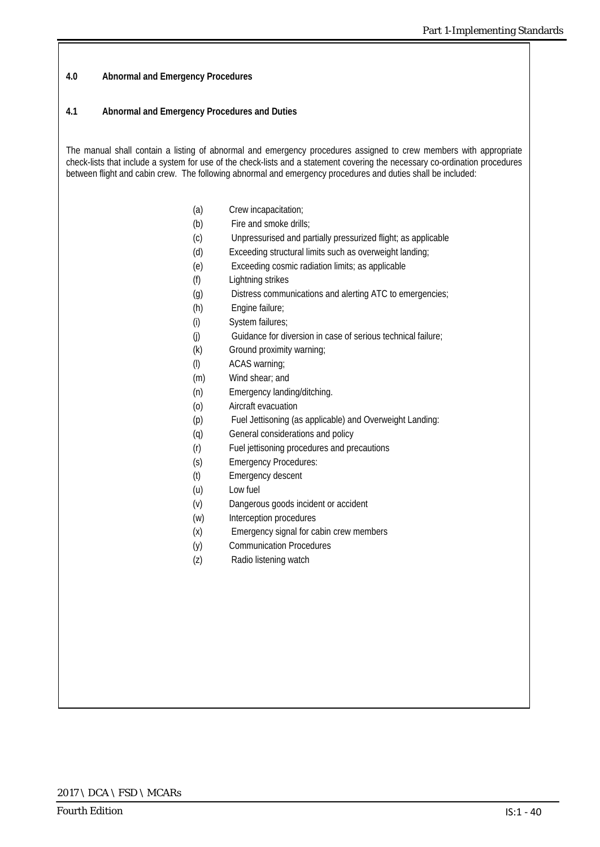### **4.0 Abnormal and Emergency Procedures**

### **4.1 Abnormal and Emergency Procedures and Duties**

The manual shall contain a listing of abnormal and emergency procedures assigned to crew members with appropriate check-lists that include a system for use of the check-lists and a statement covering the necessary co-ordination procedures between flight and cabin crew. The following abnormal and emergency procedures and duties shall be included:

- (a) Crew incapacitation;
- (b) Fire and smoke drills;
- (c) Unpressurised and partially pressurized flight; as applicable
- (d) Exceeding structural limits such as overweight landing;
- (e) Exceeding cosmic radiation limits; as applicable
- (f) Lightning strikes
- (g) Distress communications and alerting ATC to emergencies;
- (h) Engine failure;
- (i) System failures;
- (j) Guidance for diversion in case of serious technical failure;
- (k) Ground proximity warning;
- (l) ACAS warning;
- (m) Wind shear; and
- (n) Emergency landing/ditching.
- (o) Aircraft evacuation
- (p) Fuel Jettisoning (as applicable) and Overweight Landing:
- (q) General considerations and policy
- (r) Fuel jettisoning procedures and precautions
- (s) Emergency Procedures:
- (t) Emergency descent
- (u) Low fuel
- (v) Dangerous goods incident or accident
- (w) Interception procedures
- (x) Emergency signal for cabin crew members
- (y) Communication Procedures
- (z) Radio listening watch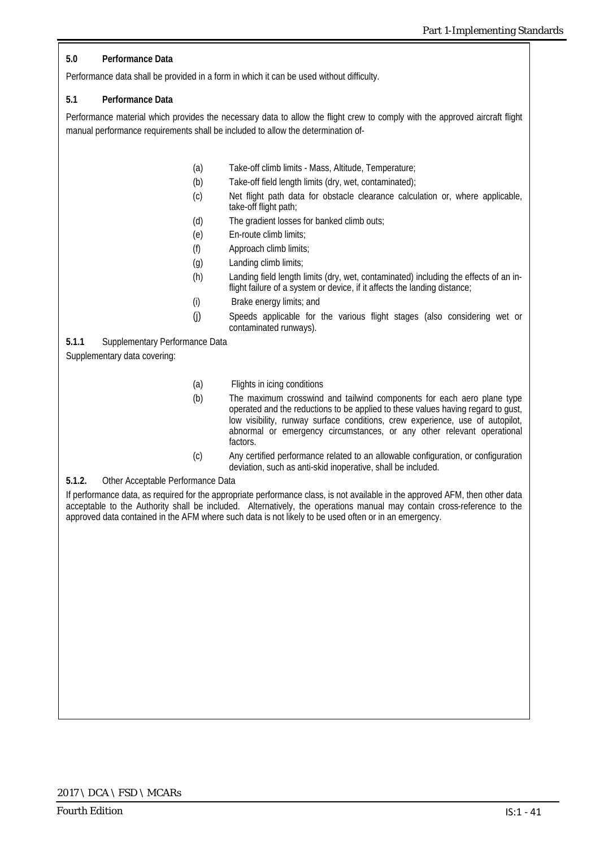# **5.0 Performance Data**

Performance data shall be provided in a form in which it can be used without difficulty.

# **5.1 Performance Data**

Performance material which provides the necessary data to allow the flight crew to comply with the approved aircraft flight manual performance requirements shall be included to allow the determination of-

- (a) Take-off climb limits Mass, Altitude, Temperature;
- (b) Take-off field length limits (dry, wet, contaminated);
- (c) Net flight path data for obstacle clearance calculation or, where applicable, take-off flight path;
- (d) The gradient losses for banked climb outs;
- (e) En-route climb limits;
- (f) Approach climb limits;
- (g) Landing climb limits;
- (h) Landing field length limits (dry, wet, contaminated) including the effects of an inflight failure of a system or device, if it affects the landing distance;
- (i) Brake energy limits; and
- (j) Speeds applicable for the various flight stages (also considering wet or contaminated runways).
- **5.1.1** Supplementary Performance Data

Supplementary data covering:

- (a) Flights in icing conditions
- (b) The maximum crosswind and tailwind components for each aero plane type operated and the reductions to be applied to these values having regard to gust, low visibility, runway surface conditions, crew experience, use of autopilot, abnormal or emergency circumstances, or any other relevant operational factors.
- (c) Any certified performance related to an allowable configuration, or configuration deviation, such as anti-skid inoperative, shall be included.
- **5.1.2.** Other Acceptable Performance Data

If performance data, as required for the appropriate performance class, is not available in the approved AFM, then other data acceptable to the Authority shall be included. Alternatively, the operations manual may contain cross-reference to the approved data contained in the AFM where such data is not likely to be used often or in an emergency.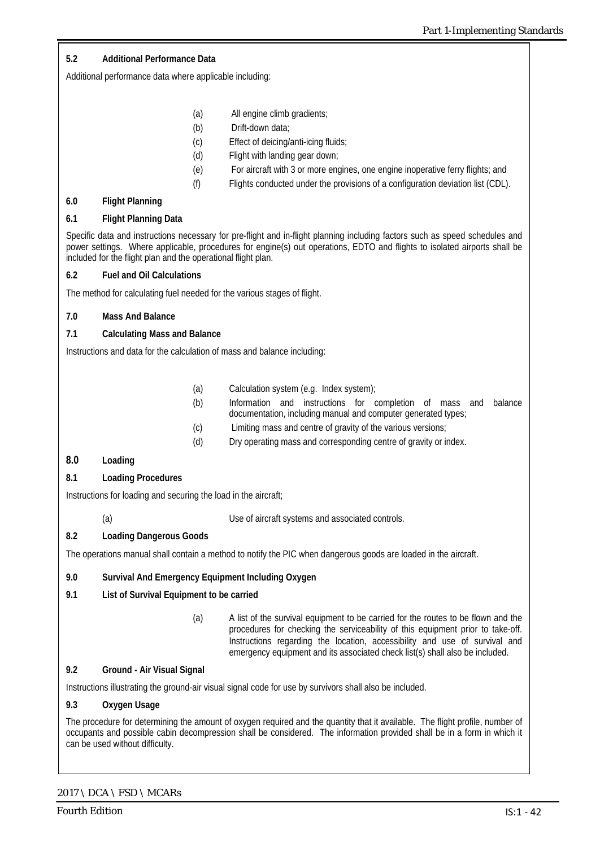## **5.2 Additional Performance Data**

Additional performance data where applicable including:

- (a) All engine climb gradients;
- (b) Drift-down data;
- (c) Effect of deicing/anti-icing fluids;
- (d) Flight with landing gear down;
- (e) For aircraft with 3 or more engines, one engine inoperative ferry flights; and
- (f) Flights conducted under the provisions of a configuration deviation list (CDL).

## **6.0 Flight Planning**

# **6.1 Flight Planning Data**

Specific data and instructions necessary for pre-flight and in-flight planning including factors such as speed schedules and power settings. Where applicable, procedures for engine(s) out operations, EDTO and flights to isolated airports shall be included for the flight plan and the operational flight plan.

### **6.2 Fuel and Oil Calculations**

The method for calculating fuel needed for the various stages of flight.

### **7.0 Mass And Balance**

# **7.1 Calculating Mass and Balance**

Instructions and data for the calculation of mass and balance including:

- (a) Calculation system (e.g. Index system);
- (b) Information and instructions for completion of mass and balance documentation, including manual and computer generated types;
- (c) Limiting mass and centre of gravity of the various versions;
- (d) Dry operating mass and corresponding centre of gravity or index.

# **8.0 Loading**

# **8.1 Loading Procedures**

Instructions for loading and securing the load in the aircraft;

(a) Use of aircraft systems and associated controls.

# **8.2 Loading Dangerous Goods**

The operations manual shall contain a method to notify the PIC when dangerous goods are loaded in the aircraft.

# **9.0 Survival And Emergency Equipment Including Oxygen**

# **9.1 List of Survival Equipment to be carried**

(a) A list of the survival equipment to be carried for the routes to be flown and the procedures for checking the serviceability of this equipment prior to take-off. Instructions regarding the location, accessibility and use of survival and emergency equipment and its associated check list(s) shall also be included.

# **9.2 Ground - Air Visual Signal**

Instructions illustrating the ground-air visual signal code for use by survivors shall also be included.

# **9.3 Oxygen Usage**

The procedure for determining the amount of oxygen required and the quantity that it available. The flight profile, number of occupants and possible cabin decompression shall be considered. The information provided shall be in a form in which it can be used without difficulty.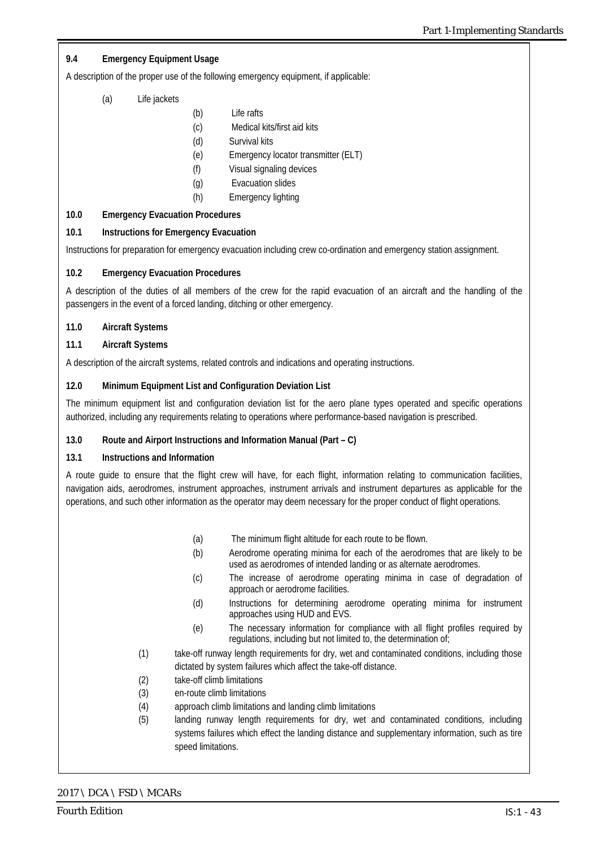## **9.4 Emergency Equipment Usage**

A description of the proper use of the following emergency equipment, if applicable:

- (a) Life jackets
- (b) Life rafts
- (c) Medical kits/first aid kits
- (d) Survival kits
- (e) Emergency locator transmitter (ELT)
- (f) Visual signaling devices
- (g) Evacuation slides
- (h) Emergency lighting

## **10.0 Emergency Evacuation Procedures**

### **10.1 Instructions for Emergency Evacuation**

Instructions for preparation for emergency evacuation including crew co-ordination and emergency station assignment.

### **10.2 Emergency Evacuation Procedures**

A description of the duties of all members of the crew for the rapid evacuation of an aircraft and the handling of the passengers in the event of a forced landing, ditching or other emergency.

### **11.0 Aircraft Systems**

### **11.1 Aircraft Systems**

A description of the aircraft systems, related controls and indications and operating instructions.

### **12.0 Minimum Equipment List and Configuration Deviation List**

The minimum equipment list and configuration deviation list for the aero plane types operated and specific operations authorized, including any requirements relating to operations where performance-based navigation is prescribed.

### **13.0 Route and Airport Instructions and Information Manual (Part – C)**

### **13.1 Instructions and Information**

A route guide to ensure that the flight crew will have, for each flight, information relating to communication facilities, navigation aids, aerodromes, instrument approaches, instrument arrivals and instrument departures as applicable for the operations, and such other information as the operator may deem necessary for the proper conduct of flight operations.

- (a) The minimum flight altitude for each route to be flown.
- (b) Aerodrome operating minima for each of the aerodromes that are likely to be used as aerodromes of intended landing or as alternate aerodromes.
- (c) The increase of aerodrome operating minima in case of degradation of approach or aerodrome facilities.
- (d) Instructions for determining aerodrome operating minima for instrument approaches using HUD and EVS.
- (e) The necessary information for compliance with all flight profiles required by regulations, including but not limited to, the determination of;
- (1) take-off runway length requirements for dry, wet and contaminated conditions, including those dictated by system failures which affect the take-off distance.
- (2) take-off climb limitations
- (3) en-route climb limitations
- (4) approach climb limitations and landing climb limitations
- (5) landing runway length requirements for dry, wet and contaminated conditions, including systems failures which effect the landing distance and supplementary information, such as tire speed limitations.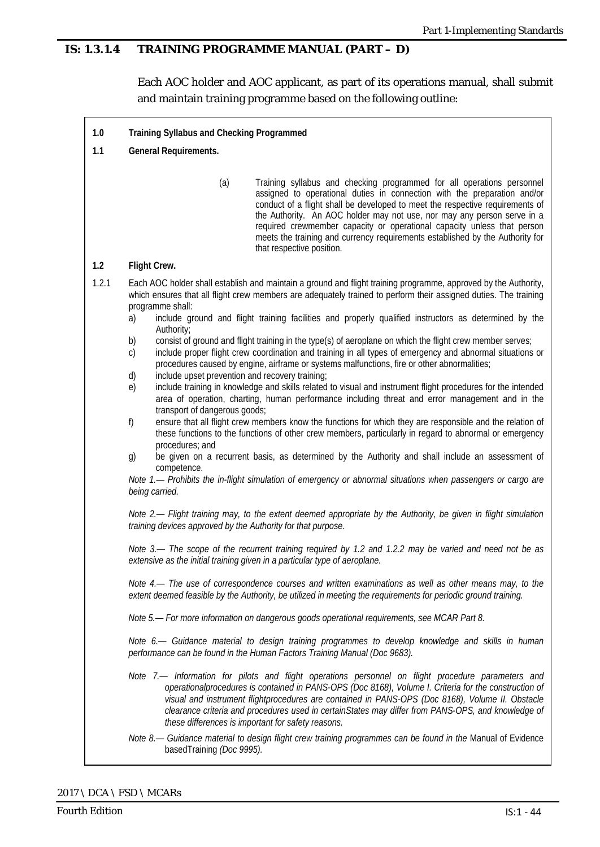# **IS: 1.3.1.4 TRAINING PROGRAMME MANUAL (PART – D)**

Each AOC holder and AOC applicant, as part of its operations manual, shall submit and maintain training programme based on the following outline:

| 1.0   | <b>Training Syllabus and Checking Programmed</b>                                                                                                                                                                                                                                                                                                                                                                                                                                                                                                                                                                                                                                                                                                                                                                                                                                                                                                                                                                                                                                                                                                                                                                                                                                                                                                                                                                       |  |  |
|-------|------------------------------------------------------------------------------------------------------------------------------------------------------------------------------------------------------------------------------------------------------------------------------------------------------------------------------------------------------------------------------------------------------------------------------------------------------------------------------------------------------------------------------------------------------------------------------------------------------------------------------------------------------------------------------------------------------------------------------------------------------------------------------------------------------------------------------------------------------------------------------------------------------------------------------------------------------------------------------------------------------------------------------------------------------------------------------------------------------------------------------------------------------------------------------------------------------------------------------------------------------------------------------------------------------------------------------------------------------------------------------------------------------------------------|--|--|
| 1.1   | <b>General Requirements.</b>                                                                                                                                                                                                                                                                                                                                                                                                                                                                                                                                                                                                                                                                                                                                                                                                                                                                                                                                                                                                                                                                                                                                                                                                                                                                                                                                                                                           |  |  |
|       | (a)<br>Training syllabus and checking programmed for all operations personnel<br>assigned to operational duties in connection with the preparation and/or<br>conduct of a flight shall be developed to meet the respective requirements of<br>the Authority. An AOC holder may not use, nor may any person serve in a<br>required crewmember capacity or operational capacity unless that person<br>meets the training and currency requirements established by the Authority for<br>that respective position.                                                                                                                                                                                                                                                                                                                                                                                                                                                                                                                                                                                                                                                                                                                                                                                                                                                                                                         |  |  |
| 1.2   | Flight Crew.                                                                                                                                                                                                                                                                                                                                                                                                                                                                                                                                                                                                                                                                                                                                                                                                                                                                                                                                                                                                                                                                                                                                                                                                                                                                                                                                                                                                           |  |  |
| 1.2.1 | Each AOC holder shall establish and maintain a ground and flight training programme, approved by the Authority,<br>which ensures that all flight crew members are adequately trained to perform their assigned duties. The training<br>programme shall:<br>include ground and flight training facilities and properly qualified instructors as determined by the<br>a)<br>Authority;<br>consist of ground and flight training in the type(s) of aeroplane on which the flight crew member serves;<br>b)<br>c)<br>include proper flight crew coordination and training in all types of emergency and abnormal situations or<br>procedures caused by engine, airframe or systems malfunctions, fire or other abnormalities;<br>d)<br>include upset prevention and recovery training;<br>e)<br>include training in knowledge and skills related to visual and instrument flight procedures for the intended<br>area of operation, charting, human performance including threat and error management and in the<br>transport of dangerous goods;<br>f)<br>ensure that all flight crew members know the functions for which they are responsible and the relation of<br>these functions to the functions of other crew members, particularly in regard to abnormal or emergency<br>procedures; and<br>be given on a recurrent basis, as determined by the Authority and shall include an assessment of<br>g)<br>competence. |  |  |
|       | Note 1.— Prohibits the in-flight simulation of emergency or abnormal situations when passengers or cargo are<br>being carried.                                                                                                                                                                                                                                                                                                                                                                                                                                                                                                                                                                                                                                                                                                                                                                                                                                                                                                                                                                                                                                                                                                                                                                                                                                                                                         |  |  |
|       | Note 2.— Flight training may, to the extent deemed appropriate by the Authority, be given in flight simulation<br>training devices approved by the Authority for that purpose.                                                                                                                                                                                                                                                                                                                                                                                                                                                                                                                                                                                                                                                                                                                                                                                                                                                                                                                                                                                                                                                                                                                                                                                                                                         |  |  |
|       | Note 3.— The scope of the recurrent training required by 1.2 and 1.2.2 may be varied and need not be as<br>extensive as the initial training given in a particular type of aeroplane.                                                                                                                                                                                                                                                                                                                                                                                                                                                                                                                                                                                                                                                                                                                                                                                                                                                                                                                                                                                                                                                                                                                                                                                                                                  |  |  |
|       | Note 4.— The use of correspondence courses and written examinations as well as other means may, to the<br>extent deemed feasible by the Authority, be utilized in meeting the requirements for periodic ground training.                                                                                                                                                                                                                                                                                                                                                                                                                                                                                                                                                                                                                                                                                                                                                                                                                                                                                                                                                                                                                                                                                                                                                                                               |  |  |
|       | Note 5.— For more information on dangerous goods operational requirements, see MCAR Part 8.                                                                                                                                                                                                                                                                                                                                                                                                                                                                                                                                                                                                                                                                                                                                                                                                                                                                                                                                                                                                                                                                                                                                                                                                                                                                                                                            |  |  |
|       | Note 6. — Guidance material to design training programmes to develop knowledge and skills in human<br>performance can be found in the Human Factors Training Manual (Doc 9683).                                                                                                                                                                                                                                                                                                                                                                                                                                                                                                                                                                                                                                                                                                                                                                                                                                                                                                                                                                                                                                                                                                                                                                                                                                        |  |  |
|       | Note 7.- Information for pilots and flight operations personnel on flight procedure parameters and<br>operationalprocedures is contained in PANS-OPS (Doc 8168), Volume I. Criteria for the construction of<br>visual and instrument flightprocedures are contained in PANS-OPS (Doc 8168), Volume II. Obstacle<br>clearance criteria and procedures used in certainStates may differ from PANS-OPS, and knowledge of<br>these differences is important for safety reasons.                                                                                                                                                                                                                                                                                                                                                                                                                                                                                                                                                                                                                                                                                                                                                                                                                                                                                                                                            |  |  |
|       | Note 8.— Guidance material to design flight crew training programmes can be found in the Manual of Evidence<br>basedTraining (Doc 9995).                                                                                                                                                                                                                                                                                                                                                                                                                                                                                                                                                                                                                                                                                                                                                                                                                                                                                                                                                                                                                                                                                                                                                                                                                                                                               |  |  |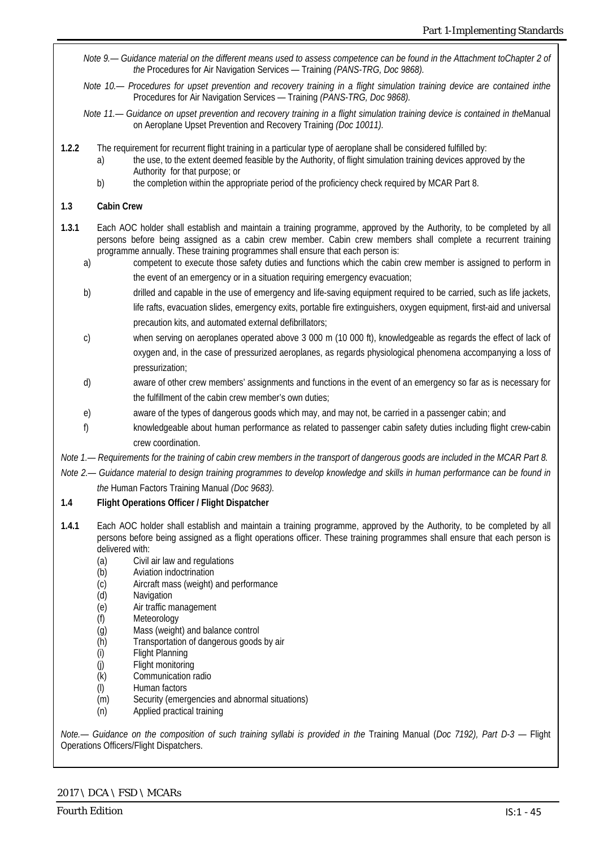- *Note 9.— Guidance material on the different means used to assess competence can be found in the Attachment toChapter 2 of the* Procedures for Air Navigation Services *—* Training *(PANS-TRG, Doc 9868).*
- *Note 10.— Procedures for upset prevention and recovery training in a flight simulation training device are contained inthe*  Procedures for Air Navigation Services — Training *(PANS-TRG, Doc 9868).*
- *Note 11.— Guidance on upset prevention and recovery training in a flight simulation training device is contained in the*Manual on Aeroplane Upset Prevention and Recovery Training *(Doc 10011).*
- **1.2.2** The requirement for recurrent flight training in a particular type of aeroplane shall be considered fulfilled by:
	- a) the use, to the extent deemed feasible by the Authority, of flight simulation training devices approved by the Authority for that purpose; or
	- b) the completion within the appropriate period of the proficiency check required by MCAR Part 8.

### **1.3 Cabin Crew**

- **1.3.1** Each AOC holder shall establish and maintain a training programme, approved by the Authority, to be completed by all persons before being assigned as a cabin crew member. Cabin crew members shall complete a recurrent training programme annually. These training programmes shall ensure that each person is:
	- a) competent to execute those safety duties and functions which the cabin crew member is assigned to perform in the event of an emergency or in a situation requiring emergency evacuation;
	- b) drilled and capable in the use of emergency and life-saving equipment required to be carried, such as life jackets, life rafts, evacuation slides, emergency exits, portable fire extinguishers, oxygen equipment, first-aid and universal precaution kits, and automated external defibrillators;
	- c) when serving on aeroplanes operated above 3 000 m (10 000 ft), knowledgeable as regards the effect of lack of oxygen and, in the case of pressurized aeroplanes, as regards physiological phenomena accompanying a loss of pressurization;
	- d) aware of other crew members' assignments and functions in the event of an emergency so far as is necessary for the fulfillment of the cabin crew member's own duties;
	- e) aware of the types of dangerous goods which may, and may not, be carried in a passenger cabin; and
	- f) knowledgeable about human performance as related to passenger cabin safety duties including flight crew-cabin crew coordination.
- *Note 1.— Requirements for the training of cabin crew members in the transport of dangerous goods are included in the MCAR Part 8.*
- *Note 2.— Guidance material to design training programmes to develop knowledge and skills in human performance can be found in the* Human Factors Training Manual *(Doc 9683).*

### **1.4 Flight Operations Officer / Flight Dispatcher**

- **1.4.1** Each AOC holder shall establish and maintain a training programme, approved by the Authority, to be completed by all persons before being assigned as a flight operations officer. These training programmes shall ensure that each person is delivered with:
	- (a) Civil air law and regulations
	- (b) Aviation indoctrination
	- (c) Aircraft mass (weight) and performance
	- (d) Navigation
	- (e) Air traffic management
	- (f) Meteorology
	- (g) Mass (weight) and balance control
	- (h) Transportation of dangerous goods by air
	- (i) Flight Planning
	- (j) Flight monitoring
	- (k) Communication radio
	- (l) Human factors
	- (m) Security (emergencies and abnormal situations)
	- (n) Applied practical training

*Note.*— *Guidance on the composition of such training syllabi is provided in the Training Manual (<i>Doc 7192), Part D-3* — Flight Operations Officers/Flight Dispatchers.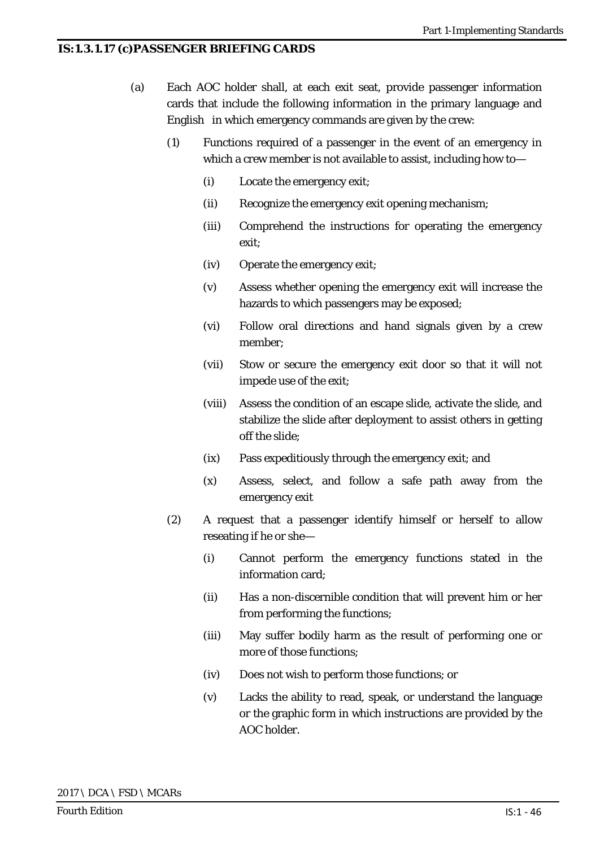- (a) Each AOC holder shall, at each exit seat, provide passenger information cards that include the following information in the primary language and English in which emergency commands are given by the crew:
	- (1) Functions required of a passenger in the event of an emergency in which a crew member is not available to assist, including how to—
		- (i) Locate the emergency exit;
		- (ii) Recognize the emergency exit opening mechanism;
		- (iii) Comprehend the instructions for operating the emergency exit;
		- (iv) Operate the emergency exit;
		- (v) Assess whether opening the emergency exit will increase the hazards to which passengers may be exposed;
		- (vi) Follow oral directions and hand signals given by a crew member;
		- (vii) Stow or secure the emergency exit door so that it will not impede use of the exit;
		- (viii) Assess the condition of an escape slide, activate the slide, and stabilize the slide after deployment to assist others in getting off the slide;
		- (ix) Pass expeditiously through the emergency exit; and
		- (x) Assess, select, and follow a safe path away from the emergency exit
	- (2) A request that a passenger identify himself or herself to allow reseating if he or she—
		- (i) Cannot perform the emergency functions stated in the information card;
		- (ii) Has a non-discernible condition that will prevent him or her from performing the functions;
		- (iii) May suffer bodily harm as the result of performing one or more of those functions;
		- (iv) Does not wish to perform those functions; or
		- (v) Lacks the ability to read, speak, or understand the language or the graphic form in which instructions are provided by the AOC holder.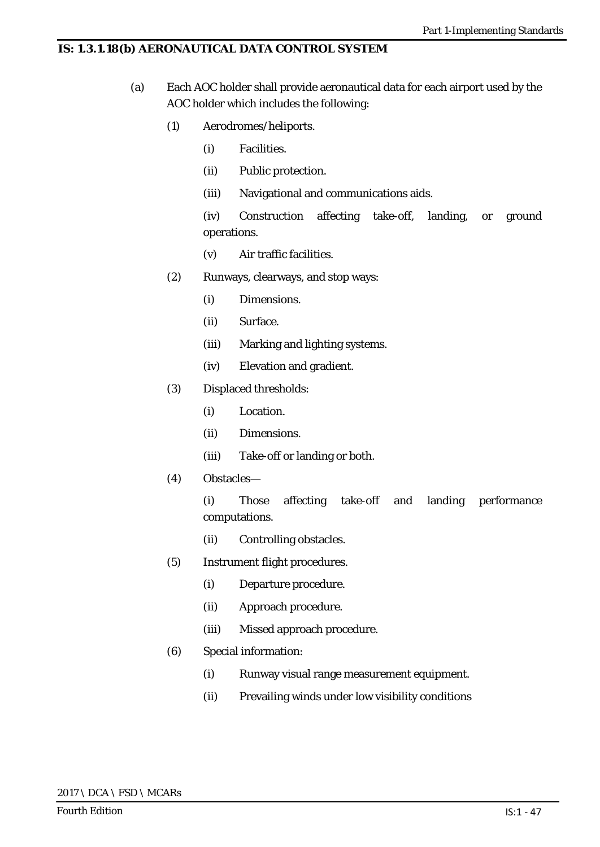# **IS: 1.3.1.18(b) AERONAUTICAL DATA CONTROL SYSTEM**

- (a) Each AOC holder shall provide aeronautical data for each airport used by the AOC holder which includes the following:
	- (1) Aerodromes/heliports.
		- (i) Facilities.
		- (ii) Public protection.
		- (iii) Navigational and communications aids.
		- (iv) Construction affecting take-off, landing, or ground operations.
		- (v) Air traffic facilities.
	- (2) Runways, clearways, and stop ways:
		- (i) Dimensions.
		- (ii) Surface.
		- (iii) Marking and lighting systems.
		- (iv) Elevation and gradient.
	- (3) Displaced thresholds:
		- (i) Location.
		- (ii) Dimensions.
		- (iii) Take-off or landing or both.
	- (4) Obstacles—

(i) Those affecting take-off and landing performance computations.

- (ii) Controlling obstacles.
- (5) Instrument flight procedures.
	- (i) Departure procedure.
	- (ii) Approach procedure.
	- (iii) Missed approach procedure.
- (6) Special information:
	- (i) Runway visual range measurement equipment.
	- (ii) Prevailing winds under low visibility conditions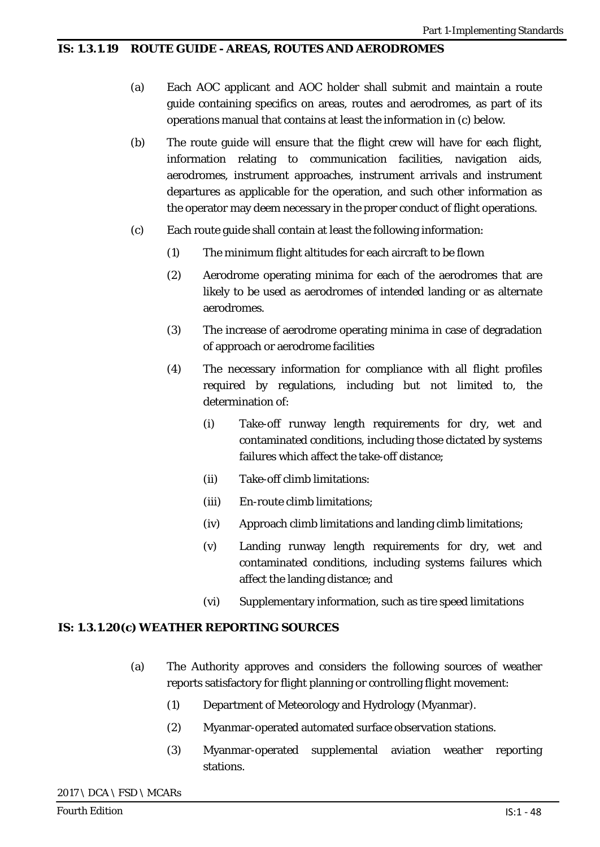## **IS: 1.3.1.19 ROUTE GUIDE - AREAS, ROUTES AND AERODROMES**

- (a) Each AOC applicant and AOC holder shall submit and maintain a route guide containing specifics on areas, routes and aerodromes, as part of its operations manual that contains at least the information in (c) below.
- (b) The route guide will ensure that the flight crew will have for each flight, information relating to communication facilities, navigation aids, aerodromes, instrument approaches, instrument arrivals and instrument departures as applicable for the operation, and such other information as the operator may deem necessary in the proper conduct of flight operations.
- (c) Each route guide shall contain at least the following information:
	- (1) The minimum flight altitudes for each aircraft to be flown
	- (2) Aerodrome operating minima for each of the aerodromes that are likely to be used as aerodromes of intended landing or as alternate aerodromes.
	- (3) The increase of aerodrome operating minima in case of degradation of approach or aerodrome facilities
	- (4) The necessary information for compliance with all flight profiles required by regulations, including but not limited to, the determination of:
		- (i) Take-off runway length requirements for dry, wet and contaminated conditions, including those dictated by systems failures which affect the take-off distance;
		- (ii) Take-off climb limitations:
		- (iii) En-route climb limitations;
		- (iv) Approach climb limitations and landing climb limitations;
		- (v) Landing runway length requirements for dry, wet and contaminated conditions, including systems failures which affect the landing distance; and
		- (vi) Supplementary information, such as tire speed limitations

# **IS: 1.3.1.20(c) WEATHER REPORTING SOURCES**

- (a) The Authority approves and considers the following sources of weather reports satisfactory for flight planning or controlling flight movement:
	- (1) Department of Meteorology and Hydrology (Myanmar).
	- (2) Myanmar-operated automated surface observation stations.
	- (3) Myanmar-operated supplemental aviation weather reporting stations.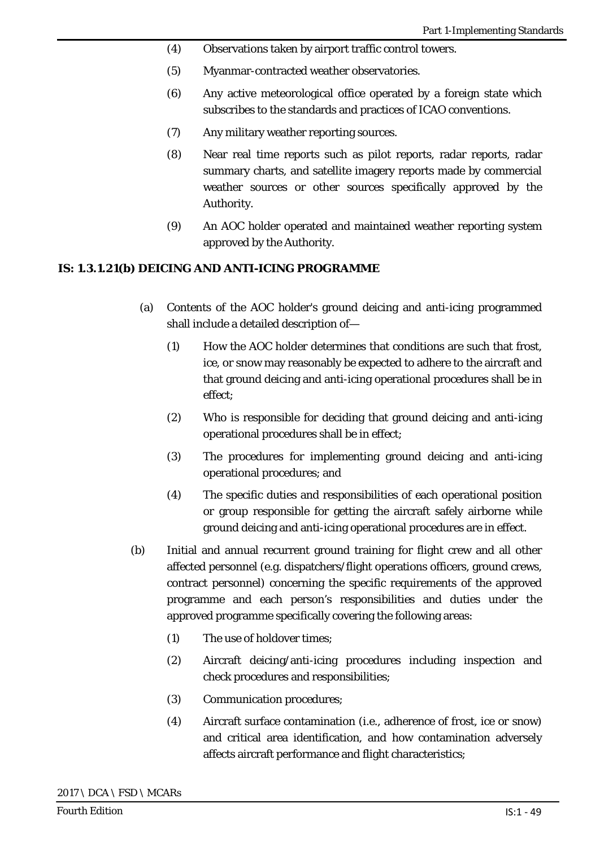- (4) Observations taken by airport traffic control towers.
- (5) Myanmar-contracted weather observatories.
- (6) Any active meteorological office operated by a foreign state which subscribes to the standards and practices of ICAO conventions.
- (7) Any military weather reporting sources.
- (8) Near real time reports such as pilot reports, radar reports, radar summary charts, and satellite imagery reports made by commercial weather sources or other sources specifically approved by the Authority.
- (9) An AOC holder operated and maintained weather reporting system approved by the Authority.

# **IS: 1.3.1.21(b) DEICING AND ANTI-ICING PROGRAMME**

- (a) Contents of the AOC holder's ground deicing and anti-icing programmed shall include a detailed description of—
	- (1) How the AOC holder determines that conditions are such that frost, ice, or snow may reasonably be expected to adhere to the aircraft and that ground deicing and anti-icing operational procedures shall be in effect;
	- (2) Who is responsible for deciding that ground deicing and anti-icing operational procedures shall be in effect;
	- (3) The procedures for implementing ground deicing and anti-icing operational procedures; and
	- (4) The specific duties and responsibilities of each operational position or group responsible for getting the aircraft safely airborne while ground deicing and anti-icing operational procedures are in effect.
- (b) Initial and annual recurrent ground training for flight crew and all other affected personnel (e.g. dispatchers/flight operations officers, ground crews, contract personnel) concerning the specific requirements of the approved programme and each person's responsibilities and duties under the approved programme specifically covering the following areas:
	- (1) The use of holdover times;
	- (2) Aircraft deicing/anti-icing procedures including inspection and check procedures and responsibilities;
	- (3) Communication procedures;
	- (4) Aircraft surface contamination (i.e., adherence of frost, ice or snow) and critical area identification, and how contamination adversely affects aircraft performance and flight characteristics;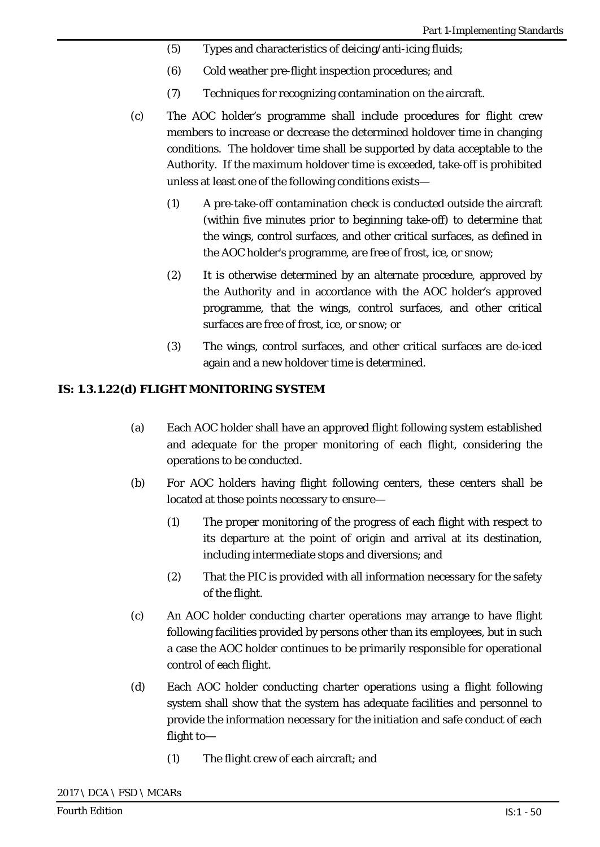- (5) Types and characteristics of deicing/anti-icing fluids;
- (6) Cold weather pre-flight inspection procedures; and
- (7) Techniques for recognizing contamination on the aircraft.
- (c) The AOC holder's programme shall include procedures for flight crew members to increase or decrease the determined holdover time in changing conditions. The holdover time shall be supported by data acceptable to the Authority. If the maximum holdover time is exceeded, take-off is prohibited unless at least one of the following conditions exists—
	- (1) A pre-take-off contamination check is conducted outside the aircraft (within five minutes prior to beginning take-off) to determine that the wings, control surfaces, and other critical surfaces, as defined in the AOC holder's programme, are free of frost, ice, or snow;
	- (2) It is otherwise determined by an alternate procedure, approved by the Authority and in accordance with the AOC holder's approved programme, that the wings, control surfaces, and other critical surfaces are free of frost, ice, or snow; or
	- (3) The wings, control surfaces, and other critical surfaces are de-iced again and a new holdover time is determined.

# **IS: 1.3.1.22(d) FLIGHT MONITORING SYSTEM**

- (a) Each AOC holder shall have an approved flight following system established and adequate for the proper monitoring of each flight, considering the operations to be conducted.
- (b) For AOC holders having flight following centers, these centers shall be located at those points necessary to ensure—
	- (1) The proper monitoring of the progress of each flight with respect to its departure at the point of origin and arrival at its destination, including intermediate stops and diversions; and
	- (2) That the PIC is provided with all information necessary for the safety of the flight.
- (c) An AOC holder conducting charter operations may arrange to have flight following facilities provided by persons other than its employees, but in such a case the AOC holder continues to be primarily responsible for operational control of each flight.
- (d) Each AOC holder conducting charter operations using a flight following system shall show that the system has adequate facilities and personnel to provide the information necessary for the initiation and safe conduct of each flight to—
	- (1) The flight crew of each aircraft; and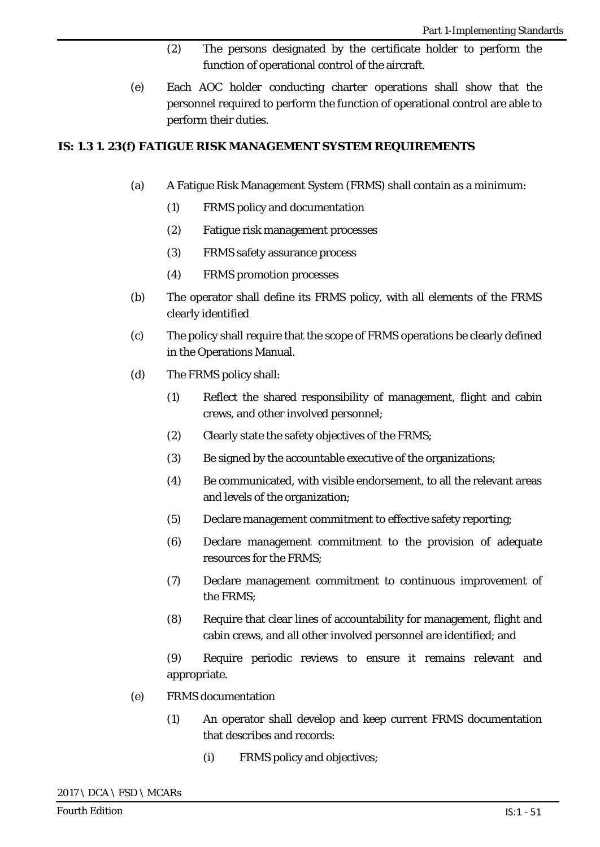- (2) The persons designated by the certificate holder to perform the function of operational control of the aircraft.
- (e) Each AOC holder conducting charter operations shall show that the personnel required to perform the function of operational control are able to perform their duties.

# **IS: 1.3 1. 23(f) FATIGUE RISK MANAGEMENT SYSTEM REQUIREMENTS**

- (a) A Fatigue Risk Management System (FRMS) shall contain as a minimum:
	- (1) FRMS policy and documentation
	- (2) Fatigue risk management processes
	- (3) FRMS safety assurance process
	- (4) FRMS promotion processes
- (b) The operator shall define its FRMS policy, with all elements of the FRMS clearly identified
- (c) The policy shall require that the scope of FRMS operations be clearly defined in the Operations Manual.
- (d) The FRMS policy shall:
	- (1) Reflect the shared responsibility of management, flight and cabin crews, and other involved personnel;
	- (2) Clearly state the safety objectives of the FRMS;
	- (3) Be signed by the accountable executive of the organizations;
	- (4) Be communicated, with visible endorsement, to all the relevant areas and levels of the organization;
	- (5) Declare management commitment to effective safety reporting;
	- (6) Declare management commitment to the provision of adequate resources for the FRMS;
	- (7) Declare management commitment to continuous improvement of the FRMS;
	- (8) Require that clear lines of accountability for management, flight and cabin crews, and all other involved personnel are identified; and

(9) Require periodic reviews to ensure it remains relevant and appropriate.

- (e) FRMS documentation
	- (1) An operator shall develop and keep current FRMS documentation that describes and records:
		- (i) FRMS policy and objectives;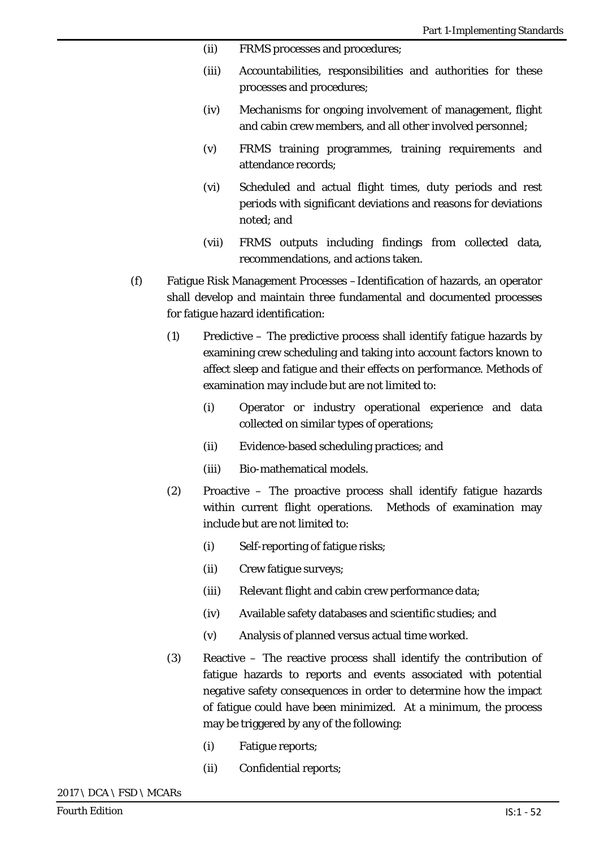- (ii) FRMS processes and procedures;
- (iii) Accountabilities, responsibilities and authorities for these processes and procedures;
- (iv) Mechanisms for ongoing involvement of management, flight and cabin crew members, and all other involved personnel;
- (v) FRMS training programmes, training requirements and attendance records;
- (vi) Scheduled and actual flight times, duty periods and rest periods with significant deviations and reasons for deviations noted; and
- (vii) FRMS outputs including findings from collected data, recommendations, and actions taken.
- (f) Fatigue Risk Management Processes –Identification of hazards, an operator shall develop and maintain three fundamental and documented processes for fatigue hazard identification:
	- (1) Predictive The predictive process shall identify fatigue hazards by examining crew scheduling and taking into account factors known to affect sleep and fatigue and their effects on performance. Methods of examination may include but are not limited to:
		- (i) Operator or industry operational experience and data collected on similar types of operations;
		- (ii) Evidence-based scheduling practices; and
		- (iii) Bio-mathematical models.
	- (2) Proactive The proactive process shall identify fatigue hazards within current flight operations. Methods of examination may include but are not limited to:
		- (i) Self-reporting of fatigue risks;
		- (ii) Crew fatigue surveys;
		- (iii) Relevant flight and cabin crew performance data;
		- (iv) Available safety databases and scientific studies; and
		- (v) Analysis of planned versus actual time worked.
	- (3) Reactive The reactive process shall identify the contribution of fatigue hazards to reports and events associated with potential negative safety consequences in order to determine how the impact of fatigue could have been minimized. At a minimum, the process may be triggered by any of the following:
		- (i) Fatigue reports;
		- (ii) Confidential reports;

## $2017 \setminus DCA \setminus FSD \setminus MCARS$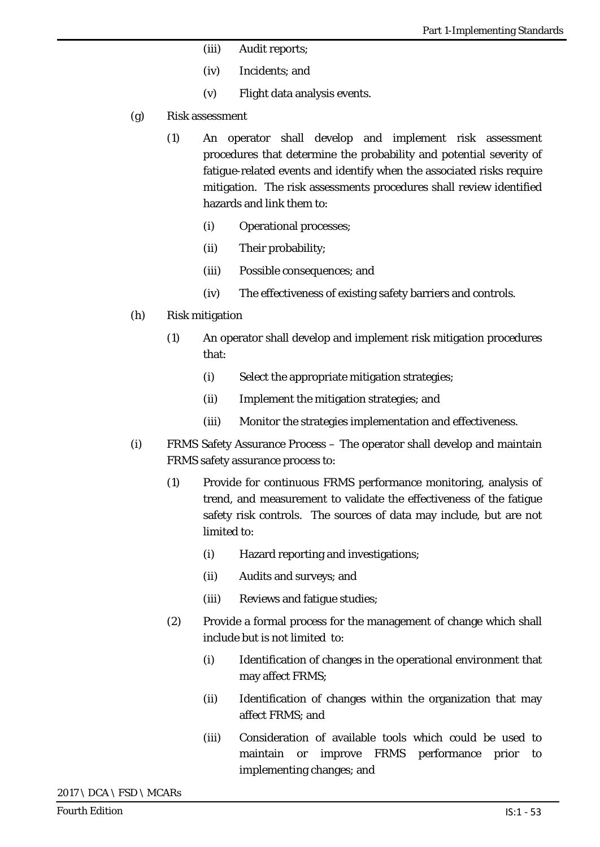- (iii) Audit reports;
- (iv) Incidents; and
- (v) Flight data analysis events.
- (g) Risk assessment
	- (1) An operator shall develop and implement risk assessment procedures that determine the probability and potential severity of fatigue-related events and identify when the associated risks require mitigation. The risk assessments procedures shall review identified hazards and link them to:
		- (i) Operational processes;
		- (ii) Their probability;
		- (iii) Possible consequences; and
		- (iv) The effectiveness of existing safety barriers and controls.
- (h) Risk mitigation
	- (1) An operator shall develop and implement risk mitigation procedures that:
		- (i) Select the appropriate mitigation strategies;
		- (ii) Implement the mitigation strategies; and
		- (iii) Monitor the strategies implementation and effectiveness.
- (i) FRMS Safety Assurance Process The operator shall develop and maintain FRMS safety assurance process to:
	- (1) Provide for continuous FRMS performance monitoring, analysis of trend, and measurement to validate the effectiveness of the fatigue safety risk controls. The sources of data may include, but are not limited to:
		- (i) Hazard reporting and investigations;
		- (ii) Audits and surveys; and
		- (iii) Reviews and fatigue studies;
	- (2) Provide a formal process for the management of change which shall include but is not limited to:
		- (i) Identification of changes in the operational environment that may affect FRMS;
		- (ii) Identification of changes within the organization that may affect FRMS; and
		- (iii) Consideration of available tools which could be used to maintain or improve FRMS performance prior to implementing changes; and

 $2017 \setminus DCA \setminus FSD \setminus MCARS$